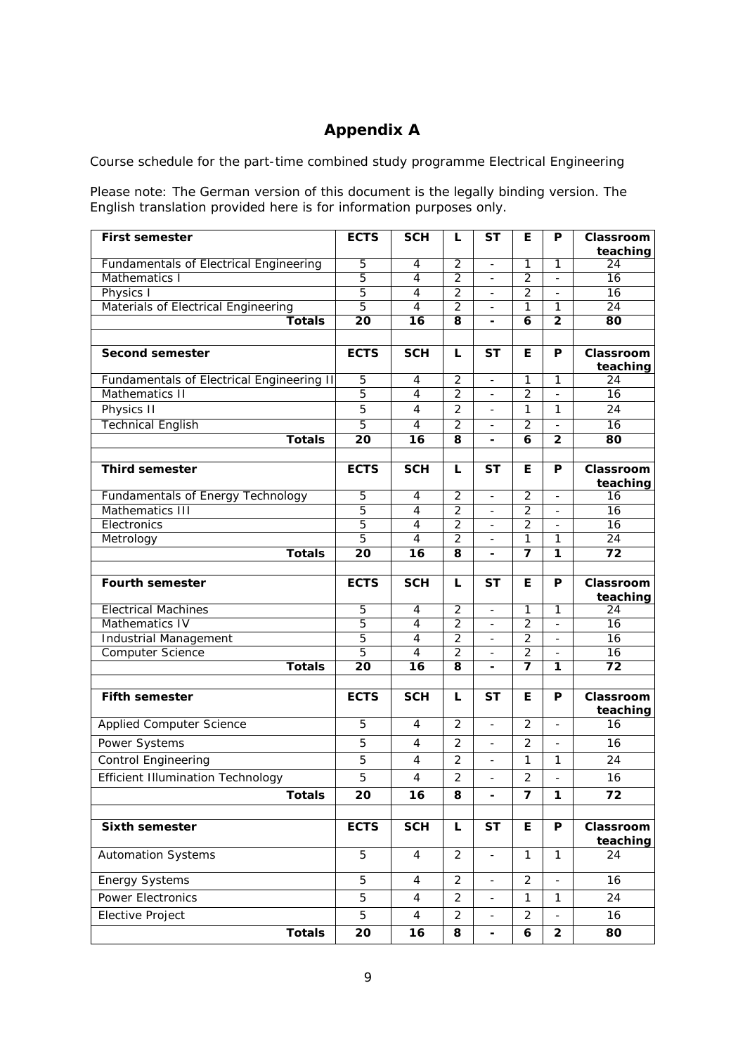# **Appendix A**

Course schedule for the part-time combined study programme Electrical Engineering

Please note: The German version of this document is the legally binding version. The English translation provided here is for information purposes only.

| <b>First semester</b>                            | <b>ECTS</b>     | <b>SCH</b>     | L                       | <b>ST</b>                    | Е                       | P                        | Classroom             |
|--------------------------------------------------|-----------------|----------------|-------------------------|------------------------------|-------------------------|--------------------------|-----------------------|
|                                                  |                 |                |                         |                              |                         |                          | teaching              |
| <b>Fundamentals of Electrical Engineering</b>    | $\overline{5}$  | 4              | $\overline{2}$          | ÷,                           | 1                       | 1                        | $\overline{24}$       |
| Mathematics I                                    | $\overline{5}$  | 4              | $\overline{2}$          | $\overline{a}$               | $\overline{2}$          |                          | 16                    |
| Physics I                                        | $\overline{5}$  | $\overline{4}$ | $\overline{2}$          | $\overline{a}$               | $\overline{2}$          | $\overline{a}$           | 16                    |
| Materials of Electrical Engineering              | 5               | $\overline{4}$ | $\overline{2}$          | $\mathbf{r}$                 | $\mathbf{1}$            | 1                        | $\overline{24}$       |
| <b>Totals</b>                                    | $\overline{20}$ | 16             | 8                       | $\overline{\phantom{a}}$     | 6                       | $\mathbf{2}$             | 80                    |
|                                                  |                 |                |                         |                              |                         |                          |                       |
| <b>Second semester</b>                           | <b>ECTS</b>     | <b>SCH</b>     | L                       | <b>ST</b>                    | E                       | P                        | Classroom<br>teaching |
| <b>Fundamentals of Electrical Engineering II</b> | 5               | 4              | $\overline{2}$          | $\qquad \qquad \blacksquare$ | 1                       | 1                        | 24                    |
| Mathematics II                                   | $\overline{5}$  | $\overline{4}$ | $\overline{2}$          |                              | $\overline{2}$          | $\blacksquare$           | 16                    |
| Physics II                                       | 5               | 4              | $\overline{2}$          | $\blacksquare$               | 1                       | 1                        | 24                    |
| <b>Technical English</b>                         | 5               | 4              | $\overline{2}$          | $\overline{\phantom{a}}$     | $\overline{2}$          | $\overline{\phantom{a}}$ | 16                    |
| <b>Totals</b>                                    | $\overline{2}0$ | 16             | 8                       |                              | 6                       | $\overline{\mathbf{c}}$  | 80                    |
|                                                  |                 |                |                         |                              |                         |                          |                       |
| <b>Third semester</b>                            | <b>ECTS</b>     | <b>SCH</b>     | L                       | SТ                           | Е                       | P                        | Classroom<br>teaching |
| <b>Fundamentals of Energy Technology</b>         | 5               | 4              | $\overline{2}$          | $\equiv$                     | $\overline{2}$          |                          | 16                    |
| Mathematics III                                  | 5               | 4              | $\overline{2}$          | $\overline{a}$               | $\overline{2}$          |                          | 16                    |
| Electronics                                      | $\overline{5}$  | $\overline{4}$ | $\overline{2}$          | $\overline{a}$               | $\overline{2}$          | $\mathbf{r}$             | 16                    |
| Metrology                                        | 5               | $\overline{4}$ | $\overline{2}$          | $\overline{\phantom{a}}$     | 1                       | 1                        | $\overline{2}4$       |
| <b>Totals</b>                                    | $\overline{20}$ | 16             | $\overline{\mathbf{8}}$ | ٠                            | $\overline{\mathbf{z}}$ | 1                        | $\overline{72}$       |
|                                                  |                 |                |                         |                              |                         |                          |                       |
| <b>Fourth semester</b>                           | <b>ECTS</b>     | <b>SCH</b>     | L                       | <b>ST</b>                    | Е                       | P                        | Classroom<br>teaching |
| <b>Electrical Machines</b>                       | $\overline{5}$  | 4              | $\overline{2}$          | $\blacksquare$               | 1                       | 1                        | 24                    |
| Mathematics IV                                   | $\overline{5}$  | $\overline{4}$ | $\overline{2}$          | $\overline{a}$               | $\overline{2}$          |                          | 16                    |
| <b>Industrial Management</b>                     | $\overline{5}$  | 4              | $\overline{2}$          | $\overline{a}$               | $\overline{2}$          |                          | 16                    |
| <b>Computer Science</b>                          | $\overline{5}$  | $\overline{4}$ | $\overline{2}$          | $\overline{a}$               | $\overline{2}$          | $\overline{a}$           | 16                    |
| <b>Totals</b>                                    | $\overline{20}$ | 16             | $\overline{8}$          | $\overline{\phantom{a}}$     | 7                       | 1                        | 72                    |
|                                                  |                 |                |                         |                              |                         |                          |                       |
| <b>Fifth semester</b>                            | <b>ECTS</b>     | <b>SCH</b>     | L                       | <b>ST</b>                    | Е                       | P                        | Classroom<br>teaching |
| <b>Applied Computer Science</b>                  | 5               | $\overline{4}$ | 2                       | $\overline{\phantom{a}}$     | $\overline{2}$          | $\blacksquare$           | 16                    |
| Power Systems                                    | 5               | $\overline{4}$ | $\overline{2}$          | $\overline{a}$               | $\overline{2}$          | ÷,                       | 16                    |
| <b>Control Engineering</b>                       | 5               | $\overline{4}$ | $\overline{2}$          | ÷.                           | $\mathbf{1}$            | 1                        | 24                    |
| <b>Efficient Illumination Technology</b>         | 5               | 4              | $\overline{2}$          | ÷,                           | $\overline{2}$          | ÷,                       | 16                    |
| <b>Totals</b>                                    | 20              | 16             | 8                       | $\blacksquare$               | 7                       | 1                        | 72                    |
|                                                  |                 |                |                         |                              |                         |                          |                       |
| <b>Sixth semester</b>                            | <b>ECTS</b>     | <b>SCH</b>     | L                       | <b>ST</b>                    | E.                      | P                        | Classroom<br>teaching |
| <b>Automation Systems</b>                        | $\overline{5}$  | $\overline{4}$ | $\overline{2}$          | $\omega$                     | $\mathbf{1}$            | $\mathbf{1}$             | 24                    |
| <b>Energy Systems</b>                            | 5               | 4              | $\overline{2}$          | $\overline{\phantom{a}}$     | $\overline{2}$          | $\overline{a}$           | 16                    |
| <b>Power Electronics</b>                         | 5               | 4              | $\overline{2}$          | $\overline{\phantom{a}}$     | 1                       | 1                        | 24                    |
| Elective Project                                 | 5               | $\overline{4}$ | $\overline{2}$          | $\blacksquare$               | $\overline{2}$          | $\overline{\phantom{a}}$ | 16                    |
| <b>Totals</b>                                    | 20              | 16             | 8                       | $\overline{\phantom{0}}$     | 6                       | $\mathbf{2}$             | 80                    |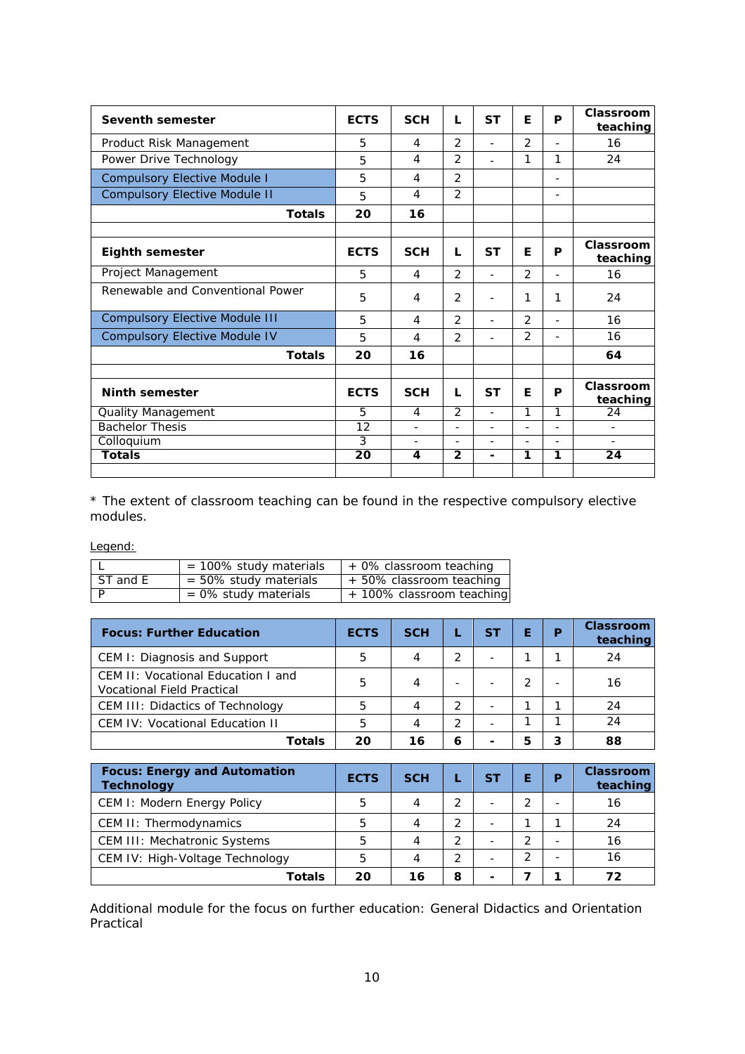| <b>Seventh semester</b>               | <b>ECTS</b> | <b>SCH</b>     | L              | <b>ST</b>      | Е              | P                        | Classroom<br>teaching |
|---------------------------------------|-------------|----------------|----------------|----------------|----------------|--------------------------|-----------------------|
| Product Risk Management               | 5           | 4              | $\mathcal{P}$  |                | 2              |                          | 16                    |
| Power Drive Technology                | 5           | 4              | $\overline{2}$ | ÷              | 1              | 1                        | 24                    |
| <b>Compulsory Elective Module I</b>   | 5           | 4              | $\overline{2}$ |                |                |                          |                       |
| <b>Compulsory Elective Module II</b>  | 5           | 4              | 2              |                |                | $\overline{\phantom{m}}$ |                       |
| <b>Totals</b>                         | 20          | 16             |                |                |                |                          |                       |
|                                       |             |                |                |                |                |                          |                       |
| <b>Eighth semester</b>                | <b>ECTS</b> | <b>SCH</b>     | L              | <b>ST</b>      | Е              | P                        | Classroom<br>teaching |
| Project Management                    | 5           | 4              | 2              | $\overline{a}$ | 2              | ÷.                       | 16                    |
| Renewable and Conventional Power      | 5           | 4              | 2              | ۳              | 1              | 1                        | 24                    |
| <b>Compulsory Elective Module III</b> | 5           | 4              | $\overline{2}$ | ÷              | $\overline{2}$ | ÷                        | 16                    |
| <b>Compulsory Elective Module IV</b>  | 5           | 4              | $\mathcal{P}$  |                | $\overline{2}$ | $\overline{\phantom{a}}$ | 16                    |
| <b>Totals</b>                         | 20          | 16             |                |                |                |                          | 64                    |
|                                       |             |                |                |                |                |                          |                       |
| <b>Ninth semester</b>                 | <b>ECTS</b> | <b>SCH</b>     | L              | <b>ST</b>      | Е              | P                        | Classroom<br>teaching |
| <b>Quality Management</b>             | 5           | 4              | $\overline{2}$ | ÷.             | 1              | 1                        | 24                    |
| <b>Bachelor Thesis</b>                | 12          | ÷.             | $\blacksquare$ | ٠              | ٠              |                          |                       |
| Colloquium                            | 3           | $\overline{a}$ | $\blacksquare$ | ÷              | $\sim$         | $\overline{\phantom{a}}$ | $\sim$                |
| <b>Totals</b>                         | 20          | 4              | $\overline{2}$ | $\blacksquare$ | 1              | 1                        | 24                    |
|                                       |             |                |                |                |                |                          |                       |

\* The extent of classroom teaching can be found in the respective compulsory elective modules.

Legend:

|          | $= 100\%$ study materials | + 0% classroom teaching   |
|----------|---------------------------|---------------------------|
| ST and E | $=$ 50% study materials   | + 50% classroom teaching  |
|          | $= 0\%$ study materials   | + 100% classroom teaching |

| <b>Focus: Further Education</b>                                  | <b>ECTS</b> | <b>SCH</b> |   | ST | Е |   | Classroom<br>teaching |
|------------------------------------------------------------------|-------------|------------|---|----|---|---|-----------------------|
| CEM I: Diagnosis and Support                                     | 5           |            |   |    |   |   | 24                    |
| CEM II: Vocational Education I and<br>Vocational Field Practical | 5           | 4          |   |    |   |   | 16                    |
| CEM III: Didactics of Technology                                 | 5           |            | 2 |    |   |   | 24                    |
| <b>CEM IV: Vocational Education II</b>                           | 5           |            | 2 |    |   |   | 24                    |
| Totals                                                           | 20          | 16         | 6 |    | 5 | 3 | 88                    |

| <b>Focus: Energy and Automation</b><br><b>Technology</b> | <b>ECTS</b> | <b>SCH</b> |   |   |               | P | <b>Classroom</b><br>teaching |
|----------------------------------------------------------|-------------|------------|---|---|---------------|---|------------------------------|
| CEM I: Modern Energy Policy                              | 5           |            |   | - | $\mathcal{P}$ |   | 16                           |
| CEM II: Thermodynamics                                   | 5           |            | 2 |   |               |   | 24                           |
| CEM III: Mechatronic Systems                             | 5           |            | າ |   | ⌒             |   | 16                           |
| CEM IV: High-Voltage Technology                          | 5           |            | ◠ | - | 2             |   | 16                           |
| <b>Totals</b>                                            | 20          | 16         | 8 |   |               |   |                              |

Additional module for the focus on further education: General Didactics and Orientation Practical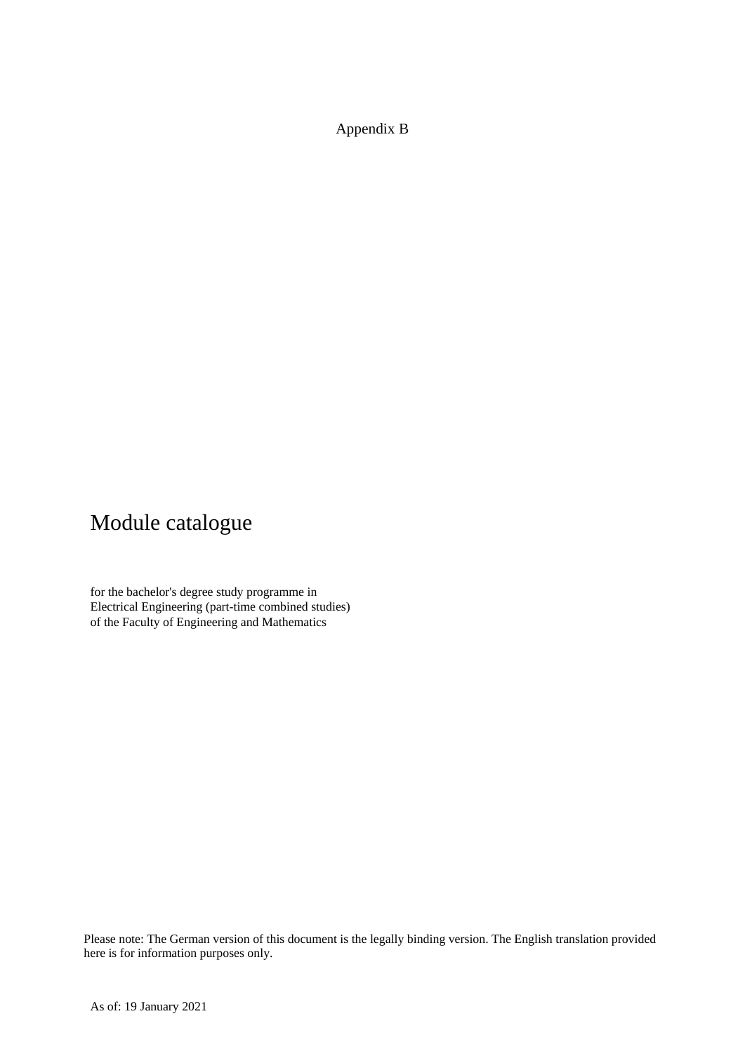Appendix B

# Module catalogue

for the bachelor's degree study programme in Electrical Engineering (part-time combined studies) of the Faculty of Engineering and Mathematics

Please note: The German version of this document is the legally binding version. The English translation provided here is for information purposes only.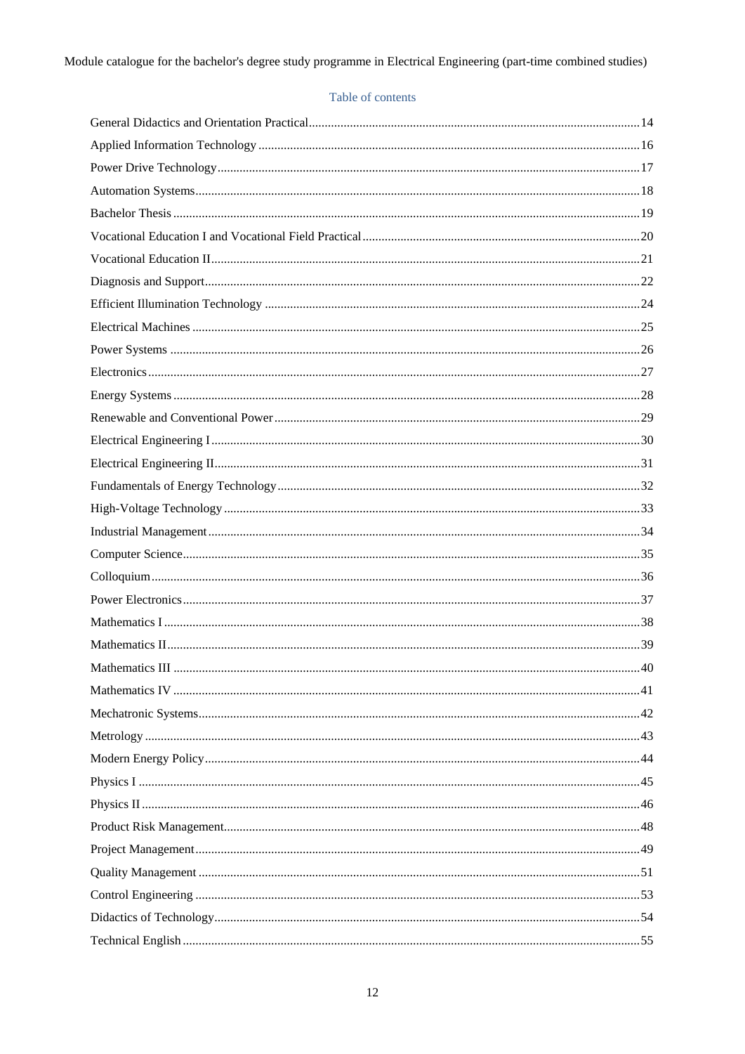# Table of contents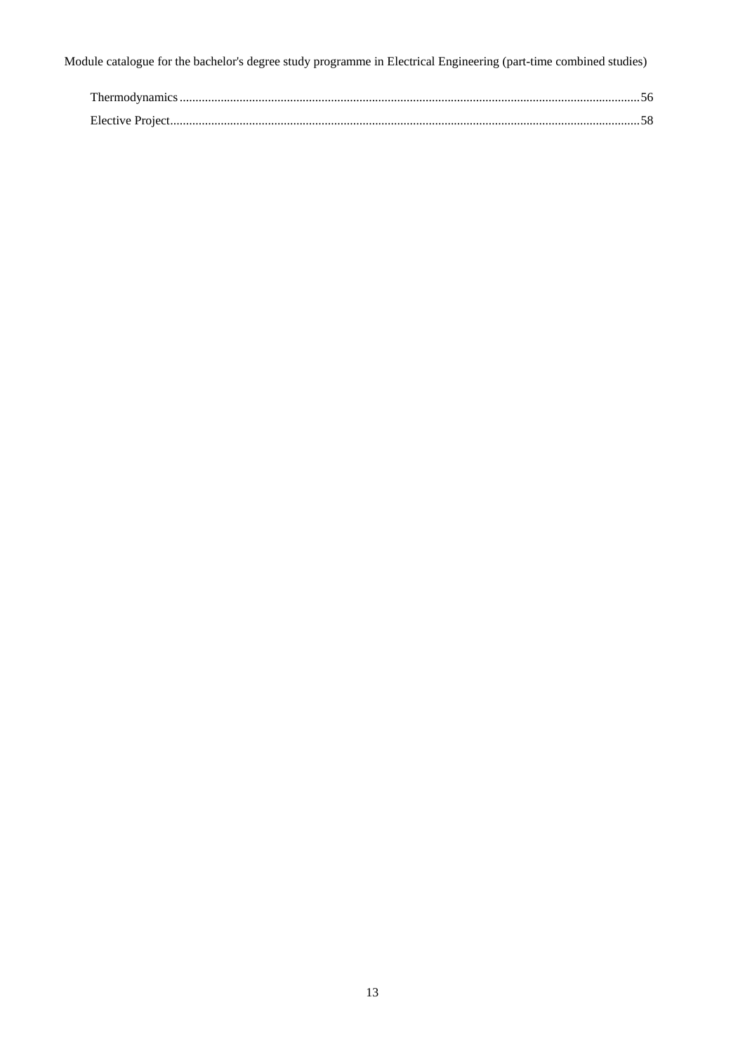Module catalogue for the bachelor's degree study programme in Electrical Engineering (part-time combined studies)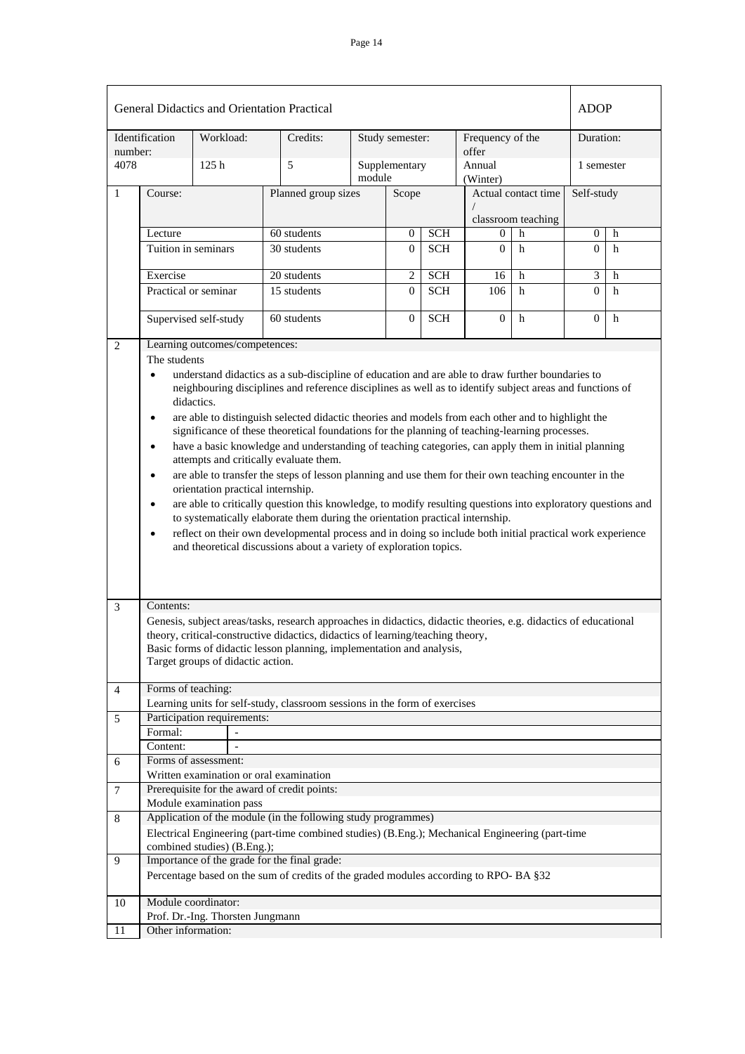|                |                                                                                                                 |                  |               | General Didactics and Orientation Practical                                                                                                                                                                                                                                                                                                                                                                                                                                                                                                                                                                                                                                                                                                                                                                                                                                                                                                                                                                                                                                                              |        |                |            |                    |                     | <b>ADOP</b>      |            |  |
|----------------|-----------------------------------------------------------------------------------------------------------------|------------------|---------------|----------------------------------------------------------------------------------------------------------------------------------------------------------------------------------------------------------------------------------------------------------------------------------------------------------------------------------------------------------------------------------------------------------------------------------------------------------------------------------------------------------------------------------------------------------------------------------------------------------------------------------------------------------------------------------------------------------------------------------------------------------------------------------------------------------------------------------------------------------------------------------------------------------------------------------------------------------------------------------------------------------------------------------------------------------------------------------------------------------|--------|----------------|------------|--------------------|---------------------|------------------|------------|--|
|                | Identification<br>Workload:<br>Credits:<br>Frequency of the<br>Duration:<br>Study semester:<br>offer<br>number: |                  |               |                                                                                                                                                                                                                                                                                                                                                                                                                                                                                                                                                                                                                                                                                                                                                                                                                                                                                                                                                                                                                                                                                                          |        |                |            |                    |                     |                  |            |  |
| 4078           |                                                                                                                 | 125 <sub>h</sub> |               | 5                                                                                                                                                                                                                                                                                                                                                                                                                                                                                                                                                                                                                                                                                                                                                                                                                                                                                                                                                                                                                                                                                                        | module | Supplementary  |            | Annual<br>(Winter) |                     |                  | 1 semester |  |
| 1              | Course:                                                                                                         |                  |               | Planned group sizes                                                                                                                                                                                                                                                                                                                                                                                                                                                                                                                                                                                                                                                                                                                                                                                                                                                                                                                                                                                                                                                                                      |        | Scope          |            |                    | Actual contact time | Self-study       |            |  |
|                |                                                                                                                 |                  |               |                                                                                                                                                                                                                                                                                                                                                                                                                                                                                                                                                                                                                                                                                                                                                                                                                                                                                                                                                                                                                                                                                                          |        |                |            |                    |                     |                  |            |  |
|                |                                                                                                                 |                  |               |                                                                                                                                                                                                                                                                                                                                                                                                                                                                                                                                                                                                                                                                                                                                                                                                                                                                                                                                                                                                                                                                                                          |        |                |            |                    | classroom teaching  |                  |            |  |
|                | 60 students<br><b>SCH</b><br>$\overline{0}$<br>Lecture                                                          |                  |               |                                                                                                                                                                                                                                                                                                                                                                                                                                                                                                                                                                                                                                                                                                                                                                                                                                                                                                                                                                                                                                                                                                          |        |                |            | $\theta$           | h                   | $\boldsymbol{0}$ | h          |  |
|                | Tuition in seminars<br>30 students                                                                              |                  |               |                                                                                                                                                                                                                                                                                                                                                                                                                                                                                                                                                                                                                                                                                                                                                                                                                                                                                                                                                                                                                                                                                                          |        | $\Omega$       | <b>SCH</b> | $\Omega$           | h                   | $\Omega$         | h          |  |
|                | Exercise                                                                                                        |                  |               | 20 students                                                                                                                                                                                                                                                                                                                                                                                                                                                                                                                                                                                                                                                                                                                                                                                                                                                                                                                                                                                                                                                                                              |        | $\overline{c}$ | <b>SCH</b> | 16                 | h                   | 3                | h          |  |
|                | Practical or seminar                                                                                            |                  |               | 15 students                                                                                                                                                                                                                                                                                                                                                                                                                                                                                                                                                                                                                                                                                                                                                                                                                                                                                                                                                                                                                                                                                              |        | $\overline{0}$ | <b>SCH</b> | 106                | h                   | $\overline{0}$   | h          |  |
|                | Supervised self-study                                                                                           |                  |               | 60 students                                                                                                                                                                                                                                                                                                                                                                                                                                                                                                                                                                                                                                                                                                                                                                                                                                                                                                                                                                                                                                                                                              |        | $\overline{0}$ | <b>SCH</b> | $\theta$           | $\,$ h              | $\overline{0}$   | h          |  |
| $\overline{2}$ | Learning outcomes/competences:                                                                                  |                  |               |                                                                                                                                                                                                                                                                                                                                                                                                                                                                                                                                                                                                                                                                                                                                                                                                                                                                                                                                                                                                                                                                                                          |        |                |            |                    |                     |                  |            |  |
|                | The students<br>$\bullet$<br>$\bullet$<br>$\bullet$<br>$\bullet$<br>$\bullet$<br>$\bullet$                      | didactics.       |               | understand didactics as a sub-discipline of education and are able to draw further boundaries to<br>neighbouring disciplines and reference disciplines as well as to identify subject areas and functions of<br>are able to distinguish selected didactic theories and models from each other and to highlight the<br>significance of these theoretical foundations for the planning of teaching-learning processes.<br>have a basic knowledge and understanding of teaching categories, can apply them in initial planning<br>attempts and critically evaluate them.<br>are able to transfer the steps of lesson planning and use them for their own teaching encounter in the<br>orientation practical internship.<br>are able to critically question this knowledge, to modify resulting questions into exploratory questions and<br>to systematically elaborate them during the orientation practical internship.<br>reflect on their own developmental process and in doing so include both initial practical work experience<br>and theoretical discussions about a variety of exploration topics. |        |                |            |                    |                     |                  |            |  |
| $\mathfrak{Z}$ | Contents:                                                                                                       |                  |               |                                                                                                                                                                                                                                                                                                                                                                                                                                                                                                                                                                                                                                                                                                                                                                                                                                                                                                                                                                                                                                                                                                          |        |                |            |                    |                     |                  |            |  |
|                |                                                                                                                 |                  |               | Genesis, subject areas/tasks, research approaches in didactics, didactic theories, e.g. didactics of educational<br>theory, critical-constructive didactics, didactics of learning/teaching theory,                                                                                                                                                                                                                                                                                                                                                                                                                                                                                                                                                                                                                                                                                                                                                                                                                                                                                                      |        |                |            |                    |                     |                  |            |  |
|                |                                                                                                                 |                  |               | Basic forms of didactic lesson planning, implementation and analysis,                                                                                                                                                                                                                                                                                                                                                                                                                                                                                                                                                                                                                                                                                                                                                                                                                                                                                                                                                                                                                                    |        |                |            |                    |                     |                  |            |  |
|                | Target groups of didactic action.                                                                               |                  |               |                                                                                                                                                                                                                                                                                                                                                                                                                                                                                                                                                                                                                                                                                                                                                                                                                                                                                                                                                                                                                                                                                                          |        |                |            |                    |                     |                  |            |  |
|                |                                                                                                                 |                  |               |                                                                                                                                                                                                                                                                                                                                                                                                                                                                                                                                                                                                                                                                                                                                                                                                                                                                                                                                                                                                                                                                                                          |        |                |            |                    |                     |                  |            |  |
| $\overline{4}$ | Forms of teaching:                                                                                              |                  |               |                                                                                                                                                                                                                                                                                                                                                                                                                                                                                                                                                                                                                                                                                                                                                                                                                                                                                                                                                                                                                                                                                                          |        |                |            |                    |                     |                  |            |  |
|                |                                                                                                                 |                  |               | Learning units for self-study, classroom sessions in the form of exercises                                                                                                                                                                                                                                                                                                                                                                                                                                                                                                                                                                                                                                                                                                                                                                                                                                                                                                                                                                                                                               |        |                |            |                    |                     |                  |            |  |
| 5              | Participation requirements:                                                                                     |                  |               |                                                                                                                                                                                                                                                                                                                                                                                                                                                                                                                                                                                                                                                                                                                                                                                                                                                                                                                                                                                                                                                                                                          |        |                |            |                    |                     |                  |            |  |
|                | Formal:                                                                                                         |                  | $\frac{1}{2}$ |                                                                                                                                                                                                                                                                                                                                                                                                                                                                                                                                                                                                                                                                                                                                                                                                                                                                                                                                                                                                                                                                                                          |        |                |            |                    |                     |                  |            |  |
|                | Content:<br>Forms of assessment:                                                                                |                  |               |                                                                                                                                                                                                                                                                                                                                                                                                                                                                                                                                                                                                                                                                                                                                                                                                                                                                                                                                                                                                                                                                                                          |        |                |            |                    |                     |                  |            |  |
| 6              |                                                                                                                 |                  |               | Written examination or oral examination                                                                                                                                                                                                                                                                                                                                                                                                                                                                                                                                                                                                                                                                                                                                                                                                                                                                                                                                                                                                                                                                  |        |                |            |                    |                     |                  |            |  |
| 7              |                                                                                                                 |                  |               | Prerequisite for the award of credit points:                                                                                                                                                                                                                                                                                                                                                                                                                                                                                                                                                                                                                                                                                                                                                                                                                                                                                                                                                                                                                                                             |        |                |            |                    |                     |                  |            |  |
|                | Module examination pass                                                                                         |                  |               |                                                                                                                                                                                                                                                                                                                                                                                                                                                                                                                                                                                                                                                                                                                                                                                                                                                                                                                                                                                                                                                                                                          |        |                |            |                    |                     |                  |            |  |
| 8              |                                                                                                                 |                  |               | Application of the module (in the following study programmes)                                                                                                                                                                                                                                                                                                                                                                                                                                                                                                                                                                                                                                                                                                                                                                                                                                                                                                                                                                                                                                            |        |                |            |                    |                     |                  |            |  |
|                |                                                                                                                 |                  |               | Electrical Engineering (part-time combined studies) (B.Eng.); Mechanical Engineering (part-time                                                                                                                                                                                                                                                                                                                                                                                                                                                                                                                                                                                                                                                                                                                                                                                                                                                                                                                                                                                                          |        |                |            |                    |                     |                  |            |  |
|                | combined studies) (B.Eng.);                                                                                     |                  |               | Importance of the grade for the final grade:                                                                                                                                                                                                                                                                                                                                                                                                                                                                                                                                                                                                                                                                                                                                                                                                                                                                                                                                                                                                                                                             |        |                |            |                    |                     |                  |            |  |
| 9              |                                                                                                                 |                  |               | Percentage based on the sum of credits of the graded modules according to RPO-BA §32.                                                                                                                                                                                                                                                                                                                                                                                                                                                                                                                                                                                                                                                                                                                                                                                                                                                                                                                                                                                                                    |        |                |            |                    |                     |                  |            |  |
| 10             | Module coordinator:                                                                                             |                  |               |                                                                                                                                                                                                                                                                                                                                                                                                                                                                                                                                                                                                                                                                                                                                                                                                                                                                                                                                                                                                                                                                                                          |        |                |            |                    |                     |                  |            |  |
|                | Prof. Dr.-Ing. Thorsten Jungmann                                                                                |                  |               |                                                                                                                                                                                                                                                                                                                                                                                                                                                                                                                                                                                                                                                                                                                                                                                                                                                                                                                                                                                                                                                                                                          |        |                |            |                    |                     |                  |            |  |
| 11             | Other information:                                                                                              |                  |               |                                                                                                                                                                                                                                                                                                                                                                                                                                                                                                                                                                                                                                                                                                                                                                                                                                                                                                                                                                                                                                                                                                          |        |                |            |                    |                     |                  |            |  |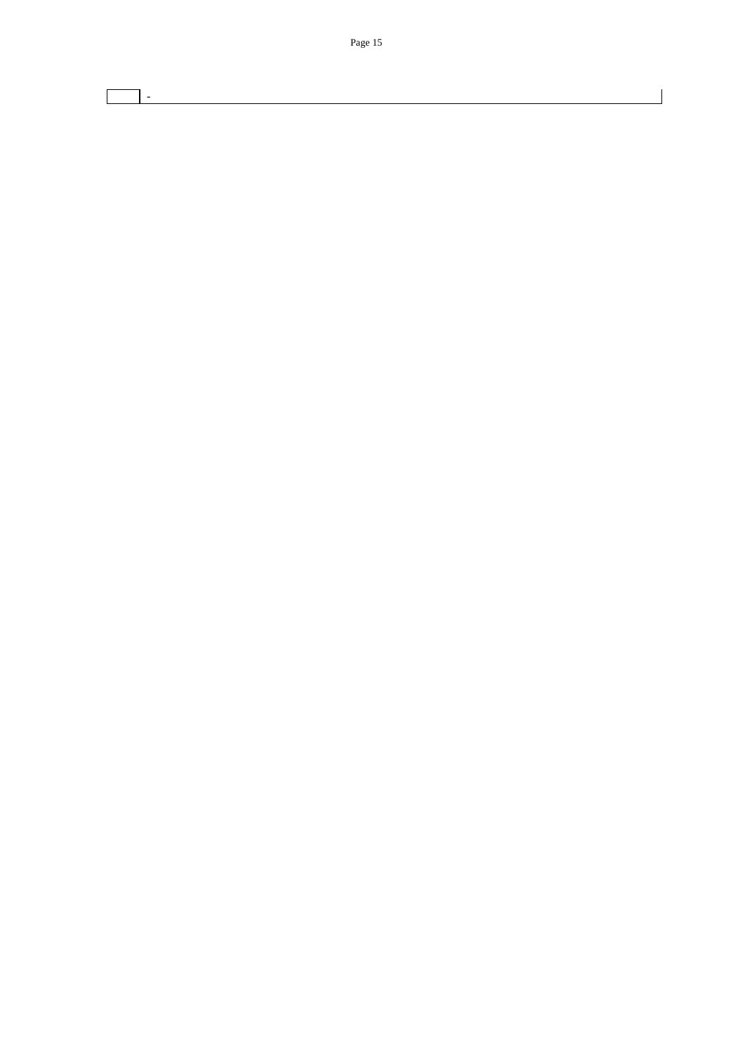ㄱ -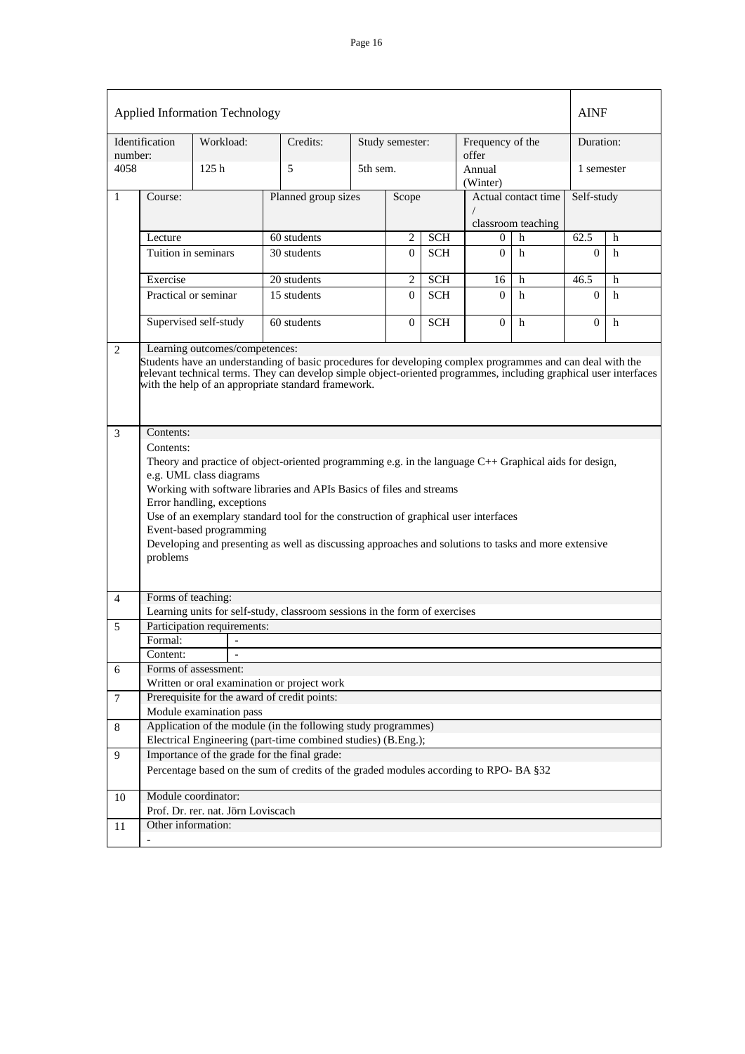|                |                                                                                                                                                                                                                                                                                                                                                                                                                                                                                                           | <b>Applied Information Technology</b> |                                                                                       |          |                 |            |                           |                     | <b>AINF</b> |            |
|----------------|-----------------------------------------------------------------------------------------------------------------------------------------------------------------------------------------------------------------------------------------------------------------------------------------------------------------------------------------------------------------------------------------------------------------------------------------------------------------------------------------------------------|---------------------------------------|---------------------------------------------------------------------------------------|----------|-----------------|------------|---------------------------|---------------------|-------------|------------|
| number:        | Identification                                                                                                                                                                                                                                                                                                                                                                                                                                                                                            | Workload:                             | Credits:                                                                              |          | Study semester: |            | Frequency of the<br>offer |                     | Duration:   |            |
| 4058           |                                                                                                                                                                                                                                                                                                                                                                                                                                                                                                           | 125h                                  | 5                                                                                     | 5th sem. |                 |            | Annual<br>(Winter)        |                     |             | 1 semester |
| $\mathbf{1}$   | Course:                                                                                                                                                                                                                                                                                                                                                                                                                                                                                                   |                                       | Planned group sizes                                                                   |          | Scope           |            | $\sqrt{2}$                | Actual contact time | Self-study  |            |
|                |                                                                                                                                                                                                                                                                                                                                                                                                                                                                                                           |                                       |                                                                                       |          |                 |            |                           | classroom teaching  |             |            |
|                | <b>SCH</b><br>60 students<br>$\overline{0}$<br>h<br>2<br>Lecture                                                                                                                                                                                                                                                                                                                                                                                                                                          |                                       |                                                                                       |          |                 |            |                           | 62.5                | h           |            |
|                | Tuition in seminars                                                                                                                                                                                                                                                                                                                                                                                                                                                                                       |                                       | 30 students                                                                           |          | $\Omega$        | <b>SCH</b> | $\Omega$                  | h                   | $\Omega$    | h          |
|                | Exercise                                                                                                                                                                                                                                                                                                                                                                                                                                                                                                  |                                       | 20 students                                                                           |          | $\overline{c}$  | <b>SCH</b> | 16                        | h                   | 46.5        | h          |
|                | Practical or seminar                                                                                                                                                                                                                                                                                                                                                                                                                                                                                      |                                       | 15 students                                                                           |          | $\Omega$        | <b>SCH</b> | $\Omega$                  | h                   | $\Omega$    | h          |
|                |                                                                                                                                                                                                                                                                                                                                                                                                                                                                                                           | Supervised self-study                 | 60 students                                                                           |          | $\Omega$        | <b>SCH</b> | $\Omega$                  | h                   | $\Omega$    | h          |
| 3              | Learning outcomes/competences:<br>2<br>Students have an understanding of basic procedures for developing complex programmes and can deal with the<br>relevant technical terms. They can develop simple object-oriented programmes, including graphical user interfaces<br>with the help of an appropriate standard framework.                                                                                                                                                                             |                                       |                                                                                       |          |                 |            |                           |                     |             |            |
|                | Contents:<br>Contents:<br>Theory and practice of object-oriented programming e.g. in the language $C++$ Graphical aids for design,<br>e.g. UML class diagrams<br>Working with software libraries and APIs Basics of files and streams<br>Error handling, exceptions<br>Use of an exemplary standard tool for the construction of graphical user interfaces<br>Event-based programming<br>Developing and presenting as well as discussing approaches and solutions to tasks and more extensive<br>problems |                                       |                                                                                       |          |                 |            |                           |                     |             |            |
| $\overline{4}$ | Forms of teaching:                                                                                                                                                                                                                                                                                                                                                                                                                                                                                        |                                       |                                                                                       |          |                 |            |                           |                     |             |            |
|                |                                                                                                                                                                                                                                                                                                                                                                                                                                                                                                           | Participation requirements:           | Learning units for self-study, classroom sessions in the form of exercises            |          |                 |            |                           |                     |             |            |
| 5              | Formal:                                                                                                                                                                                                                                                                                                                                                                                                                                                                                                   | $\overline{a}$                        |                                                                                       |          |                 |            |                           |                     |             |            |
|                | Content:                                                                                                                                                                                                                                                                                                                                                                                                                                                                                                  |                                       |                                                                                       |          |                 |            |                           |                     |             |            |
| 6              |                                                                                                                                                                                                                                                                                                                                                                                                                                                                                                           | Forms of assessment:                  |                                                                                       |          |                 |            |                           |                     |             |            |
|                |                                                                                                                                                                                                                                                                                                                                                                                                                                                                                                           |                                       | Written or oral examination or project work                                           |          |                 |            |                           |                     |             |            |
| $\overline{7}$ |                                                                                                                                                                                                                                                                                                                                                                                                                                                                                                           |                                       | Prerequisite for the award of credit points:                                          |          |                 |            |                           |                     |             |            |
| 8              |                                                                                                                                                                                                                                                                                                                                                                                                                                                                                                           | Module examination pass               | Application of the module (in the following study programmes)                         |          |                 |            |                           |                     |             |            |
|                |                                                                                                                                                                                                                                                                                                                                                                                                                                                                                                           |                                       | Electrical Engineering (part-time combined studies) (B.Eng.);                         |          |                 |            |                           |                     |             |            |
| $\overline{9}$ |                                                                                                                                                                                                                                                                                                                                                                                                                                                                                                           |                                       | Importance of the grade for the final grade:                                          |          |                 |            |                           |                     |             |            |
|                |                                                                                                                                                                                                                                                                                                                                                                                                                                                                                                           |                                       | Percentage based on the sum of credits of the graded modules according to RPO- BA §32 |          |                 |            |                           |                     |             |            |
| 10             |                                                                                                                                                                                                                                                                                                                                                                                                                                                                                                           | Module coordinator:                   |                                                                                       |          |                 |            |                           |                     |             |            |
|                |                                                                                                                                                                                                                                                                                                                                                                                                                                                                                                           | Prof. Dr. rer. nat. Jörn Loviscach    |                                                                                       |          |                 |            |                           |                     |             |            |
| 11             | Other information:                                                                                                                                                                                                                                                                                                                                                                                                                                                                                        |                                       |                                                                                       |          |                 |            |                           |                     |             |            |
|                |                                                                                                                                                                                                                                                                                                                                                                                                                                                                                                           |                                       |                                                                                       |          |                 |            |                           |                     |             |            |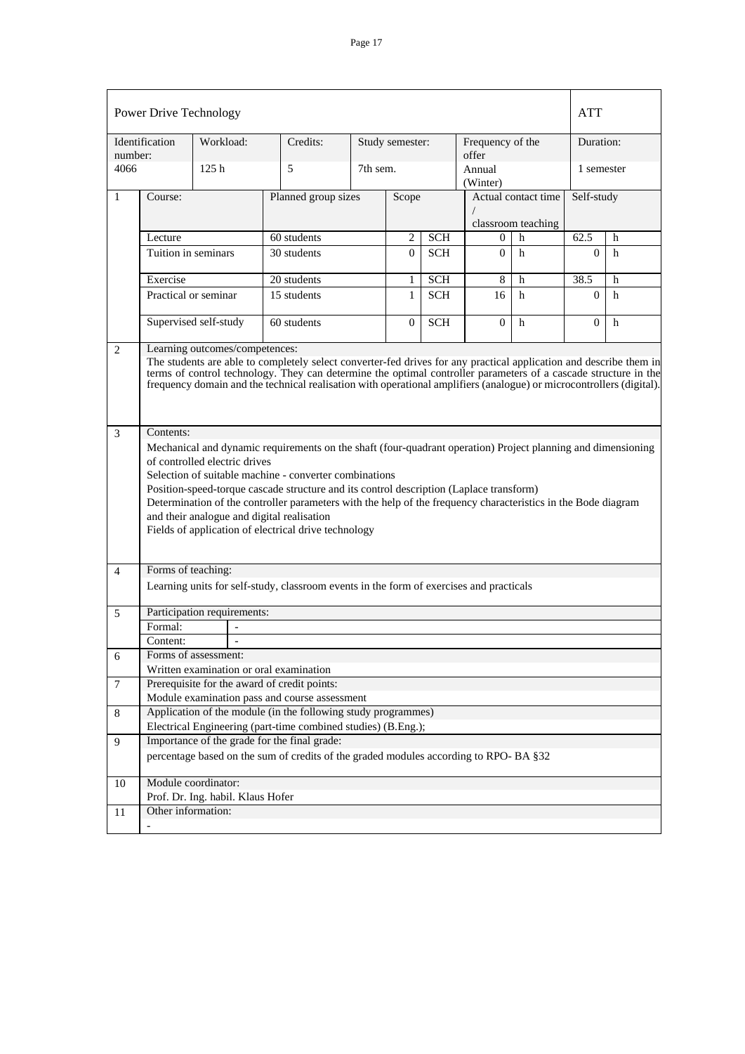|                | <b>Power Drive Technology</b>                                                                                                                                                                                                                                                                                                                                                                                                                                                                                                          |                                   |                                                                                                                                |          |                 |            |                           |                    | <b>ATT</b>     |            |  |
|----------------|----------------------------------------------------------------------------------------------------------------------------------------------------------------------------------------------------------------------------------------------------------------------------------------------------------------------------------------------------------------------------------------------------------------------------------------------------------------------------------------------------------------------------------------|-----------------------------------|--------------------------------------------------------------------------------------------------------------------------------|----------|-----------------|------------|---------------------------|--------------------|----------------|------------|--|
| number:        | Identification                                                                                                                                                                                                                                                                                                                                                                                                                                                                                                                         | Workload:                         | Credits:                                                                                                                       |          | Study semester: |            | Frequency of the<br>offer |                    | Duration:      |            |  |
| 4066           |                                                                                                                                                                                                                                                                                                                                                                                                                                                                                                                                        | 125h                              | 5                                                                                                                              | 7th sem. |                 |            | Annual<br>(Winter)        |                    |                | 1 semester |  |
| 1              | Course:                                                                                                                                                                                                                                                                                                                                                                                                                                                                                                                                |                                   | Planned group sizes                                                                                                            | Scope    |                 | $\sqrt{2}$ | Actual contact time       |                    | Self-study     |            |  |
|                |                                                                                                                                                                                                                                                                                                                                                                                                                                                                                                                                        |                                   |                                                                                                                                |          |                 |            |                           | classroom teaching |                |            |  |
|                | Lecture                                                                                                                                                                                                                                                                                                                                                                                                                                                                                                                                |                                   | 60 students                                                                                                                    |          | $\overline{2}$  | <b>SCH</b> | $\overline{0}$            | h                  | 62.5           | h          |  |
|                | Tuition in seminars                                                                                                                                                                                                                                                                                                                                                                                                                                                                                                                    |                                   | 30 students                                                                                                                    |          | $\Omega$        | <b>SCH</b> | $\Omega$                  | h                  | $\Omega$       | h          |  |
|                | Exercise                                                                                                                                                                                                                                                                                                                                                                                                                                                                                                                               |                                   | 20 students                                                                                                                    |          | 1               | <b>SCH</b> | 8                         | h                  | 38.5           | h          |  |
|                |                                                                                                                                                                                                                                                                                                                                                                                                                                                                                                                                        | Practical or seminar              | 15 students                                                                                                                    |          | $\mathbf{1}$    | <b>SCH</b> | 16                        | h                  | $\overline{0}$ | h          |  |
|                |                                                                                                                                                                                                                                                                                                                                                                                                                                                                                                                                        | Supervised self-study             | 60 students                                                                                                                    |          | $\Omega$        | <b>SCH</b> | $\Omega$                  | h                  | $\Omega$       | h          |  |
| 3              | The students are able to completely select converter-fed drives for any practical application and describe them in<br>terms of control technology. They can determine the optimal controller parameters of a cascade structure in the<br>frequency domain and the technical realisation with operational amplifiers (analogue) or microcontrollers (digital).                                                                                                                                                                          |                                   |                                                                                                                                |          |                 |            |                           |                    |                |            |  |
|                | Contents:<br>Mechanical and dynamic requirements on the shaft (four-quadrant operation) Project planning and dimensioning<br>of controlled electric drives<br>Selection of suitable machine - converter combinations<br>Position-speed-torque cascade structure and its control description (Laplace transform)<br>Determination of the controller parameters with the help of the frequency characteristics in the Bode diagram<br>and their analogue and digital realisation<br>Fields of application of electrical drive technology |                                   |                                                                                                                                |          |                 |            |                           |                    |                |            |  |
| $\overline{4}$ | Forms of teaching:                                                                                                                                                                                                                                                                                                                                                                                                                                                                                                                     |                                   |                                                                                                                                |          |                 |            |                           |                    |                |            |  |
|                |                                                                                                                                                                                                                                                                                                                                                                                                                                                                                                                                        |                                   | Learning units for self-study, classroom events in the form of exercises and practicals                                        |          |                 |            |                           |                    |                |            |  |
| 5              |                                                                                                                                                                                                                                                                                                                                                                                                                                                                                                                                        | Participation requirements:       |                                                                                                                                |          |                 |            |                           |                    |                |            |  |
|                | Formal:                                                                                                                                                                                                                                                                                                                                                                                                                                                                                                                                |                                   |                                                                                                                                |          |                 |            |                           |                    |                |            |  |
|                | Content:                                                                                                                                                                                                                                                                                                                                                                                                                                                                                                                               | $\blacksquare$                    |                                                                                                                                |          |                 |            |                           |                    |                |            |  |
| 6              |                                                                                                                                                                                                                                                                                                                                                                                                                                                                                                                                        | Forms of assessment:              | Written examination or oral examination                                                                                        |          |                 |            |                           |                    |                |            |  |
| $\tau$         |                                                                                                                                                                                                                                                                                                                                                                                                                                                                                                                                        |                                   | Prerequisite for the award of credit points:                                                                                   |          |                 |            |                           |                    |                |            |  |
|                |                                                                                                                                                                                                                                                                                                                                                                                                                                                                                                                                        |                                   | Module examination pass and course assessment                                                                                  |          |                 |            |                           |                    |                |            |  |
| 8              |                                                                                                                                                                                                                                                                                                                                                                                                                                                                                                                                        |                                   | Application of the module (in the following study programmes)<br>Electrical Engineering (part-time combined studies) (B.Eng.); |          |                 |            |                           |                    |                |            |  |
| 9              |                                                                                                                                                                                                                                                                                                                                                                                                                                                                                                                                        |                                   | Importance of the grade for the final grade:                                                                                   |          |                 |            |                           |                    |                |            |  |
|                |                                                                                                                                                                                                                                                                                                                                                                                                                                                                                                                                        |                                   | percentage based on the sum of credits of the graded modules according to RPO-BA §32                                           |          |                 |            |                           |                    |                |            |  |
| 10             |                                                                                                                                                                                                                                                                                                                                                                                                                                                                                                                                        | Module coordinator:               |                                                                                                                                |          |                 |            |                           |                    |                |            |  |
|                |                                                                                                                                                                                                                                                                                                                                                                                                                                                                                                                                        | Prof. Dr. Ing. habil. Klaus Hofer |                                                                                                                                |          |                 |            |                           |                    |                |            |  |
| 11             | Other information:                                                                                                                                                                                                                                                                                                                                                                                                                                                                                                                     |                                   |                                                                                                                                |          |                 |            |                           |                    |                |            |  |
|                |                                                                                                                                                                                                                                                                                                                                                                                                                                                                                                                                        |                                   |                                                                                                                                |          |                 |            |                           |                    |                |            |  |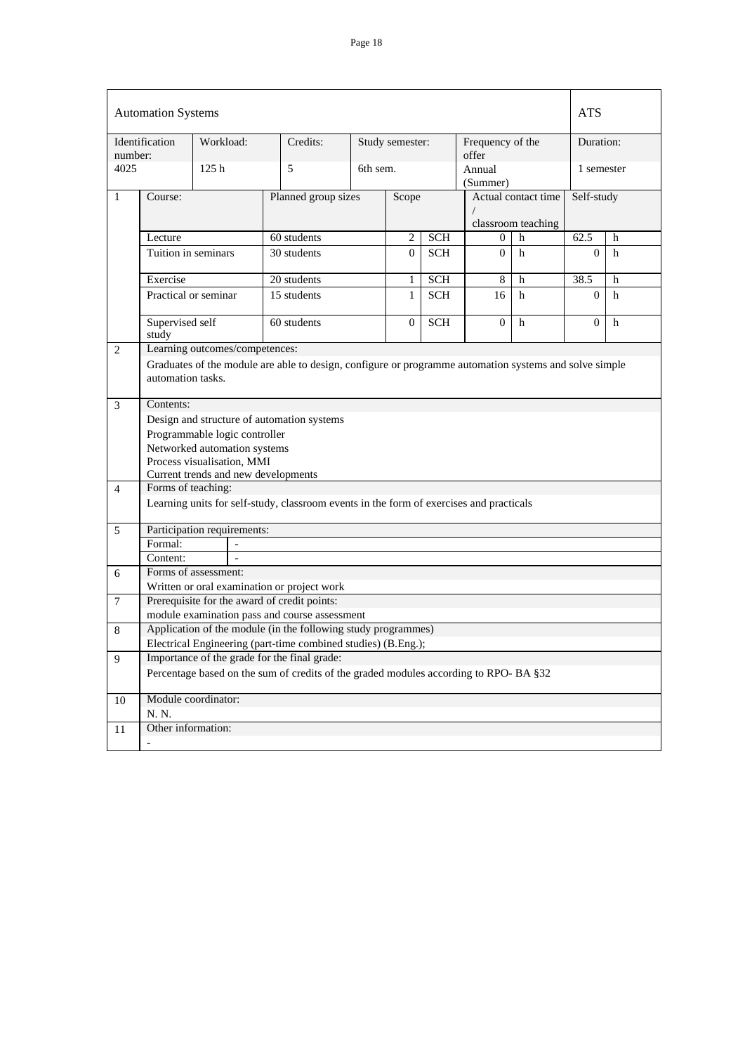|                | <b>Automation Systems</b>          |                                |                                                                                                        |          |                 |            |                           |                                           |                |   |
|----------------|------------------------------------|--------------------------------|--------------------------------------------------------------------------------------------------------|----------|-----------------|------------|---------------------------|-------------------------------------------|----------------|---|
| number:        | Identification                     | Workload:                      | Credits:                                                                                               |          | Study semester: |            | Frequency of the<br>offer |                                           | Duration:      |   |
| 4025           |                                    | 125 <sub>h</sub>               | 5                                                                                                      | 6th sem. |                 |            | Annual<br>(Summer)        |                                           | 1 semester     |   |
| $\mathbf{1}$   | Course:                            |                                | Planned group sizes                                                                                    |          | Scope           |            |                           | Actual contact time<br>classroom teaching | Self-study     |   |
|                | Lecture                            |                                | 60 students                                                                                            |          | 2               | <b>SCH</b> | $\overline{0}$            | h                                         | 62.5           | h |
|                | Tuition in seminars<br>30 students |                                |                                                                                                        |          | $\Omega$        | <b>SCH</b> | $\Omega$                  | h                                         | $\theta$       | h |
|                | Exercise                           |                                | 20 students                                                                                            |          | $\mathbf{1}$    | <b>SCH</b> | 8                         | h                                         | 38.5           | h |
|                | Practical or seminar               |                                | 15 students                                                                                            |          | $\mathbf{1}$    | <b>SCH</b> | 16                        | h                                         | $\overline{0}$ | h |
|                | Supervised self<br>study           |                                | 60 students                                                                                            |          | $\mathbf{0}$    | <b>SCH</b> | $\boldsymbol{0}$          | $\mathbf h$                               | $\theta$       | h |
| 2              |                                    | Learning outcomes/competences: |                                                                                                        |          |                 |            |                           |                                           |                |   |
|                |                                    |                                | Graduates of the module are able to design, configure or programme automation systems and solve simple |          |                 |            |                           |                                           |                |   |
|                | automation tasks.                  |                                |                                                                                                        |          |                 |            |                           |                                           |                |   |
|                |                                    |                                |                                                                                                        |          |                 |            |                           |                                           |                |   |
| $\mathfrak{Z}$ | Contents:                          |                                |                                                                                                        |          |                 |            |                           |                                           |                |   |
|                |                                    |                                | Design and structure of automation systems                                                             |          |                 |            |                           |                                           |                |   |
|                |                                    | Programmable logic controller  |                                                                                                        |          |                 |            |                           |                                           |                |   |
|                |                                    | Networked automation systems   |                                                                                                        |          |                 |            |                           |                                           |                |   |
|                |                                    | Process visualisation, MMI     |                                                                                                        |          |                 |            |                           |                                           |                |   |
|                |                                    |                                | Current trends and new developments                                                                    |          |                 |            |                           |                                           |                |   |
| $\overline{4}$ | Forms of teaching:                 |                                |                                                                                                        |          |                 |            |                           |                                           |                |   |
|                |                                    |                                | Learning units for self-study, classroom events in the form of exercises and practicals                |          |                 |            |                           |                                           |                |   |
| 5              |                                    | Participation requirements:    |                                                                                                        |          |                 |            |                           |                                           |                |   |
|                | Formal:                            |                                |                                                                                                        |          |                 |            |                           |                                           |                |   |
|                | Content:                           |                                |                                                                                                        |          |                 |            |                           |                                           |                |   |
| 6              |                                    | Forms of assessment:           |                                                                                                        |          |                 |            |                           |                                           |                |   |
|                |                                    |                                | Written or oral examination or project work                                                            |          |                 |            |                           |                                           |                |   |
| 7              |                                    |                                | Prerequisite for the award of credit points:                                                           |          |                 |            |                           |                                           |                |   |
|                |                                    |                                | module examination pass and course assessment                                                          |          |                 |            |                           |                                           |                |   |
| 8              |                                    |                                | Application of the module (in the following study programmes)                                          |          |                 |            |                           |                                           |                |   |
|                |                                    |                                | Electrical Engineering (part-time combined studies) (B.Eng.);                                          |          |                 |            |                           |                                           |                |   |
| $\overline{9}$ |                                    |                                | Importance of the grade for the final grade:                                                           |          |                 |            |                           |                                           |                |   |
|                |                                    |                                | Percentage based on the sum of credits of the graded modules according to RPO-BA §32                   |          |                 |            |                           |                                           |                |   |
| 10             |                                    | Module coordinator:            |                                                                                                        |          |                 |            |                           |                                           |                |   |
|                | N. N.                              |                                |                                                                                                        |          |                 |            |                           |                                           |                |   |
| 11             | Other information:                 |                                |                                                                                                        |          |                 |            |                           |                                           |                |   |
|                | $\overline{\phantom{0}}$           |                                |                                                                                                        |          |                 |            |                           |                                           |                |   |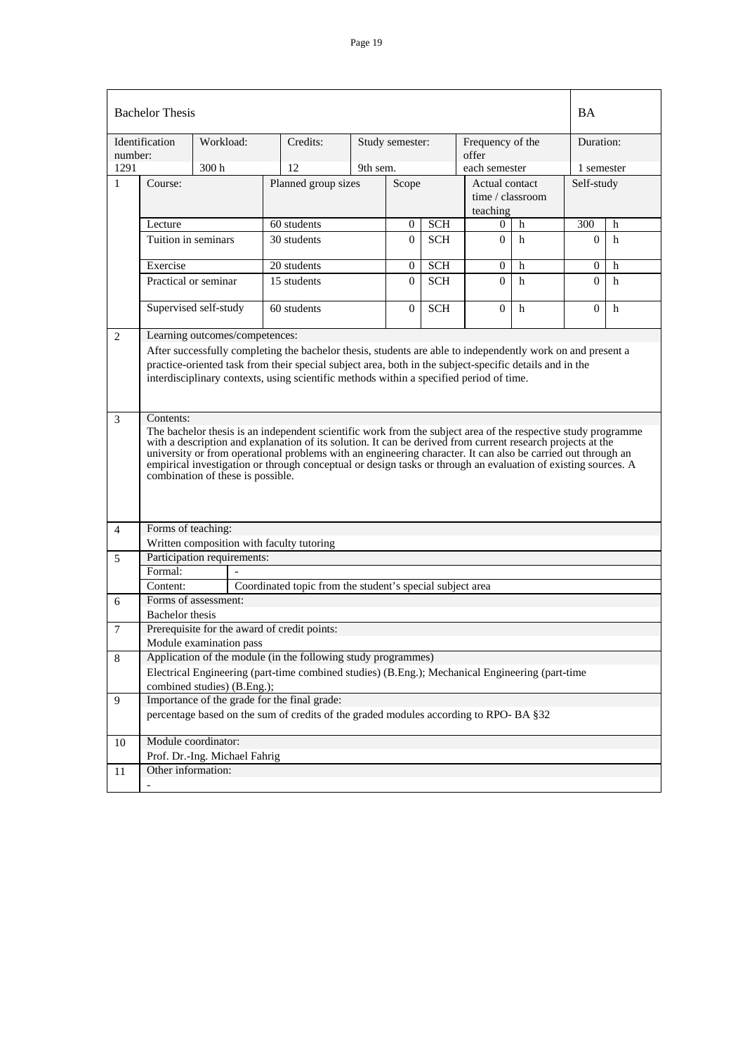|                | <b>Bachelor Thesis</b>                                                                                                                                                                                                                                                                                                                                                                                                                                                                                          |                  |  |                                                                                                             |          |                 |            |                                |   |                |   |  |
|----------------|-----------------------------------------------------------------------------------------------------------------------------------------------------------------------------------------------------------------------------------------------------------------------------------------------------------------------------------------------------------------------------------------------------------------------------------------------------------------------------------------------------------------|------------------|--|-------------------------------------------------------------------------------------------------------------|----------|-----------------|------------|--------------------------------|---|----------------|---|--|
| number:        | Identification                                                                                                                                                                                                                                                                                                                                                                                                                                                                                                  | Workload:        |  | Credits:                                                                                                    |          | Study semester: |            | Frequency of the<br>offer      |   | Duration:      |   |  |
| 1291           |                                                                                                                                                                                                                                                                                                                                                                                                                                                                                                                 | 300 <sub>h</sub> |  | 12                                                                                                          | 9th sem. |                 |            | each semester                  |   | 1 semester     |   |  |
| $\mathbf{1}$   | Course:                                                                                                                                                                                                                                                                                                                                                                                                                                                                                                         |                  |  | Planned group sizes                                                                                         |          | Scope           |            | Actual contact                 |   | Self-study     |   |  |
|                |                                                                                                                                                                                                                                                                                                                                                                                                                                                                                                                 |                  |  |                                                                                                             |          |                 |            | time / $classroom$<br>teaching |   |                |   |  |
|                | Lecture                                                                                                                                                                                                                                                                                                                                                                                                                                                                                                         |                  |  | 60 students                                                                                                 |          | $\mathbf{0}$    | <b>SCH</b> | 0                              | h | 300            | h |  |
|                | Tuition in seminars                                                                                                                                                                                                                                                                                                                                                                                                                                                                                             |                  |  | 30 students                                                                                                 |          | $\Omega$        | <b>SCH</b> | $\overline{0}$                 | h | $\overline{0}$ | h |  |
|                |                                                                                                                                                                                                                                                                                                                                                                                                                                                                                                                 |                  |  |                                                                                                             |          |                 |            |                                |   |                |   |  |
|                | Exercise                                                                                                                                                                                                                                                                                                                                                                                                                                                                                                        |                  |  | 20 students                                                                                                 |          | $\overline{0}$  | <b>SCH</b> | $\overline{0}$                 | h | $\overline{0}$ | h |  |
|                | Practical or seminar                                                                                                                                                                                                                                                                                                                                                                                                                                                                                            |                  |  | 15 students                                                                                                 |          | $\Omega$        | <b>SCH</b> | $\Omega$                       | h | $\overline{0}$ | h |  |
|                | Supervised self-study                                                                                                                                                                                                                                                                                                                                                                                                                                                                                           |                  |  | 60 students                                                                                                 |          | $\mathbf{0}$    | <b>SCH</b> | $\mathbf{0}$                   | h | $\overline{0}$ | h |  |
| 2              | Learning outcomes/competences:                                                                                                                                                                                                                                                                                                                                                                                                                                                                                  |                  |  |                                                                                                             |          |                 |            |                                |   |                |   |  |
|                |                                                                                                                                                                                                                                                                                                                                                                                                                                                                                                                 |                  |  | After successfully completing the bachelor thesis, students are able to independently work on and present a |          |                 |            |                                |   |                |   |  |
|                |                                                                                                                                                                                                                                                                                                                                                                                                                                                                                                                 |                  |  | practice-oriented task from their special subject area, both in the subject-specific details and in the     |          |                 |            |                                |   |                |   |  |
|                |                                                                                                                                                                                                                                                                                                                                                                                                                                                                                                                 |                  |  | interdisciplinary contexts, using scientific methods within a specified period of time.                     |          |                 |            |                                |   |                |   |  |
|                |                                                                                                                                                                                                                                                                                                                                                                                                                                                                                                                 |                  |  |                                                                                                             |          |                 |            |                                |   |                |   |  |
| 3              |                                                                                                                                                                                                                                                                                                                                                                                                                                                                                                                 |                  |  |                                                                                                             |          |                 |            |                                |   |                |   |  |
|                | Contents:<br>The bachelor thesis is an independent scientific work from the subject area of the respective study programme<br>with a description and explanation of its solution. It can be derived from current research projects at the<br>university or from operational problems with an engineering character. It can also be carried out through an<br>empirical investigation or through conceptual or design tasks or through an evaluation of existing sources. A<br>combination of these is possible. |                  |  |                                                                                                             |          |                 |            |                                |   |                |   |  |
|                |                                                                                                                                                                                                                                                                                                                                                                                                                                                                                                                 |                  |  |                                                                                                             |          |                 |            |                                |   |                |   |  |
| $\overline{4}$ | Forms of teaching:                                                                                                                                                                                                                                                                                                                                                                                                                                                                                              |                  |  | Written composition with faculty tutoring                                                                   |          |                 |            |                                |   |                |   |  |
| 5              | Participation requirements:                                                                                                                                                                                                                                                                                                                                                                                                                                                                                     |                  |  |                                                                                                             |          |                 |            |                                |   |                |   |  |
|                | Formal:                                                                                                                                                                                                                                                                                                                                                                                                                                                                                                         | L.               |  |                                                                                                             |          |                 |            |                                |   |                |   |  |
|                | Content:                                                                                                                                                                                                                                                                                                                                                                                                                                                                                                        |                  |  | Coordinated topic from the student's special subject area                                                   |          |                 |            |                                |   |                |   |  |
| 6              | Forms of assessment:                                                                                                                                                                                                                                                                                                                                                                                                                                                                                            |                  |  |                                                                                                             |          |                 |            |                                |   |                |   |  |
|                | Bachelor thesis                                                                                                                                                                                                                                                                                                                                                                                                                                                                                                 |                  |  |                                                                                                             |          |                 |            |                                |   |                |   |  |
| $\overline{7}$ |                                                                                                                                                                                                                                                                                                                                                                                                                                                                                                                 |                  |  | Prerequisite for the award of credit points:                                                                |          |                 |            |                                |   |                |   |  |
|                | Module examination pass                                                                                                                                                                                                                                                                                                                                                                                                                                                                                         |                  |  |                                                                                                             |          |                 |            |                                |   |                |   |  |
| $\,8\,$        |                                                                                                                                                                                                                                                                                                                                                                                                                                                                                                                 |                  |  | Application of the module (in the following study programmes)                                               |          |                 |            |                                |   |                |   |  |
|                |                                                                                                                                                                                                                                                                                                                                                                                                                                                                                                                 |                  |  | Electrical Engineering (part-time combined studies) (B.Eng.); Mechanical Engineering (part-time             |          |                 |            |                                |   |                |   |  |
|                | combined studies) (B.Eng.);                                                                                                                                                                                                                                                                                                                                                                                                                                                                                     |                  |  |                                                                                                             |          |                 |            |                                |   |                |   |  |
| 9              |                                                                                                                                                                                                                                                                                                                                                                                                                                                                                                                 |                  |  | Importance of the grade for the final grade:                                                                |          |                 |            |                                |   |                |   |  |
|                |                                                                                                                                                                                                                                                                                                                                                                                                                                                                                                                 |                  |  | percentage based on the sum of credits of the graded modules according to RPO- BA §32                       |          |                 |            |                                |   |                |   |  |
| 10             | Module coordinator:                                                                                                                                                                                                                                                                                                                                                                                                                                                                                             |                  |  |                                                                                                             |          |                 |            |                                |   |                |   |  |
|                | Prof. Dr.-Ing. Michael Fahrig                                                                                                                                                                                                                                                                                                                                                                                                                                                                                   |                  |  |                                                                                                             |          |                 |            |                                |   |                |   |  |
| 11             | Other information:                                                                                                                                                                                                                                                                                                                                                                                                                                                                                              |                  |  |                                                                                                             |          |                 |            |                                |   |                |   |  |
|                |                                                                                                                                                                                                                                                                                                                                                                                                                                                                                                                 |                  |  |                                                                                                             |          |                 |            |                                |   |                |   |  |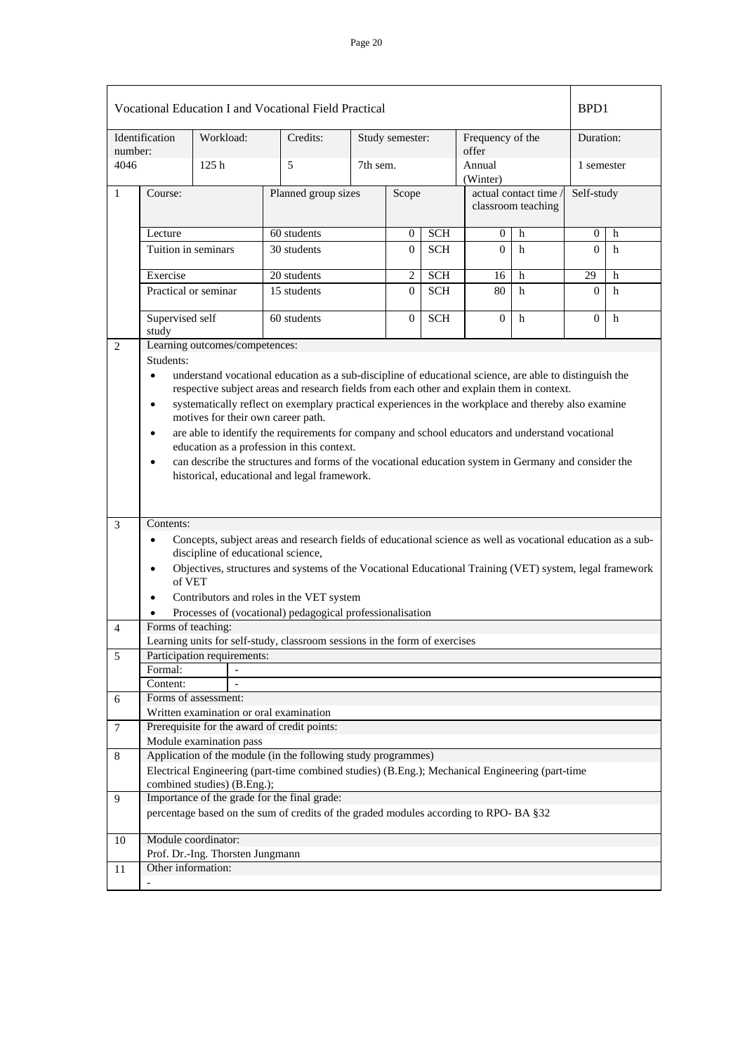| number:        | Identification                                   | Workload: |                                                                                                                                                                                                                                                                                                                                                                                                                                                              | Credits:            |          | Study semester: |            | Frequency of the<br>offer                   |             | Duration:        |   |
|----------------|--------------------------------------------------|-----------|--------------------------------------------------------------------------------------------------------------------------------------------------------------------------------------------------------------------------------------------------------------------------------------------------------------------------------------------------------------------------------------------------------------------------------------------------------------|---------------------|----------|-----------------|------------|---------------------------------------------|-------------|------------------|---|
| 4046           |                                                  | 125h      |                                                                                                                                                                                                                                                                                                                                                                                                                                                              | 5                   | 7th sem. |                 |            | Annual<br>(Winter)                          |             | 1 semester       |   |
| $\mathbf{1}$   | Course:                                          |           |                                                                                                                                                                                                                                                                                                                                                                                                                                                              | Planned group sizes |          | Scope           |            | actual contact time /<br>classroom teaching |             | Self-study       |   |
|                | Lecture                                          |           |                                                                                                                                                                                                                                                                                                                                                                                                                                                              | 60 students         |          | $\overline{0}$  | <b>SCH</b> | $\boldsymbol{0}$                            | h           | $\boldsymbol{0}$ | h |
|                | Tuition in seminars                              |           |                                                                                                                                                                                                                                                                                                                                                                                                                                                              | 30 students         |          | $\Omega$        | <b>SCH</b> | $\Omega$                                    | h           | $\Omega$         | h |
|                | Exercise                                         |           |                                                                                                                                                                                                                                                                                                                                                                                                                                                              | 20 students         |          | 2               | <b>SCH</b> | 16                                          | h           | 29               | h |
|                | Practical or seminar                             |           |                                                                                                                                                                                                                                                                                                                                                                                                                                                              | 15 students         |          | $\Omega$        | <b>SCH</b> | 80                                          | h           | $\theta$         | h |
|                |                                                  |           |                                                                                                                                                                                                                                                                                                                                                                                                                                                              |                     |          |                 |            |                                             |             |                  |   |
|                | Supervised self<br>study                         |           |                                                                                                                                                                                                                                                                                                                                                                                                                                                              | 60 students         |          | $\overline{0}$  | <b>SCH</b> | $\Omega$                                    | $\mathbf h$ | $\overline{0}$   | h |
| 2              |                                                  |           | Learning outcomes/competences:                                                                                                                                                                                                                                                                                                                                                                                                                               |                     |          |                 |            |                                             |             |                  |   |
| 3              | $\bullet$<br>$\bullet$<br>Contents:<br>$\bullet$ |           | are able to identify the requirements for company and school educators and understand vocational<br>education as a profession in this context.<br>can describe the structures and forms of the vocational education system in Germany and consider the<br>historical, educational and legal framework.<br>Concepts, subject areas and research fields of educational science as well as vocational education as a sub-<br>discipline of educational science, |                     |          |                 |            |                                             |             |                  |   |
|                | $\bullet$<br>$\bullet$                           | of VET    | Objectives, structures and systems of the Vocational Educational Training (VET) system, legal framework<br>Contributors and roles in the VET system<br>Processes of (vocational) pedagogical professionalisation                                                                                                                                                                                                                                             |                     |          |                 |            |                                             |             |                  |   |
| $\overline{4}$ | Forms of teaching:                               |           |                                                                                                                                                                                                                                                                                                                                                                                                                                                              |                     |          |                 |            |                                             |             |                  |   |
|                |                                                  |           | Learning units for self-study, classroom sessions in the form of exercises                                                                                                                                                                                                                                                                                                                                                                                   |                     |          |                 |            |                                             |             |                  |   |
| 5              | Participation requirements:                      |           |                                                                                                                                                                                                                                                                                                                                                                                                                                                              |                     |          |                 |            |                                             |             |                  |   |
|                | Formal:<br>Content:                              |           | $\overline{a}$                                                                                                                                                                                                                                                                                                                                                                                                                                               |                     |          |                 |            |                                             |             |                  |   |
|                |                                                  |           | $\sim$                                                                                                                                                                                                                                                                                                                                                                                                                                                       |                     |          |                 |            |                                             |             |                  |   |
|                |                                                  |           |                                                                                                                                                                                                                                                                                                                                                                                                                                                              |                     |          |                 |            |                                             |             |                  |   |
| 6              | Forms of assessment:                             |           |                                                                                                                                                                                                                                                                                                                                                                                                                                                              |                     |          |                 |            |                                             |             |                  |   |
| 7              |                                                  |           | Written examination or oral examination<br>Prerequisite for the award of credit points:                                                                                                                                                                                                                                                                                                                                                                      |                     |          |                 |            |                                             |             |                  |   |
|                | Module examination pass                          |           |                                                                                                                                                                                                                                                                                                                                                                                                                                                              |                     |          |                 |            |                                             |             |                  |   |
| $\,8\,$        |                                                  |           | Application of the module (in the following study programmes)                                                                                                                                                                                                                                                                                                                                                                                                |                     |          |                 |            |                                             |             |                  |   |
|                |                                                  |           | Electrical Engineering (part-time combined studies) (B.Eng.); Mechanical Engineering (part-time<br>combined studies) (B.Eng.);                                                                                                                                                                                                                                                                                                                               |                     |          |                 |            |                                             |             |                  |   |
| 9              |                                                  |           | Importance of the grade for the final grade:<br>percentage based on the sum of credits of the graded modules according to RPO-BA §32                                                                                                                                                                                                                                                                                                                         |                     |          |                 |            |                                             |             |                  |   |
| 10             | Module coordinator:                              |           |                                                                                                                                                                                                                                                                                                                                                                                                                                                              |                     |          |                 |            |                                             |             |                  |   |
| 11             | Other information:                               |           | Prof. Dr.-Ing. Thorsten Jungmann                                                                                                                                                                                                                                                                                                                                                                                                                             |                     |          |                 |            |                                             |             |                  |   |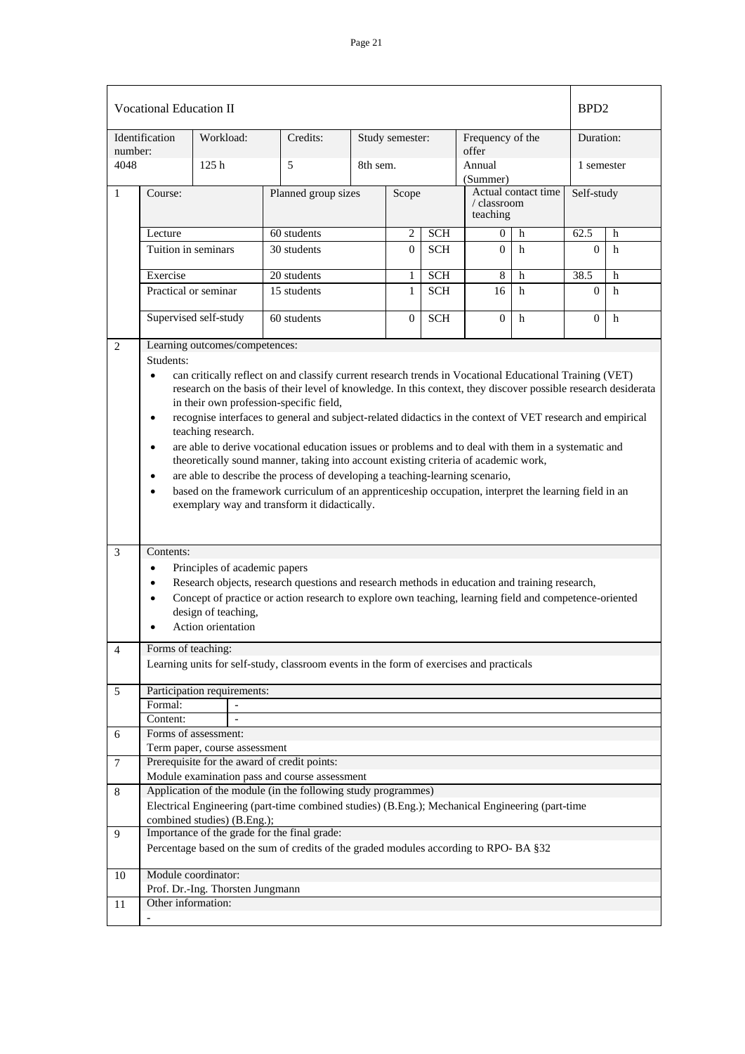|                | Vocational Education II                                                                                                                                                                                                                                                                                                                                                                                                                                                                                                                                                                                                                                                                                                                                                                                                                                                                                                                                                      |                                           |                                                                                                                                                                                                         |          |                 |            |                           |                     | BPD <sub>2</sub> |   |
|----------------|------------------------------------------------------------------------------------------------------------------------------------------------------------------------------------------------------------------------------------------------------------------------------------------------------------------------------------------------------------------------------------------------------------------------------------------------------------------------------------------------------------------------------------------------------------------------------------------------------------------------------------------------------------------------------------------------------------------------------------------------------------------------------------------------------------------------------------------------------------------------------------------------------------------------------------------------------------------------------|-------------------------------------------|---------------------------------------------------------------------------------------------------------------------------------------------------------------------------------------------------------|----------|-----------------|------------|---------------------------|---------------------|------------------|---|
| number:        | Identification                                                                                                                                                                                                                                                                                                                                                                                                                                                                                                                                                                                                                                                                                                                                                                                                                                                                                                                                                               | Workload:                                 | Credits:                                                                                                                                                                                                |          | Study semester: |            | Frequency of the<br>offer |                     | Duration:        |   |
| 4048           |                                                                                                                                                                                                                                                                                                                                                                                                                                                                                                                                                                                                                                                                                                                                                                                                                                                                                                                                                                              | 125h                                      | 5                                                                                                                                                                                                       | 8th sem. |                 |            | Annual<br>(Summer)        |                     | 1 semester       |   |
| 1              | Course:                                                                                                                                                                                                                                                                                                                                                                                                                                                                                                                                                                                                                                                                                                                                                                                                                                                                                                                                                                      |                                           | Planned group sizes                                                                                                                                                                                     |          | Scope           |            | / classroom<br>teaching   | Actual contact time | Self-study       |   |
|                | Lecture                                                                                                                                                                                                                                                                                                                                                                                                                                                                                                                                                                                                                                                                                                                                                                                                                                                                                                                                                                      |                                           | 60 students                                                                                                                                                                                             |          | 2               | <b>SCH</b> | $\overline{0}$            | h                   | 62.5             | h |
|                | Tuition in seminars                                                                                                                                                                                                                                                                                                                                                                                                                                                                                                                                                                                                                                                                                                                                                                                                                                                                                                                                                          |                                           | 30 students                                                                                                                                                                                             |          | $\Omega$        | <b>SCH</b> | $\Omega$                  | h                   | $\Omega$         | h |
|                | Exercise                                                                                                                                                                                                                                                                                                                                                                                                                                                                                                                                                                                                                                                                                                                                                                                                                                                                                                                                                                     |                                           | 20 students                                                                                                                                                                                             |          | 1               | <b>SCH</b> | 8                         | h                   | 38.5             | h |
|                |                                                                                                                                                                                                                                                                                                                                                                                                                                                                                                                                                                                                                                                                                                                                                                                                                                                                                                                                                                              | Practical or seminar                      | 15 students                                                                                                                                                                                             |          | $\mathbf{1}$    | <b>SCH</b> | 16                        | h                   | $\Omega$         | h |
|                |                                                                                                                                                                                                                                                                                                                                                                                                                                                                                                                                                                                                                                                                                                                                                                                                                                                                                                                                                                              | Supervised self-study                     | 60 students                                                                                                                                                                                             |          | $\overline{0}$  | <b>SCH</b> | $\Omega$                  | $\mathbf h$         | $\mathbf{0}$     | h |
| 2              |                                                                                                                                                                                                                                                                                                                                                                                                                                                                                                                                                                                                                                                                                                                                                                                                                                                                                                                                                                              | Learning outcomes/competences:            |                                                                                                                                                                                                         |          |                 |            |                           |                     |                  |   |
| 3              | Students:<br>can critically reflect on and classify current research trends in Vocational Educational Training (VET)<br>$\bullet$<br>research on the basis of their level of knowledge. In this context, they discover possible research desiderata<br>in their own profession-specific field,<br>recognise interfaces to general and subject-related didactics in the context of VET research and empirical<br>$\bullet$<br>teaching research.<br>are able to derive vocational education issues or problems and to deal with them in a systematic and<br>theoretically sound manner, taking into account existing criteria of academic work,<br>are able to describe the process of developing a teaching-learning scenario,<br>$\bullet$<br>based on the framework curriculum of an apprenticeship occupation, interpret the learning field in an<br>$\bullet$<br>exemplary way and transform it didactically.<br>Contents:<br>Principles of academic papers<br>$\bullet$ |                                           |                                                                                                                                                                                                         |          |                 |            |                           |                     |                  |   |
|                | $\bullet$<br>$\bullet$                                                                                                                                                                                                                                                                                                                                                                                                                                                                                                                                                                                                                                                                                                                                                                                                                                                                                                                                                       | design of teaching,<br>Action orientation | Research objects, research questions and research methods in education and training research,<br>Concept of practice or action research to explore own teaching, learning field and competence-oriented |          |                 |            |                           |                     |                  |   |
| $\overline{4}$ | Forms of teaching:                                                                                                                                                                                                                                                                                                                                                                                                                                                                                                                                                                                                                                                                                                                                                                                                                                                                                                                                                           |                                           | Learning units for self-study, classroom events in the form of exercises and practicals                                                                                                                 |          |                 |            |                           |                     |                  |   |
| 5              |                                                                                                                                                                                                                                                                                                                                                                                                                                                                                                                                                                                                                                                                                                                                                                                                                                                                                                                                                                              | Participation requirements:               |                                                                                                                                                                                                         |          |                 |            |                           |                     |                  |   |
|                | Formal:                                                                                                                                                                                                                                                                                                                                                                                                                                                                                                                                                                                                                                                                                                                                                                                                                                                                                                                                                                      |                                           |                                                                                                                                                                                                         |          |                 |            |                           |                     |                  |   |
|                | Content:                                                                                                                                                                                                                                                                                                                                                                                                                                                                                                                                                                                                                                                                                                                                                                                                                                                                                                                                                                     |                                           |                                                                                                                                                                                                         |          |                 |            |                           |                     |                  |   |
| 6              |                                                                                                                                                                                                                                                                                                                                                                                                                                                                                                                                                                                                                                                                                                                                                                                                                                                                                                                                                                              | Forms of assessment:                      |                                                                                                                                                                                                         |          |                 |            |                           |                     |                  |   |
|                |                                                                                                                                                                                                                                                                                                                                                                                                                                                                                                                                                                                                                                                                                                                                                                                                                                                                                                                                                                              | Term paper, course assessment             |                                                                                                                                                                                                         |          |                 |            |                           |                     |                  |   |
| 7              |                                                                                                                                                                                                                                                                                                                                                                                                                                                                                                                                                                                                                                                                                                                                                                                                                                                                                                                                                                              |                                           | Prerequisite for the award of credit points:<br>Module examination pass and course assessment                                                                                                           |          |                 |            |                           |                     |                  |   |
| 8              |                                                                                                                                                                                                                                                                                                                                                                                                                                                                                                                                                                                                                                                                                                                                                                                                                                                                                                                                                                              |                                           | Application of the module (in the following study programmes)                                                                                                                                           |          |                 |            |                           |                     |                  |   |
|                |                                                                                                                                                                                                                                                                                                                                                                                                                                                                                                                                                                                                                                                                                                                                                                                                                                                                                                                                                                              | combined studies) (B.Eng.);               | Electrical Engineering (part-time combined studies) (B.Eng.); Mechanical Engineering (part-time                                                                                                         |          |                 |            |                           |                     |                  |   |
| 9              |                                                                                                                                                                                                                                                                                                                                                                                                                                                                                                                                                                                                                                                                                                                                                                                                                                                                                                                                                                              |                                           | Importance of the grade for the final grade:                                                                                                                                                            |          |                 |            |                           |                     |                  |   |
|                |                                                                                                                                                                                                                                                                                                                                                                                                                                                                                                                                                                                                                                                                                                                                                                                                                                                                                                                                                                              |                                           | Percentage based on the sum of credits of the graded modules according to RPO-BA §32                                                                                                                    |          |                 |            |                           |                     |                  |   |
| 10             |                                                                                                                                                                                                                                                                                                                                                                                                                                                                                                                                                                                                                                                                                                                                                                                                                                                                                                                                                                              | Module coordinator:                       |                                                                                                                                                                                                         |          |                 |            |                           |                     |                  |   |
|                |                                                                                                                                                                                                                                                                                                                                                                                                                                                                                                                                                                                                                                                                                                                                                                                                                                                                                                                                                                              | Prof. Dr.-Ing. Thorsten Jungmann          |                                                                                                                                                                                                         |          |                 |            |                           |                     |                  |   |
| 11             | Other information:                                                                                                                                                                                                                                                                                                                                                                                                                                                                                                                                                                                                                                                                                                                                                                                                                                                                                                                                                           |                                           |                                                                                                                                                                                                         |          |                 |            |                           |                     |                  |   |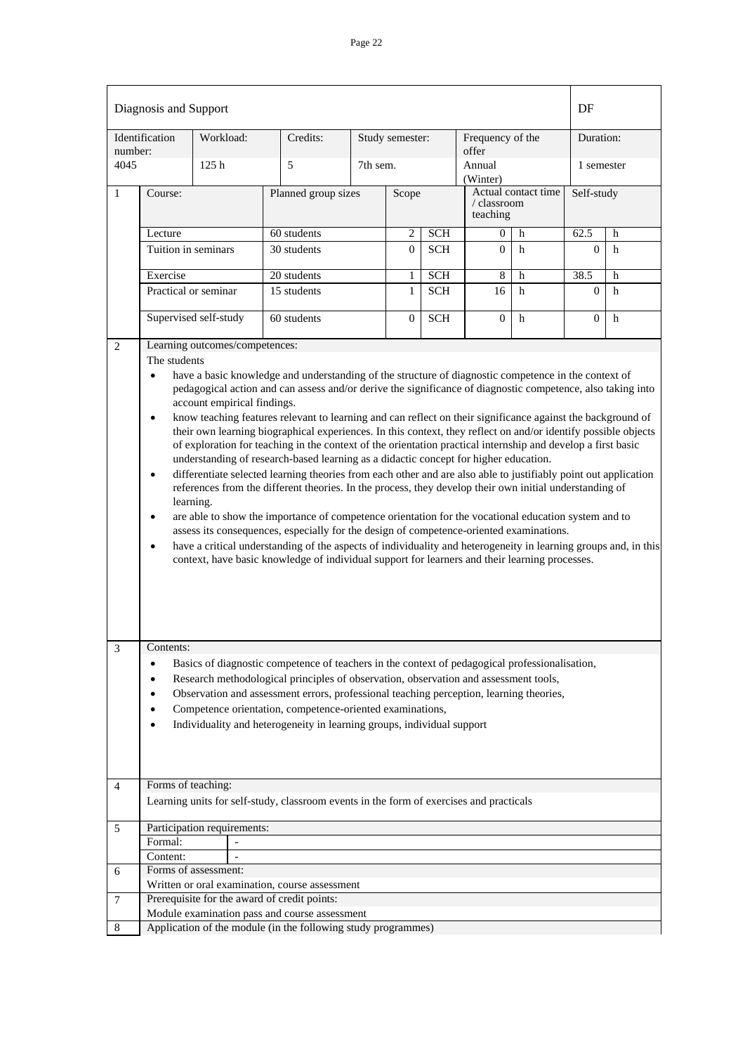|                | Diagnosis and Support                                                         |                                          |                                                                                                                                                                                                                                                                                                                                                                                                                                                                                                                                                                                                                                                                                                                                                                                                                                                                                                                                                                                                                                                                                                                                                                                                                                                                                                                    |          |                 |            |                           |                     | DF             |   |
|----------------|-------------------------------------------------------------------------------|------------------------------------------|--------------------------------------------------------------------------------------------------------------------------------------------------------------------------------------------------------------------------------------------------------------------------------------------------------------------------------------------------------------------------------------------------------------------------------------------------------------------------------------------------------------------------------------------------------------------------------------------------------------------------------------------------------------------------------------------------------------------------------------------------------------------------------------------------------------------------------------------------------------------------------------------------------------------------------------------------------------------------------------------------------------------------------------------------------------------------------------------------------------------------------------------------------------------------------------------------------------------------------------------------------------------------------------------------------------------|----------|-----------------|------------|---------------------------|---------------------|----------------|---|
| number:        | Identification                                                                | Workload:                                | Credits:                                                                                                                                                                                                                                                                                                                                                                                                                                                                                                                                                                                                                                                                                                                                                                                                                                                                                                                                                                                                                                                                                                                                                                                                                                                                                                           |          | Study semester: |            | Frequency of the<br>offer |                     | Duration:      |   |
| 4045           |                                                                               | 125h                                     | 5                                                                                                                                                                                                                                                                                                                                                                                                                                                                                                                                                                                                                                                                                                                                                                                                                                                                                                                                                                                                                                                                                                                                                                                                                                                                                                                  | 7th sem. |                 |            | Annual<br>(Winter)        |                     | 1 semester     |   |
| $\mathbf{1}$   | Course:                                                                       |                                          | Planned group sizes                                                                                                                                                                                                                                                                                                                                                                                                                                                                                                                                                                                                                                                                                                                                                                                                                                                                                                                                                                                                                                                                                                                                                                                                                                                                                                |          | Scope           |            | / classroom<br>teaching   | Actual contact time | Self-study     |   |
|                | Lecture                                                                       |                                          | 60 students                                                                                                                                                                                                                                                                                                                                                                                                                                                                                                                                                                                                                                                                                                                                                                                                                                                                                                                                                                                                                                                                                                                                                                                                                                                                                                        |          | $\mathbf{2}$    | <b>SCH</b> | $\Omega$                  | h                   | 62.5           | h |
|                | Tuition in seminars                                                           |                                          | 30 students                                                                                                                                                                                                                                                                                                                                                                                                                                                                                                                                                                                                                                                                                                                                                                                                                                                                                                                                                                                                                                                                                                                                                                                                                                                                                                        |          | $\Omega$        | <b>SCH</b> | $\Omega$                  | h                   | $\Omega$       | h |
|                | Exercise                                                                      |                                          | 20 students                                                                                                                                                                                                                                                                                                                                                                                                                                                                                                                                                                                                                                                                                                                                                                                                                                                                                                                                                                                                                                                                                                                                                                                                                                                                                                        |          | 1               | <b>SCH</b> | 8                         | h                   | 38.5           | h |
|                |                                                                               | Practical or seminar                     | 15 students                                                                                                                                                                                                                                                                                                                                                                                                                                                                                                                                                                                                                                                                                                                                                                                                                                                                                                                                                                                                                                                                                                                                                                                                                                                                                                        |          | $\mathbf{1}$    | <b>SCH</b> | 16                        | h                   | $\overline{0}$ | h |
|                |                                                                               | Supervised self-study                    | 60 students                                                                                                                                                                                                                                                                                                                                                                                                                                                                                                                                                                                                                                                                                                                                                                                                                                                                                                                                                                                                                                                                                                                                                                                                                                                                                                        |          | $\mathbf{0}$    | <b>SCH</b> | $\theta$                  | h                   | $\overline{0}$ | h |
| $\overline{2}$ |                                                                               | Learning outcomes/competences:           |                                                                                                                                                                                                                                                                                                                                                                                                                                                                                                                                                                                                                                                                                                                                                                                                                                                                                                                                                                                                                                                                                                                                                                                                                                                                                                                    |          |                 |            |                           |                     |                |   |
|                | The students<br>$\bullet$<br>$\bullet$<br>$\bullet$<br>$\bullet$<br>$\bullet$ | account empirical findings.<br>learning. | have a basic knowledge and understanding of the structure of diagnostic competence in the context of<br>pedagogical action and can assess and/or derive the significance of diagnostic competence, also taking into<br>know teaching features relevant to learning and can reflect on their significance against the background of<br>their own learning biographical experiences. In this context, they reflect on and/or identify possible objects<br>of exploration for teaching in the context of the orientation practical internship and develop a first basic<br>understanding of research-based learning as a didactic concept for higher education.<br>differentiate selected learning theories from each other and are also able to justifiably point out application<br>references from the different theories. In the process, they develop their own initial understanding of<br>are able to show the importance of competence orientation for the vocational education system and to<br>assess its consequences, especially for the design of competence-oriented examinations.<br>have a critical understanding of the aspects of individuality and heterogeneity in learning groups and, in this<br>context, have basic knowledge of individual support for learners and their learning processes. |          |                 |            |                           |                     |                |   |
| 3              | Contents:<br>$\bullet$<br>$\bullet$                                           |                                          | Basics of diagnostic competence of teachers in the context of pedagogical professionalisation,<br>Research methodological principles of observation, observation and assessment tools,<br>Observation and assessment errors, professional teaching perception, learning theories,<br>Competence orientation, competence-oriented examinations,<br>Individuality and heterogeneity in learning groups, individual support                                                                                                                                                                                                                                                                                                                                                                                                                                                                                                                                                                                                                                                                                                                                                                                                                                                                                           |          |                 |            |                           |                     |                |   |
| $\overline{4}$ | Forms of teaching:                                                            |                                          |                                                                                                                                                                                                                                                                                                                                                                                                                                                                                                                                                                                                                                                                                                                                                                                                                                                                                                                                                                                                                                                                                                                                                                                                                                                                                                                    |          |                 |            |                           |                     |                |   |
|                |                                                                               |                                          | Learning units for self-study, classroom events in the form of exercises and practicals                                                                                                                                                                                                                                                                                                                                                                                                                                                                                                                                                                                                                                                                                                                                                                                                                                                                                                                                                                                                                                                                                                                                                                                                                            |          |                 |            |                           |                     |                |   |
| 5              |                                                                               | Participation requirements:              |                                                                                                                                                                                                                                                                                                                                                                                                                                                                                                                                                                                                                                                                                                                                                                                                                                                                                                                                                                                                                                                                                                                                                                                                                                                                                                                    |          |                 |            |                           |                     |                |   |
|                | Formal:                                                                       |                                          |                                                                                                                                                                                                                                                                                                                                                                                                                                                                                                                                                                                                                                                                                                                                                                                                                                                                                                                                                                                                                                                                                                                                                                                                                                                                                                                    |          |                 |            |                           |                     |                |   |
|                | Content:                                                                      | $\mathbf{r}$                             |                                                                                                                                                                                                                                                                                                                                                                                                                                                                                                                                                                                                                                                                                                                                                                                                                                                                                                                                                                                                                                                                                                                                                                                                                                                                                                                    |          |                 |            |                           |                     |                |   |
| 6              |                                                                               | Forms of assessment:                     | Written or oral examination, course assessment                                                                                                                                                                                                                                                                                                                                                                                                                                                                                                                                                                                                                                                                                                                                                                                                                                                                                                                                                                                                                                                                                                                                                                                                                                                                     |          |                 |            |                           |                     |                |   |
|                |                                                                               |                                          | Prerequisite for the award of credit points:                                                                                                                                                                                                                                                                                                                                                                                                                                                                                                                                                                                                                                                                                                                                                                                                                                                                                                                                                                                                                                                                                                                                                                                                                                                                       |          |                 |            |                           |                     |                |   |
| $\overline{7}$ |                                                                               |                                          | Module examination pass and course assessment                                                                                                                                                                                                                                                                                                                                                                                                                                                                                                                                                                                                                                                                                                                                                                                                                                                                                                                                                                                                                                                                                                                                                                                                                                                                      |          |                 |            |                           |                     |                |   |
| 8              |                                                                               |                                          | Application of the module (in the following study programmes)                                                                                                                                                                                                                                                                                                                                                                                                                                                                                                                                                                                                                                                                                                                                                                                                                                                                                                                                                                                                                                                                                                                                                                                                                                                      |          |                 |            |                           |                     |                |   |
|                |                                                                               |                                          |                                                                                                                                                                                                                                                                                                                                                                                                                                                                                                                                                                                                                                                                                                                                                                                                                                                                                                                                                                                                                                                                                                                                                                                                                                                                                                                    |          |                 |            |                           |                     |                |   |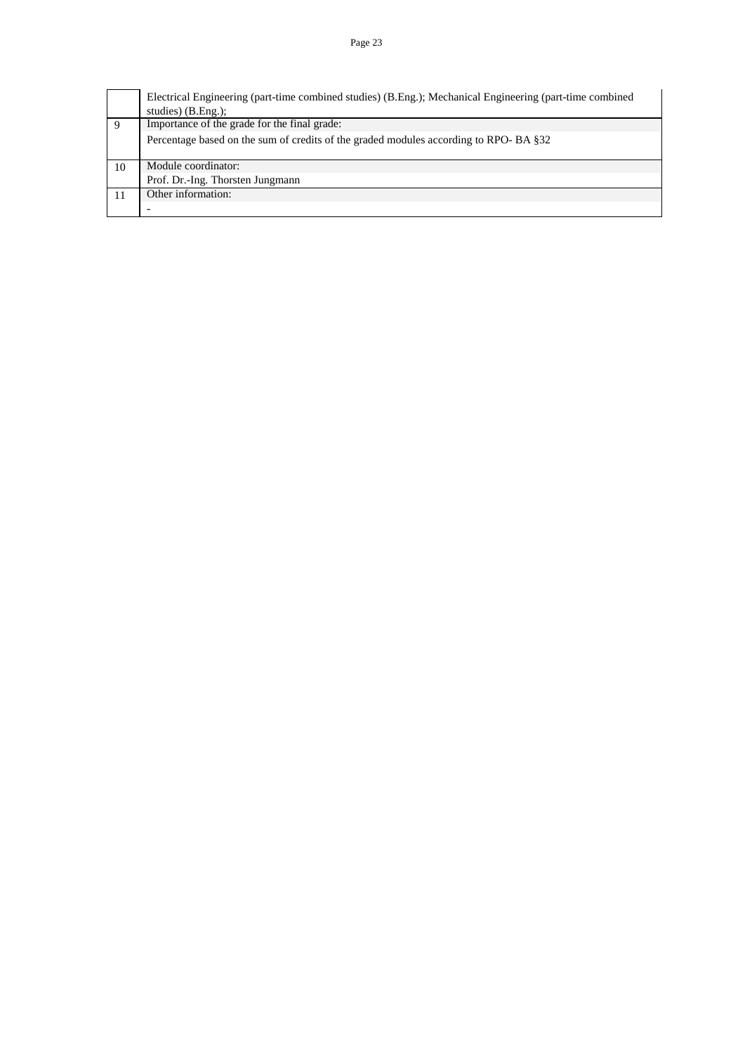|    | Electrical Engineering (part-time combined studies) (B.Eng.); Mechanical Engineering (part-time combined<br>studies) $(B.Eng.)$ ; |
|----|-----------------------------------------------------------------------------------------------------------------------------------|
| 9  | Importance of the grade for the final grade:                                                                                      |
|    | Percentage based on the sum of credits of the graded modules according to RPO- BA §32                                             |
| 10 | Module coordinator:                                                                                                               |
|    | Prof. Dr.-Ing. Thorsten Jungmann                                                                                                  |
|    | Other information:                                                                                                                |
|    |                                                                                                                                   |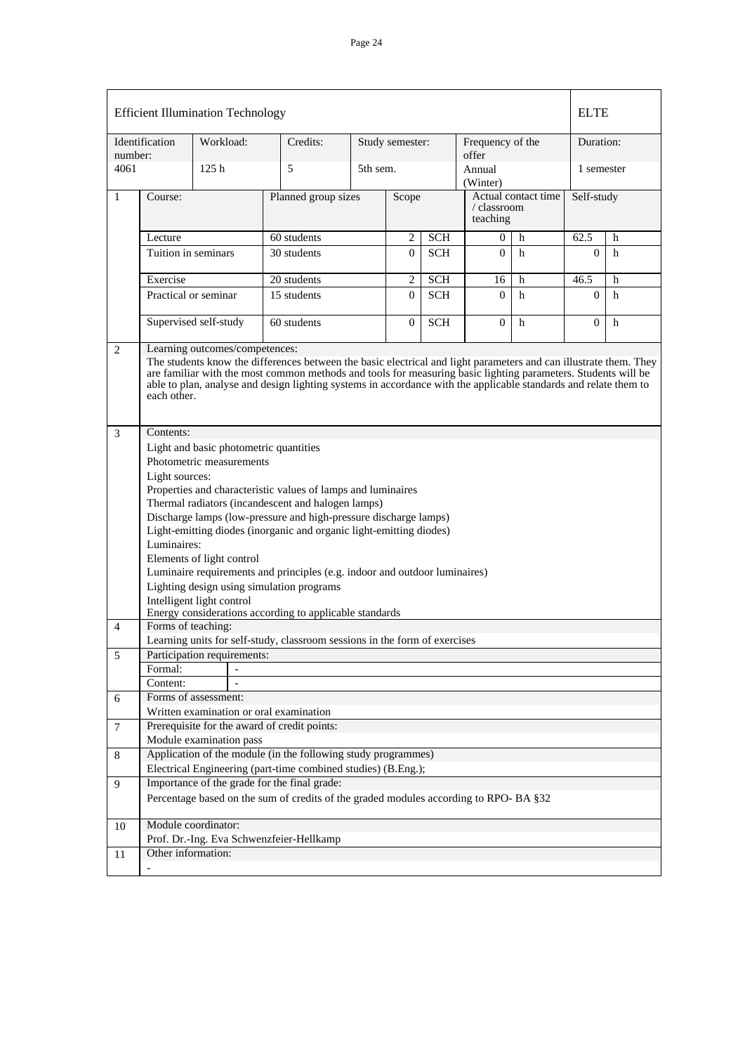|              |                                                                                                                                | <b>Efficient Illumination Technology</b>                                                                                     |                                                                                                                                                                                                                                                                                                                                                                                                                                                     |          |                 |            |                           |                     | <b>ELTE</b>    |   |
|--------------|--------------------------------------------------------------------------------------------------------------------------------|------------------------------------------------------------------------------------------------------------------------------|-----------------------------------------------------------------------------------------------------------------------------------------------------------------------------------------------------------------------------------------------------------------------------------------------------------------------------------------------------------------------------------------------------------------------------------------------------|----------|-----------------|------------|---------------------------|---------------------|----------------|---|
| number:      | Identification                                                                                                                 | Workload:                                                                                                                    | Credits:                                                                                                                                                                                                                                                                                                                                                                                                                                            |          | Study semester: |            | Frequency of the<br>offer |                     | Duration:      |   |
| 4061         |                                                                                                                                | 125h                                                                                                                         | 5                                                                                                                                                                                                                                                                                                                                                                                                                                                   | 5th sem. |                 |            | Annual<br>(Winter)        |                     | 1 semester     |   |
| $\mathbf{1}$ | Course:                                                                                                                        |                                                                                                                              | Planned group sizes                                                                                                                                                                                                                                                                                                                                                                                                                                 |          | Scope           |            | / classroom<br>teaching   | Actual contact time | Self-study     |   |
|              | Lecture                                                                                                                        |                                                                                                                              | 60 students                                                                                                                                                                                                                                                                                                                                                                                                                                         |          | 2               | <b>SCH</b> | $\overline{0}$            | h                   | 62.5           | h |
|              | Tuition in seminars                                                                                                            |                                                                                                                              | 30 students                                                                                                                                                                                                                                                                                                                                                                                                                                         |          | $\Omega$        | <b>SCH</b> | $\theta$                  | h                   | $\mathbf{0}$   | h |
|              | Exercise                                                                                                                       |                                                                                                                              | 20 students                                                                                                                                                                                                                                                                                                                                                                                                                                         |          | $\overline{c}$  | <b>SCH</b> | 16                        | h                   | 46.5           | h |
|              |                                                                                                                                | Practical or seminar                                                                                                         | 15 students                                                                                                                                                                                                                                                                                                                                                                                                                                         |          | $\Omega$        | <b>SCH</b> | $\Omega$                  | h                   | $\overline{0}$ | h |
|              |                                                                                                                                | Supervised self-study                                                                                                        | 60 students                                                                                                                                                                                                                                                                                                                                                                                                                                         |          | $\mathbf{0}$    | <b>SCH</b> | $\mathbf{0}$              | h                   | $\overline{0}$ | h |
| $\mathbf{2}$ | each other.<br>Contents:                                                                                                       | Learning outcomes/competences:                                                                                               | The students know the differences between the basic electrical and light parameters and can illustrate them. They<br>are familiar with the most common methods and tools for measuring basic lighting parameters. Students will be<br>able to plan, analyse and design lighting systems in accordance with the applicable standards and relate them to                                                                                              |          |                 |            |                           |                     |                |   |
| 3            | Light sources:<br>Luminaires:                                                                                                  | Light and basic photometric quantities<br>Photometric measurements<br>Elements of light control<br>Intelligent light control | Properties and characteristic values of lamps and luminaires<br>Thermal radiators (incandescent and halogen lamps)<br>Discharge lamps (low-pressure and high-pressure discharge lamps)<br>Light-emitting diodes (inorganic and organic light-emitting diodes)<br>Luminaire requirements and principles (e.g. indoor and outdoor luminaires)<br>Lighting design using simulation programs<br>Energy considerations according to applicable standards |          |                 |            |                           |                     |                |   |
| 4            | Forms of teaching:                                                                                                             |                                                                                                                              | Learning units for self-study, classroom sessions in the form of exercises                                                                                                                                                                                                                                                                                                                                                                          |          |                 |            |                           |                     |                |   |
| 5            |                                                                                                                                | Participation requirements:                                                                                                  |                                                                                                                                                                                                                                                                                                                                                                                                                                                     |          |                 |            |                           |                     |                |   |
|              | Formal:                                                                                                                        |                                                                                                                              |                                                                                                                                                                                                                                                                                                                                                                                                                                                     |          |                 |            |                           |                     |                |   |
|              | Content:                                                                                                                       |                                                                                                                              |                                                                                                                                                                                                                                                                                                                                                                                                                                                     |          |                 |            |                           |                     |                |   |
| 6            |                                                                                                                                | Forms of assessment:                                                                                                         |                                                                                                                                                                                                                                                                                                                                                                                                                                                     |          |                 |            |                           |                     |                |   |
|              |                                                                                                                                |                                                                                                                              | Written examination or oral examination                                                                                                                                                                                                                                                                                                                                                                                                             |          |                 |            |                           |                     |                |   |
| $\tau$       |                                                                                                                                |                                                                                                                              | Prerequisite for the award of credit points:                                                                                                                                                                                                                                                                                                                                                                                                        |          |                 |            |                           |                     |                |   |
|              |                                                                                                                                | Module examination pass                                                                                                      |                                                                                                                                                                                                                                                                                                                                                                                                                                                     |          |                 |            |                           |                     |                |   |
| 8            | Application of the module (in the following study programmes)<br>Electrical Engineering (part-time combined studies) (B.Eng.); |                                                                                                                              |                                                                                                                                                                                                                                                                                                                                                                                                                                                     |          |                 |            |                           |                     |                |   |
| 9            |                                                                                                                                |                                                                                                                              | Importance of the grade for the final grade:                                                                                                                                                                                                                                                                                                                                                                                                        |          |                 |            |                           |                     |                |   |
|              |                                                                                                                                |                                                                                                                              | Percentage based on the sum of credits of the graded modules according to RPO-BA §32.                                                                                                                                                                                                                                                                                                                                                               |          |                 |            |                           |                     |                |   |
| 10           |                                                                                                                                | Module coordinator:                                                                                                          |                                                                                                                                                                                                                                                                                                                                                                                                                                                     |          |                 |            |                           |                     |                |   |
|              |                                                                                                                                |                                                                                                                              | Prof. Dr.-Ing. Eva Schwenzfeier-Hellkamp                                                                                                                                                                                                                                                                                                                                                                                                            |          |                 |            |                           |                     |                |   |
| 11           | Other information:                                                                                                             |                                                                                                                              |                                                                                                                                                                                                                                                                                                                                                                                                                                                     |          |                 |            |                           |                     |                |   |
|              |                                                                                                                                |                                                                                                                              |                                                                                                                                                                                                                                                                                                                                                                                                                                                     |          |                 |            |                           |                     |                |   |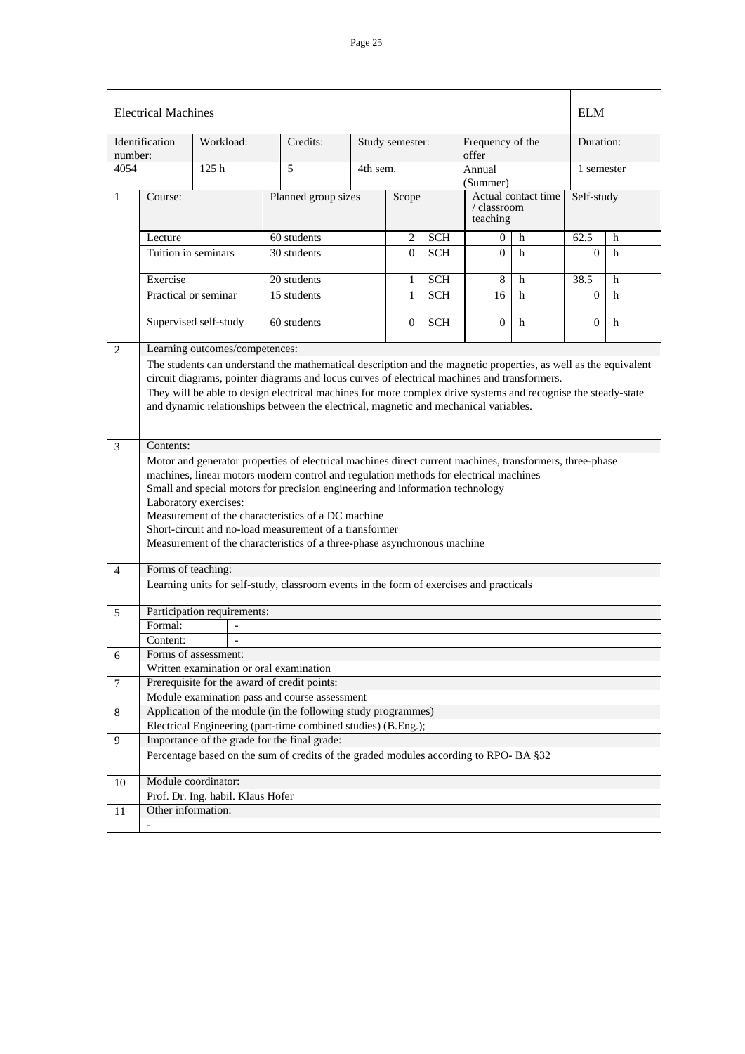| <b>Electrical Machines</b> |                     |                                         |                                                                                                                                                                                                                                                                                                                                                                                                                                                                                |          |                  |            |                           |                     | <b>ELM</b> |   |
|----------------------------|---------------------|-----------------------------------------|--------------------------------------------------------------------------------------------------------------------------------------------------------------------------------------------------------------------------------------------------------------------------------------------------------------------------------------------------------------------------------------------------------------------------------------------------------------------------------|----------|------------------|------------|---------------------------|---------------------|------------|---|
| number:                    | Identification      | Workload:                               | Credits:                                                                                                                                                                                                                                                                                                                                                                                                                                                                       |          | Study semester:  |            | Frequency of the<br>offer |                     | Duration:  |   |
| 4054                       |                     | 125h                                    | 5                                                                                                                                                                                                                                                                                                                                                                                                                                                                              | 4th sem. |                  |            | Annual<br>(Summer)        |                     | 1 semester |   |
| 1                          | Course:             |                                         | Planned group sizes                                                                                                                                                                                                                                                                                                                                                                                                                                                            |          | Scope            |            | / classroom<br>teaching   | Actual contact time | Self-study |   |
|                            | Lecture             |                                         | 60 students                                                                                                                                                                                                                                                                                                                                                                                                                                                                    |          | $\boldsymbol{2}$ | <b>SCH</b> | $\overline{0}$            | h                   | 62.5       | h |
|                            | Tuition in seminars |                                         | 30 students                                                                                                                                                                                                                                                                                                                                                                                                                                                                    |          | $\Omega$         | <b>SCH</b> | $\Omega$                  | h                   | $\Omega$   | h |
|                            | Exercise            |                                         | 20 students                                                                                                                                                                                                                                                                                                                                                                                                                                                                    |          | 1                | <b>SCH</b> | 8                         | h                   | 38.5       | h |
|                            |                     | Practical or seminar                    | 15 students                                                                                                                                                                                                                                                                                                                                                                                                                                                                    |          | $\mathbf{1}$     | <b>SCH</b> | 16                        | h                   | $\Omega$   | h |
|                            |                     | Supervised self-study                   | 60 students                                                                                                                                                                                                                                                                                                                                                                                                                                                                    |          | $\overline{0}$   | <b>SCH</b> | $\overline{0}$            | h                   | $\theta$   | h |
| 2                          |                     | Learning outcomes/competences:          | The students can understand the mathematical description and the magnetic properties, as well as the equivalent<br>circuit diagrams, pointer diagrams and locus curves of electrical machines and transformers.<br>They will be able to design electrical machines for more complex drive systems and recognise the steady-state<br>and dynamic relationships between the electrical, magnetic and mechanical variables.                                                       |          |                  |            |                           |                     |            |   |
| 3                          | Contents:           | Laboratory exercises:                   | Motor and generator properties of electrical machines direct current machines, transformers, three-phase<br>machines, linear motors modern control and regulation methods for electrical machines<br>Small and special motors for precision engineering and information technology<br>Measurement of the characteristics of a DC machine<br>Short-circuit and no-load measurement of a transformer<br>Measurement of the characteristics of a three-phase asynchronous machine |          |                  |            |                           |                     |            |   |
| $\overline{4}$             | Forms of teaching:  |                                         |                                                                                                                                                                                                                                                                                                                                                                                                                                                                                |          |                  |            |                           |                     |            |   |
|                            |                     |                                         | Learning units for self-study, classroom events in the form of exercises and practicals                                                                                                                                                                                                                                                                                                                                                                                        |          |                  |            |                           |                     |            |   |
| 5                          |                     | Participation requirements:             |                                                                                                                                                                                                                                                                                                                                                                                                                                                                                |          |                  |            |                           |                     |            |   |
|                            | Formal:             |                                         |                                                                                                                                                                                                                                                                                                                                                                                                                                                                                |          |                  |            |                           |                     |            |   |
|                            | Content:            | $\overline{a}$                          |                                                                                                                                                                                                                                                                                                                                                                                                                                                                                |          |                  |            |                           |                     |            |   |
| 6                          |                     | Forms of assessment:                    |                                                                                                                                                                                                                                                                                                                                                                                                                                                                                |          |                  |            |                           |                     |            |   |
| 7                          |                     | Written examination or oral examination | Prerequisite for the award of credit points:                                                                                                                                                                                                                                                                                                                                                                                                                                   |          |                  |            |                           |                     |            |   |
|                            |                     |                                         | Module examination pass and course assessment                                                                                                                                                                                                                                                                                                                                                                                                                                  |          |                  |            |                           |                     |            |   |
| $\,8\,$                    |                     |                                         | Application of the module (in the following study programmes)                                                                                                                                                                                                                                                                                                                                                                                                                  |          |                  |            |                           |                     |            |   |
|                            |                     |                                         | Electrical Engineering (part-time combined studies) (B.Eng.);                                                                                                                                                                                                                                                                                                                                                                                                                  |          |                  |            |                           |                     |            |   |
| 9                          |                     |                                         | Importance of the grade for the final grade:                                                                                                                                                                                                                                                                                                                                                                                                                                   |          |                  |            |                           |                     |            |   |
|                            |                     |                                         | Percentage based on the sum of credits of the graded modules according to RPO-BA §32                                                                                                                                                                                                                                                                                                                                                                                           |          |                  |            |                           |                     |            |   |
| 10                         |                     | Module coordinator:                     |                                                                                                                                                                                                                                                                                                                                                                                                                                                                                |          |                  |            |                           |                     |            |   |
|                            |                     | Prof. Dr. Ing. habil. Klaus Hofer       |                                                                                                                                                                                                                                                                                                                                                                                                                                                                                |          |                  |            |                           |                     |            |   |
| 11                         | Other information:  |                                         |                                                                                                                                                                                                                                                                                                                                                                                                                                                                                |          |                  |            |                           |                     |            |   |
|                            |                     |                                         |                                                                                                                                                                                                                                                                                                                                                                                                                                                                                |          |                  |            |                           |                     |            |   |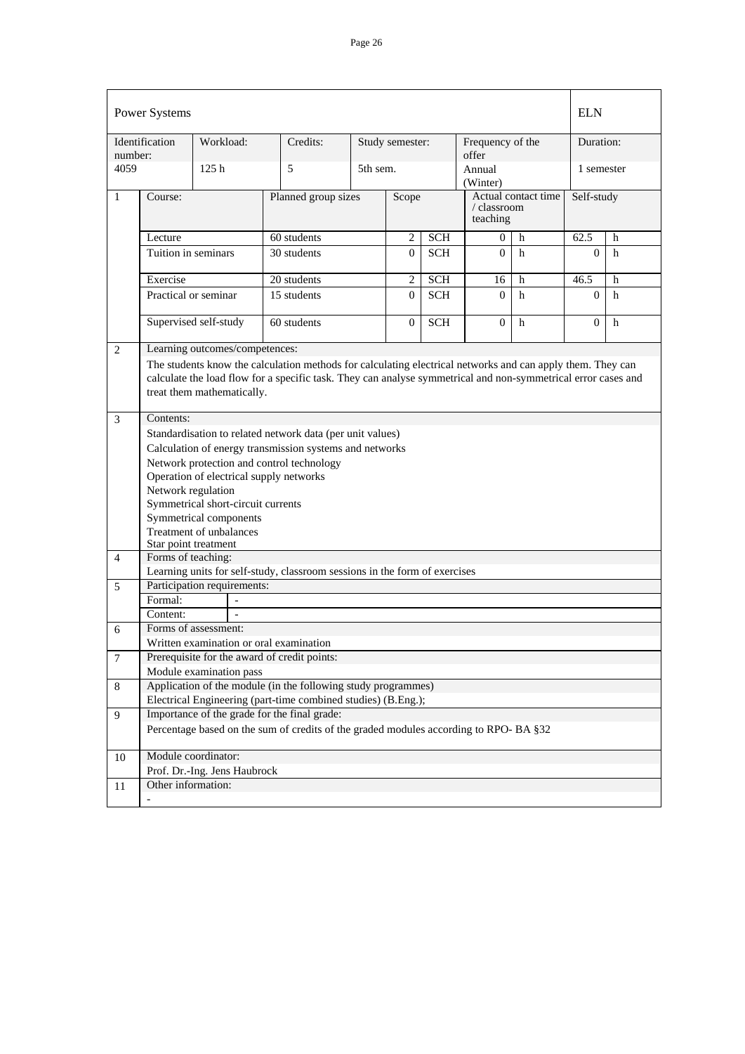|                     | Power Systems                                                                                                                                                                                                                                                                                            |                                                                                                                                                                                  |                                                                                                                                                                   |          |                 |            |                           |                     | <b>ELN</b>     |   |
|---------------------|----------------------------------------------------------------------------------------------------------------------------------------------------------------------------------------------------------------------------------------------------------------------------------------------------------|----------------------------------------------------------------------------------------------------------------------------------------------------------------------------------|-------------------------------------------------------------------------------------------------------------------------------------------------------------------|----------|-----------------|------------|---------------------------|---------------------|----------------|---|
| number:             | Identification                                                                                                                                                                                                                                                                                           | Workload:                                                                                                                                                                        | Credits:                                                                                                                                                          |          | Study semester: |            | Frequency of the<br>offer |                     | Duration:      |   |
| 4059                |                                                                                                                                                                                                                                                                                                          | 125h                                                                                                                                                                             | 5                                                                                                                                                                 | 5th sem. |                 |            | Annual<br>(Winter)        |                     | 1 semester     |   |
| $\mathbf{1}$        | Course:                                                                                                                                                                                                                                                                                                  |                                                                                                                                                                                  | Planned group sizes                                                                                                                                               |          | Scope           |            | / classroom<br>teaching   | Actual contact time | Self-study     |   |
|                     | Lecture                                                                                                                                                                                                                                                                                                  |                                                                                                                                                                                  | 60 students                                                                                                                                                       |          | 2               | <b>SCH</b> | $\overline{0}$            | h                   | 62.5           | h |
|                     |                                                                                                                                                                                                                                                                                                          | Tuition in seminars                                                                                                                                                              | 30 students                                                                                                                                                       |          | $\Omega$        | <b>SCH</b> | $\Omega$                  | h                   | $\overline{0}$ | h |
|                     | Exercise                                                                                                                                                                                                                                                                                                 |                                                                                                                                                                                  | 20 students                                                                                                                                                       |          | $\overline{2}$  | <b>SCH</b> | 16                        | h                   | 46.5           | h |
|                     |                                                                                                                                                                                                                                                                                                          | Practical or seminar                                                                                                                                                             | 15 students                                                                                                                                                       |          | $\Omega$        | <b>SCH</b> | $\Omega$                  | h                   | $\overline{0}$ | h |
|                     |                                                                                                                                                                                                                                                                                                          | Supervised self-study                                                                                                                                                            | 60 students                                                                                                                                                       |          | $\mathbf{0}$    | <b>SCH</b> | $\overline{0}$            | h                   | $\overline{0}$ | h |
| $\overline{2}$<br>3 | Learning outcomes/competences:<br>The students know the calculation methods for calculating electrical networks and can apply them. They can<br>calculate the load flow for a specific task. They can analyse symmetrical and non-symmetrical error cases and<br>treat them mathematically.<br>Contents: |                                                                                                                                                                                  |                                                                                                                                                                   |          |                 |            |                           |                     |                |   |
|                     |                                                                                                                                                                                                                                                                                                          | Operation of electrical supply networks<br>Network regulation<br>Symmetrical short-circuit currents<br>Symmetrical components<br>Treatment of unbalances<br>Star point treatment | Standardisation to related network data (per unit values)<br>Calculation of energy transmission systems and networks<br>Network protection and control technology |          |                 |            |                           |                     |                |   |
| $\overline{4}$      | Forms of teaching:                                                                                                                                                                                                                                                                                       |                                                                                                                                                                                  |                                                                                                                                                                   |          |                 |            |                           |                     |                |   |
|                     |                                                                                                                                                                                                                                                                                                          |                                                                                                                                                                                  | Learning units for self-study, classroom sessions in the form of exercises                                                                                        |          |                 |            |                           |                     |                |   |
| 5                   |                                                                                                                                                                                                                                                                                                          | Participation requirements:                                                                                                                                                      |                                                                                                                                                                   |          |                 |            |                           |                     |                |   |
|                     | Formal:                                                                                                                                                                                                                                                                                                  |                                                                                                                                                                                  |                                                                                                                                                                   |          |                 |            |                           |                     |                |   |
|                     | Content:                                                                                                                                                                                                                                                                                                 |                                                                                                                                                                                  |                                                                                                                                                                   |          |                 |            |                           |                     |                |   |
| 6                   |                                                                                                                                                                                                                                                                                                          | Forms of assessment:                                                                                                                                                             |                                                                                                                                                                   |          |                 |            |                           |                     |                |   |
|                     |                                                                                                                                                                                                                                                                                                          | Written examination or oral examination                                                                                                                                          | Prerequisite for the award of credit points:                                                                                                                      |          |                 |            |                           |                     |                |   |
| $\tau$              |                                                                                                                                                                                                                                                                                                          | Module examination pass                                                                                                                                                          |                                                                                                                                                                   |          |                 |            |                           |                     |                |   |
|                     |                                                                                                                                                                                                                                                                                                          |                                                                                                                                                                                  | Application of the module (in the following study programmes)                                                                                                     |          |                 |            |                           |                     |                |   |
| $\,8\,$             |                                                                                                                                                                                                                                                                                                          |                                                                                                                                                                                  | Electrical Engineering (part-time combined studies) (B.Eng.);                                                                                                     |          |                 |            |                           |                     |                |   |
| 9                   |                                                                                                                                                                                                                                                                                                          |                                                                                                                                                                                  | Importance of the grade for the final grade:                                                                                                                      |          |                 |            |                           |                     |                |   |
|                     |                                                                                                                                                                                                                                                                                                          |                                                                                                                                                                                  | Percentage based on the sum of credits of the graded modules according to RPO-BA §32                                                                              |          |                 |            |                           |                     |                |   |
| 10                  |                                                                                                                                                                                                                                                                                                          | Module coordinator:                                                                                                                                                              |                                                                                                                                                                   |          |                 |            |                           |                     |                |   |
|                     |                                                                                                                                                                                                                                                                                                          | Prof. Dr.-Ing. Jens Haubrock                                                                                                                                                     |                                                                                                                                                                   |          |                 |            |                           |                     |                |   |
| $11\,$              | Other information:                                                                                                                                                                                                                                                                                       |                                                                                                                                                                                  |                                                                                                                                                                   |          |                 |            |                           |                     |                |   |
|                     |                                                                                                                                                                                                                                                                                                          |                                                                                                                                                                                  |                                                                                                                                                                   |          |                 |            |                           |                     |                |   |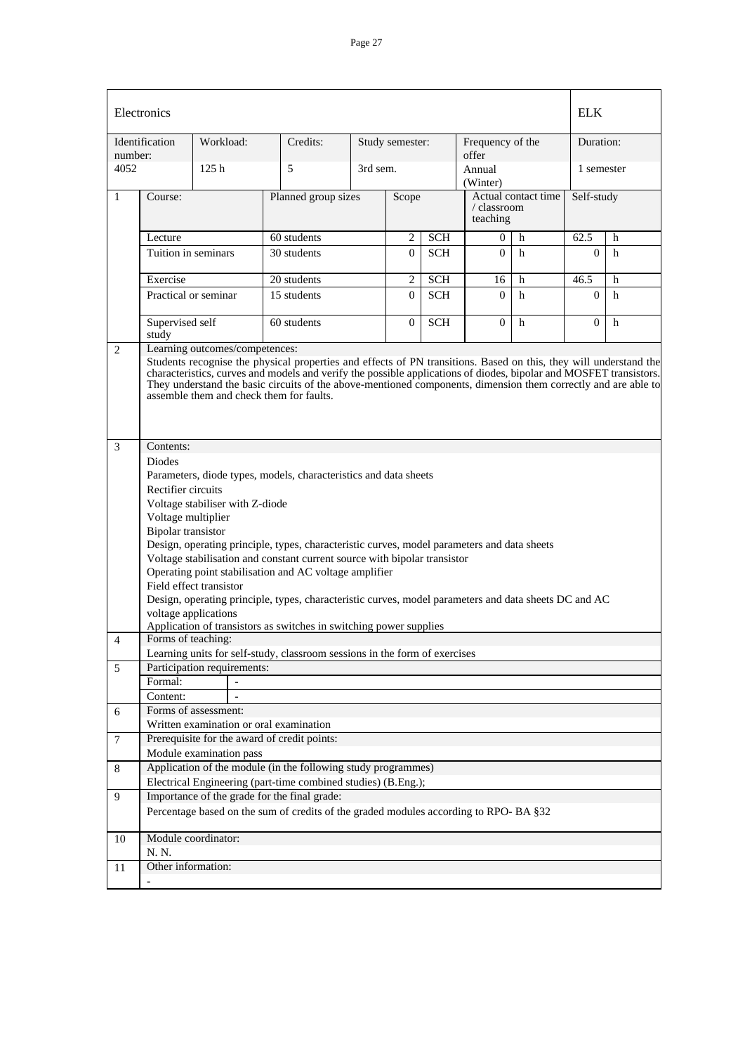|                | Electronics<br><b>ELK</b>                                                                                                                                                                                                                                                                                                                                                                                                                                                                                                                                                                      |                             |                                                                                         |          |                 |            |                           |                     |                |   |
|----------------|------------------------------------------------------------------------------------------------------------------------------------------------------------------------------------------------------------------------------------------------------------------------------------------------------------------------------------------------------------------------------------------------------------------------------------------------------------------------------------------------------------------------------------------------------------------------------------------------|-----------------------------|-----------------------------------------------------------------------------------------|----------|-----------------|------------|---------------------------|---------------------|----------------|---|
| number:        | Identification                                                                                                                                                                                                                                                                                                                                                                                                                                                                                                                                                                                 | Workload:                   | Credits:                                                                                |          | Study semester: |            | Frequency of the<br>offer |                     | Duration:      |   |
| 4052           |                                                                                                                                                                                                                                                                                                                                                                                                                                                                                                                                                                                                | 125 <sub>h</sub>            | 5                                                                                       | 3rd sem. |                 |            | Annual<br>(Winter)        |                     | 1 semester     |   |
| 1              | Course:                                                                                                                                                                                                                                                                                                                                                                                                                                                                                                                                                                                        |                             | Planned group sizes                                                                     |          | Scope           |            | / classroom<br>teaching   | Actual contact time | Self-study     |   |
|                | Lecture                                                                                                                                                                                                                                                                                                                                                                                                                                                                                                                                                                                        |                             | 60 students                                                                             |          | $\overline{c}$  | <b>SCH</b> | $\overline{0}$            | h                   | 62.5           | h |
|                | Tuition in seminars                                                                                                                                                                                                                                                                                                                                                                                                                                                                                                                                                                            |                             | 30 students                                                                             |          | $\overline{0}$  | SCH        | $\Omega$                  | h                   | $\overline{0}$ | h |
|                | Exercise                                                                                                                                                                                                                                                                                                                                                                                                                                                                                                                                                                                       |                             | 20 students                                                                             |          | $\overline{2}$  | <b>SCH</b> | 16                        | h                   | 46.5           | h |
|                |                                                                                                                                                                                                                                                                                                                                                                                                                                                                                                                                                                                                | Practical or seminar        | 15 students                                                                             |          | 0               | <b>SCH</b> | $\Omega$                  | h                   | $\Omega$       | h |
|                | Supervised self<br>study                                                                                                                                                                                                                                                                                                                                                                                                                                                                                                                                                                       |                             | 60 students                                                                             |          | $\overline{0}$  | <b>SCH</b> | $\mathbf{0}$              | h                   | $\mathbf{0}$   | h |
| 2              | Learning outcomes/competences:<br>Students recognise the physical properties and effects of PN transitions. Based on this, they will understand the<br>characteristics, curves and models and verify the possible applications of diodes, bipolar and MOSFET transistors.<br>They understand the basic circuits of the above-mentioned components, dimension them correctly and are able to<br>assemble them and check them for faults.                                                                                                                                                        |                             |                                                                                         |          |                 |            |                           |                     |                |   |
| 3              | Contents:<br>Diodes<br>Parameters, diode types, models, characteristics and data sheets<br>Rectifier circuits<br>Voltage stabiliser with Z-diode<br>Voltage multiplier<br>Bipolar transistor<br>Design, operating principle, types, characteristic curves, model parameters and data sheets<br>Voltage stabilisation and constant current source with bipolar transistor<br>Operating point stabilisation and AC voltage amplifier<br>Field effect transistor<br>Design, operating principle, types, characteristic curves, model parameters and data sheets DC and AC<br>voltage applications |                             |                                                                                         |          |                 |            |                           |                     |                |   |
| 4              | Forms of teaching:                                                                                                                                                                                                                                                                                                                                                                                                                                                                                                                                                                             |                             | Application of transistors as switches in switching power supplies                      |          |                 |            |                           |                     |                |   |
|                |                                                                                                                                                                                                                                                                                                                                                                                                                                                                                                                                                                                                |                             | Learning units for self-study, classroom sessions in the form of exercises              |          |                 |            |                           |                     |                |   |
| 5              |                                                                                                                                                                                                                                                                                                                                                                                                                                                                                                                                                                                                | Participation requirements: |                                                                                         |          |                 |            |                           |                     |                |   |
|                | Formal:                                                                                                                                                                                                                                                                                                                                                                                                                                                                                                                                                                                        |                             |                                                                                         |          |                 |            |                           |                     |                |   |
|                | Content:                                                                                                                                                                                                                                                                                                                                                                                                                                                                                                                                                                                       |                             |                                                                                         |          |                 |            |                           |                     |                |   |
| 6              |                                                                                                                                                                                                                                                                                                                                                                                                                                                                                                                                                                                                | Forms of assessment:        |                                                                                         |          |                 |            |                           |                     |                |   |
|                |                                                                                                                                                                                                                                                                                                                                                                                                                                                                                                                                                                                                |                             | Written examination or oral examination<br>Prerequisite for the award of credit points: |          |                 |            |                           |                     |                |   |
| $\overline{7}$ |                                                                                                                                                                                                                                                                                                                                                                                                                                                                                                                                                                                                | Module examination pass     |                                                                                         |          |                 |            |                           |                     |                |   |
| 8              |                                                                                                                                                                                                                                                                                                                                                                                                                                                                                                                                                                                                |                             | Application of the module (in the following study programmes)                           |          |                 |            |                           |                     |                |   |
|                |                                                                                                                                                                                                                                                                                                                                                                                                                                                                                                                                                                                                |                             | Electrical Engineering (part-time combined studies) (B.Eng.);                           |          |                 |            |                           |                     |                |   |
| 9              |                                                                                                                                                                                                                                                                                                                                                                                                                                                                                                                                                                                                |                             | Importance of the grade for the final grade:                                            |          |                 |            |                           |                     |                |   |
|                |                                                                                                                                                                                                                                                                                                                                                                                                                                                                                                                                                                                                |                             | Percentage based on the sum of credits of the graded modules according to RPO-BA §32    |          |                 |            |                           |                     |                |   |
| 10             | N. N.                                                                                                                                                                                                                                                                                                                                                                                                                                                                                                                                                                                          | Module coordinator:         |                                                                                         |          |                 |            |                           |                     |                |   |
| 11             | Other information:                                                                                                                                                                                                                                                                                                                                                                                                                                                                                                                                                                             |                             |                                                                                         |          |                 |            |                           |                     |                |   |
|                |                                                                                                                                                                                                                                                                                                                                                                                                                                                                                                                                                                                                |                             |                                                                                         |          |                 |            |                           |                     |                |   |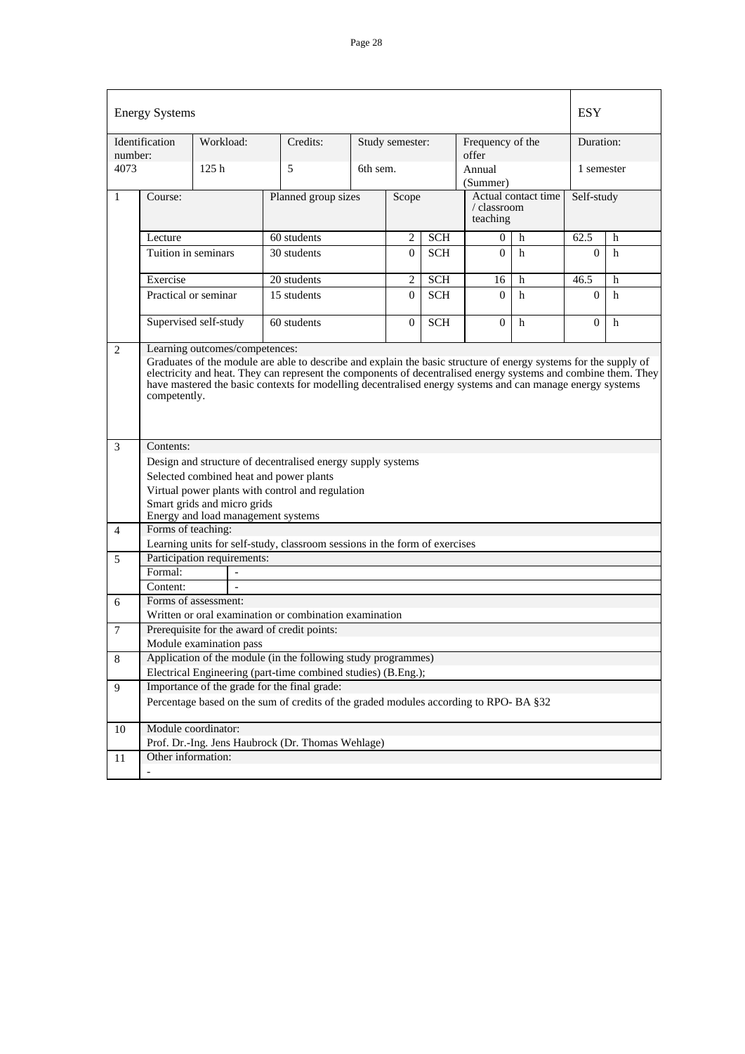|                | <b>ESY</b><br><b>Energy Systems</b> |                                                                                                                                                                                                                                                                                                                                                                                                   |                                                                                                                                       |          |                 |            |                           |                     |                |   |
|----------------|-------------------------------------|---------------------------------------------------------------------------------------------------------------------------------------------------------------------------------------------------------------------------------------------------------------------------------------------------------------------------------------------------------------------------------------------------|---------------------------------------------------------------------------------------------------------------------------------------|----------|-----------------|------------|---------------------------|---------------------|----------------|---|
| number:        | Identification                      | Workload:                                                                                                                                                                                                                                                                                                                                                                                         | Credits:                                                                                                                              |          | Study semester: |            | Frequency of the<br>offer |                     | Duration:      |   |
| 4073           |                                     | 125h                                                                                                                                                                                                                                                                                                                                                                                              | 5                                                                                                                                     | 6th sem. |                 |            | Annual<br>(Summer)        |                     | 1 semester     |   |
| 1              | Course:                             |                                                                                                                                                                                                                                                                                                                                                                                                   | Planned group sizes                                                                                                                   |          | Scope           |            | / classroom<br>teaching   | Actual contact time | Self-study     |   |
|                | Lecture                             |                                                                                                                                                                                                                                                                                                                                                                                                   | 60 students                                                                                                                           |          | 2               | <b>SCH</b> | $\theta$                  | h                   | 62.5           | h |
|                | Tuition in seminars                 |                                                                                                                                                                                                                                                                                                                                                                                                   | 30 students                                                                                                                           |          | $\Omega$        | <b>SCH</b> | $\Omega$                  | h                   | $\mathbf{0}$   | h |
|                | Exercise                            |                                                                                                                                                                                                                                                                                                                                                                                                   | 20 students                                                                                                                           |          | 2               | <b>SCH</b> | 16                        | h                   | 46.5           | h |
|                | Practical or seminar                |                                                                                                                                                                                                                                                                                                                                                                                                   | 15 students                                                                                                                           |          | $\Omega$        | <b>SCH</b> | $\Omega$                  | h                   | $\overline{0}$ | h |
|                |                                     | Supervised self-study                                                                                                                                                                                                                                                                                                                                                                             | 60 students                                                                                                                           |          | $\mathbf{0}$    | <b>SCH</b> | $\overline{0}$            | h                   | $\overline{0}$ | h |
| $\overline{2}$ |                                     | Learning outcomes/competences:<br>Graduates of the module are able to describe and explain the basic structure of energy systems for the supply of<br>electricity and heat. They can represent the components of decentralised energy systems and combine them. They<br>have mastered the basic contexts for modelling decentralised energy systems and can manage energy systems<br>competently. |                                                                                                                                       |          |                 |            |                           |                     |                |   |
| 3              | Contents:                           | Selected combined heat and power plants<br>Smart grids and micro grids<br>Energy and load management systems                                                                                                                                                                                                                                                                                      | Design and structure of decentralised energy supply systems<br>Virtual power plants with control and regulation                       |          |                 |            |                           |                     |                |   |
| $\overline{4}$ | Forms of teaching:                  |                                                                                                                                                                                                                                                                                                                                                                                                   | Learning units for self-study, classroom sessions in the form of exercises                                                            |          |                 |            |                           |                     |                |   |
| 5              |                                     | Participation requirements:                                                                                                                                                                                                                                                                                                                                                                       |                                                                                                                                       |          |                 |            |                           |                     |                |   |
|                | Formal:                             |                                                                                                                                                                                                                                                                                                                                                                                                   |                                                                                                                                       |          |                 |            |                           |                     |                |   |
|                | Content:                            | $\overline{a}$                                                                                                                                                                                                                                                                                                                                                                                    |                                                                                                                                       |          |                 |            |                           |                     |                |   |
| 6              |                                     | Forms of assessment:                                                                                                                                                                                                                                                                                                                                                                              |                                                                                                                                       |          |                 |            |                           |                     |                |   |
|                |                                     |                                                                                                                                                                                                                                                                                                                                                                                                   | Written or oral examination or combination examination                                                                                |          |                 |            |                           |                     |                |   |
| 7              |                                     | Prerequisite for the award of credit points:                                                                                                                                                                                                                                                                                                                                                      |                                                                                                                                       |          |                 |            |                           |                     |                |   |
|                |                                     | Module examination pass                                                                                                                                                                                                                                                                                                                                                                           |                                                                                                                                       |          |                 |            |                           |                     |                |   |
| 8              |                                     |                                                                                                                                                                                                                                                                                                                                                                                                   | Application of the module (in the following study programmes)                                                                         |          |                 |            |                           |                     |                |   |
|                |                                     |                                                                                                                                                                                                                                                                                                                                                                                                   | Electrical Engineering (part-time combined studies) (B.Eng.);                                                                         |          |                 |            |                           |                     |                |   |
| 9              |                                     |                                                                                                                                                                                                                                                                                                                                                                                                   | Importance of the grade for the final grade:<br>Percentage based on the sum of credits of the graded modules according to RPO- BA §32 |          |                 |            |                           |                     |                |   |
|                |                                     | Module coordinator:                                                                                                                                                                                                                                                                                                                                                                               |                                                                                                                                       |          |                 |            |                           |                     |                |   |
| 10             |                                     |                                                                                                                                                                                                                                                                                                                                                                                                   | Prof. Dr.-Ing. Jens Haubrock (Dr. Thomas Wehlage)                                                                                     |          |                 |            |                           |                     |                |   |
| 11             | Other information:                  |                                                                                                                                                                                                                                                                                                                                                                                                   |                                                                                                                                       |          |                 |            |                           |                     |                |   |
|                |                                     |                                                                                                                                                                                                                                                                                                                                                                                                   |                                                                                                                                       |          |                 |            |                           |                     |                |   |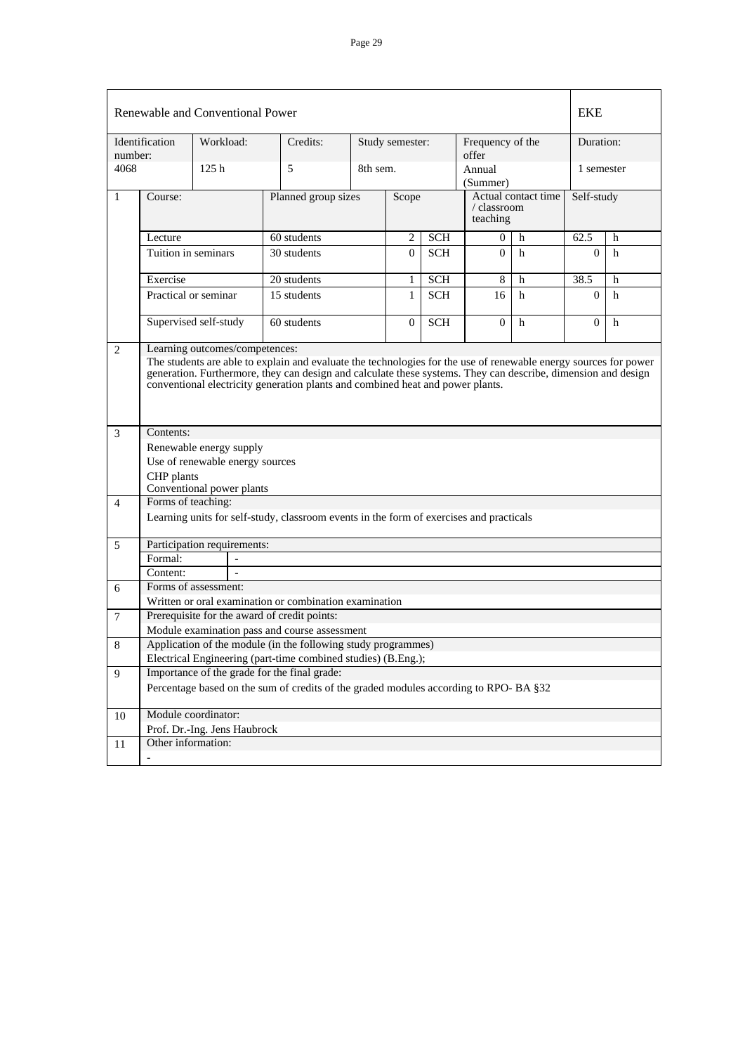|                | Renewable and Conventional Power<br>Study semester:                                                                                          |                                 |                                                                                                                                                                                                 |          |                |            |                           |                     |                |   |
|----------------|----------------------------------------------------------------------------------------------------------------------------------------------|---------------------------------|-------------------------------------------------------------------------------------------------------------------------------------------------------------------------------------------------|----------|----------------|------------|---------------------------|---------------------|----------------|---|
| number:        | Identification                                                                                                                               | Workload:                       | Credits:                                                                                                                                                                                        |          |                |            | Frequency of the<br>offer |                     | Duration:      |   |
| 4068           |                                                                                                                                              | 125h                            | 5                                                                                                                                                                                               | 8th sem. |                |            | Annual<br>(Summer)        |                     | 1 semester     |   |
| $\mathbf{1}$   | Course:                                                                                                                                      |                                 | Planned group sizes                                                                                                                                                                             |          | Scope          |            | / classroom<br>teaching   | Actual contact time | Self-study     |   |
|                | Lecture                                                                                                                                      |                                 | 60 students                                                                                                                                                                                     |          | $\overline{c}$ | <b>SCH</b> | 0                         | h                   | 62.5           | h |
|                | Tuition in seminars                                                                                                                          |                                 | 30 students                                                                                                                                                                                     |          | $\theta$       | <b>SCH</b> | $\Omega$                  | h                   | $\overline{0}$ | h |
|                | Exercise                                                                                                                                     |                                 | 20 students                                                                                                                                                                                     |          | 1              | <b>SCH</b> | 8                         | h                   | 38.5           | h |
|                |                                                                                                                                              | Practical or seminar            | 15 students                                                                                                                                                                                     |          | 1              | <b>SCH</b> | 16                        | h                   | $\overline{0}$ | h |
|                | Supervised self-study<br>60 students<br>$\Omega$<br><b>SCH</b><br>$\overline{0}$<br>h<br>$\mathbf{0}$<br>h<br>Learning outcomes/competences: |                                 |                                                                                                                                                                                                 |          |                |            |                           |                     |                |   |
|                |                                                                                                                                              |                                 | generation. Furthermore, they can design and calculate these systems. They can describe, dimension and design<br>conventional electricity generation plants and combined heat and power plants. |          |                |            |                           |                     |                |   |
| 3              | Contents:                                                                                                                                    |                                 |                                                                                                                                                                                                 |          |                |            |                           |                     |                |   |
|                |                                                                                                                                              | Renewable energy supply         |                                                                                                                                                                                                 |          |                |            |                           |                     |                |   |
|                |                                                                                                                                              | Use of renewable energy sources |                                                                                                                                                                                                 |          |                |            |                           |                     |                |   |
|                | CHP plants                                                                                                                                   | Conventional power plants       |                                                                                                                                                                                                 |          |                |            |                           |                     |                |   |
| $\overline{4}$ | Forms of teaching:                                                                                                                           |                                 |                                                                                                                                                                                                 |          |                |            |                           |                     |                |   |
|                |                                                                                                                                              |                                 | Learning units for self-study, classroom events in the form of exercises and practicals                                                                                                         |          |                |            |                           |                     |                |   |
| 5              |                                                                                                                                              | Participation requirements:     |                                                                                                                                                                                                 |          |                |            |                           |                     |                |   |
|                | Formal:                                                                                                                                      |                                 |                                                                                                                                                                                                 |          |                |            |                           |                     |                |   |
|                | Content:                                                                                                                                     | $\overline{a}$                  |                                                                                                                                                                                                 |          |                |            |                           |                     |                |   |
| 6              |                                                                                                                                              | Forms of assessment:            |                                                                                                                                                                                                 |          |                |            |                           |                     |                |   |
|                |                                                                                                                                              |                                 | Written or oral examination or combination examination                                                                                                                                          |          |                |            |                           |                     |                |   |
| 7              |                                                                                                                                              |                                 | Prerequisite for the award of credit points:                                                                                                                                                    |          |                |            |                           |                     |                |   |
| 8              |                                                                                                                                              |                                 | Module examination pass and course assessment<br>Application of the module (in the following study programmes)                                                                                  |          |                |            |                           |                     |                |   |
|                |                                                                                                                                              |                                 | Electrical Engineering (part-time combined studies) (B.Eng.);                                                                                                                                   |          |                |            |                           |                     |                |   |
| 9              |                                                                                                                                              |                                 | Importance of the grade for the final grade:                                                                                                                                                    |          |                |            |                           |                     |                |   |
|                |                                                                                                                                              |                                 | Percentage based on the sum of credits of the graded modules according to RPO-BA §32                                                                                                            |          |                |            |                           |                     |                |   |
| 10             |                                                                                                                                              | Module coordinator:             |                                                                                                                                                                                                 |          |                |            |                           |                     |                |   |
|                |                                                                                                                                              | Prof. Dr.-Ing. Jens Haubrock    |                                                                                                                                                                                                 |          |                |            |                           |                     |                |   |
| 11             | Other information:                                                                                                                           |                                 |                                                                                                                                                                                                 |          |                |            |                           |                     |                |   |
|                | $\overline{\phantom{a}}$                                                                                                                     |                                 |                                                                                                                                                                                                 |          |                |            |                           |                     |                |   |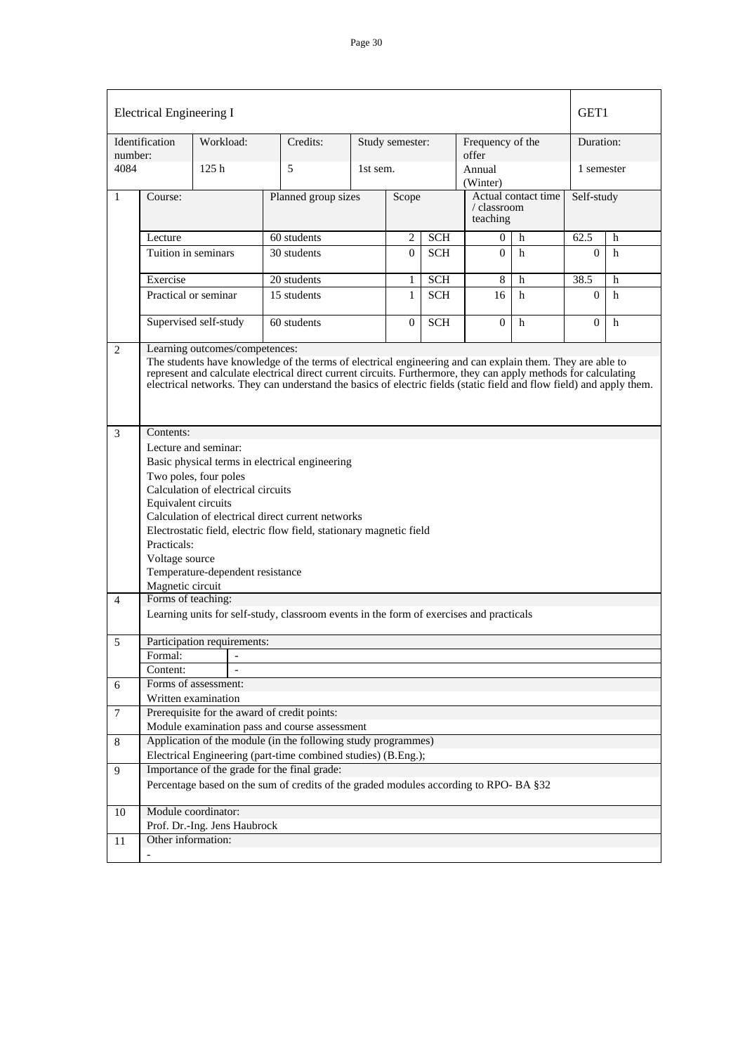|                | Electrical Engineering I                                                                                                                                                                                                                                                                                                                                                               |                                    |                                                                                         |          |                 |            |                           |                     | GET <sub>1</sub> |   |
|----------------|----------------------------------------------------------------------------------------------------------------------------------------------------------------------------------------------------------------------------------------------------------------------------------------------------------------------------------------------------------------------------------------|------------------------------------|-----------------------------------------------------------------------------------------|----------|-----------------|------------|---------------------------|---------------------|------------------|---|
| number:        | Identification                                                                                                                                                                                                                                                                                                                                                                         | Workload:                          | Credits:                                                                                |          | Study semester: |            | Frequency of the<br>offer |                     | Duration:        |   |
| 4084           |                                                                                                                                                                                                                                                                                                                                                                                        | 125h                               | 5                                                                                       | 1st sem. |                 |            | Annual<br>(Winter)        |                     | 1 semester       |   |
| 1              | Course:                                                                                                                                                                                                                                                                                                                                                                                |                                    | Planned group sizes                                                                     |          | Scope           |            | / classroom<br>teaching   | Actual contact time | Self-study       |   |
|                | Lecture                                                                                                                                                                                                                                                                                                                                                                                |                                    | 60 students                                                                             |          | 2               | <b>SCH</b> | 0                         | h                   | 62.5             | h |
|                | Tuition in seminars                                                                                                                                                                                                                                                                                                                                                                    |                                    | 30 students                                                                             |          | $\Omega$        | <b>SCH</b> | $\Omega$                  | h                   | $\Omega$         | h |
|                | Exercise                                                                                                                                                                                                                                                                                                                                                                               |                                    | 20 students                                                                             |          | 1               | <b>SCH</b> | 8                         | h                   | 38.5             | h |
|                |                                                                                                                                                                                                                                                                                                                                                                                        | Practical or seminar               | 15 students                                                                             |          | $\mathbf{1}$    | <b>SCH</b> | 16                        | h                   | $\Omega$         | h |
|                |                                                                                                                                                                                                                                                                                                                                                                                        | Supervised self-study              | 60 students                                                                             |          | $\Omega$        | <b>SCH</b> | $\theta$                  | h                   | $\Omega$         | h |
| 2              | Learning outcomes/competences:<br>The students have knowledge of the terms of electrical engineering and can explain them. They are able to<br>represent and calculate electrical direct current circuits. Furthermore, they can apply methods for calculating<br>electrical networks. They can understand the basics of electric fields (static field and flow field) and apply them. |                                    |                                                                                         |          |                 |            |                           |                     |                  |   |
| $\mathfrak{Z}$ | Contents:                                                                                                                                                                                                                                                                                                                                                                              |                                    |                                                                                         |          |                 |            |                           |                     |                  |   |
|                |                                                                                                                                                                                                                                                                                                                                                                                        | Lecture and seminar:               |                                                                                         |          |                 |            |                           |                     |                  |   |
|                |                                                                                                                                                                                                                                                                                                                                                                                        |                                    | Basic physical terms in electrical engineering                                          |          |                 |            |                           |                     |                  |   |
|                |                                                                                                                                                                                                                                                                                                                                                                                        | Two poles, four poles              |                                                                                         |          |                 |            |                           |                     |                  |   |
|                |                                                                                                                                                                                                                                                                                                                                                                                        | Calculation of electrical circuits |                                                                                         |          |                 |            |                           |                     |                  |   |
|                | Equivalent circuits                                                                                                                                                                                                                                                                                                                                                                    |                                    | Calculation of electrical direct current networks                                       |          |                 |            |                           |                     |                  |   |
|                |                                                                                                                                                                                                                                                                                                                                                                                        |                                    | Electrostatic field, electric flow field, stationary magnetic field                     |          |                 |            |                           |                     |                  |   |
|                | Practicals:                                                                                                                                                                                                                                                                                                                                                                            |                                    |                                                                                         |          |                 |            |                           |                     |                  |   |
|                | Voltage source                                                                                                                                                                                                                                                                                                                                                                         |                                    |                                                                                         |          |                 |            |                           |                     |                  |   |
|                |                                                                                                                                                                                                                                                                                                                                                                                        | Temperature-dependent resistance   |                                                                                         |          |                 |            |                           |                     |                  |   |
|                | Magnetic circuit                                                                                                                                                                                                                                                                                                                                                                       |                                    |                                                                                         |          |                 |            |                           |                     |                  |   |
| $\overline{4}$ | Forms of teaching:                                                                                                                                                                                                                                                                                                                                                                     |                                    |                                                                                         |          |                 |            |                           |                     |                  |   |
|                |                                                                                                                                                                                                                                                                                                                                                                                        |                                    | Learning units for self-study, classroom events in the form of exercises and practicals |          |                 |            |                           |                     |                  |   |
| 5              |                                                                                                                                                                                                                                                                                                                                                                                        | Participation requirements:        |                                                                                         |          |                 |            |                           |                     |                  |   |
|                | Formal:                                                                                                                                                                                                                                                                                                                                                                                |                                    |                                                                                         |          |                 |            |                           |                     |                  |   |
|                | Content:                                                                                                                                                                                                                                                                                                                                                                               | Forms of assessment:               |                                                                                         |          |                 |            |                           |                     |                  |   |
| 6              |                                                                                                                                                                                                                                                                                                                                                                                        | Written examination                |                                                                                         |          |                 |            |                           |                     |                  |   |
| 7              |                                                                                                                                                                                                                                                                                                                                                                                        |                                    | Prerequisite for the award of credit points:                                            |          |                 |            |                           |                     |                  |   |
|                |                                                                                                                                                                                                                                                                                                                                                                                        |                                    | Module examination pass and course assessment                                           |          |                 |            |                           |                     |                  |   |
| 8              |                                                                                                                                                                                                                                                                                                                                                                                        |                                    | Application of the module (in the following study programmes)                           |          |                 |            |                           |                     |                  |   |
|                |                                                                                                                                                                                                                                                                                                                                                                                        |                                    | Electrical Engineering (part-time combined studies) (B.Eng.);                           |          |                 |            |                           |                     |                  |   |
| 9              |                                                                                                                                                                                                                                                                                                                                                                                        |                                    | Importance of the grade for the final grade:                                            |          |                 |            |                           |                     |                  |   |
|                |                                                                                                                                                                                                                                                                                                                                                                                        |                                    | Percentage based on the sum of credits of the graded modules according to RPO-BA §32    |          |                 |            |                           |                     |                  |   |
| 10             |                                                                                                                                                                                                                                                                                                                                                                                        | Module coordinator:                |                                                                                         |          |                 |            |                           |                     |                  |   |
|                |                                                                                                                                                                                                                                                                                                                                                                                        | Prof. Dr.-Ing. Jens Haubrock       |                                                                                         |          |                 |            |                           |                     |                  |   |
| 11             | Other information:                                                                                                                                                                                                                                                                                                                                                                     |                                    |                                                                                         |          |                 |            |                           |                     |                  |   |
|                |                                                                                                                                                                                                                                                                                                                                                                                        |                                    |                                                                                         |          |                 |            |                           |                     |                  |   |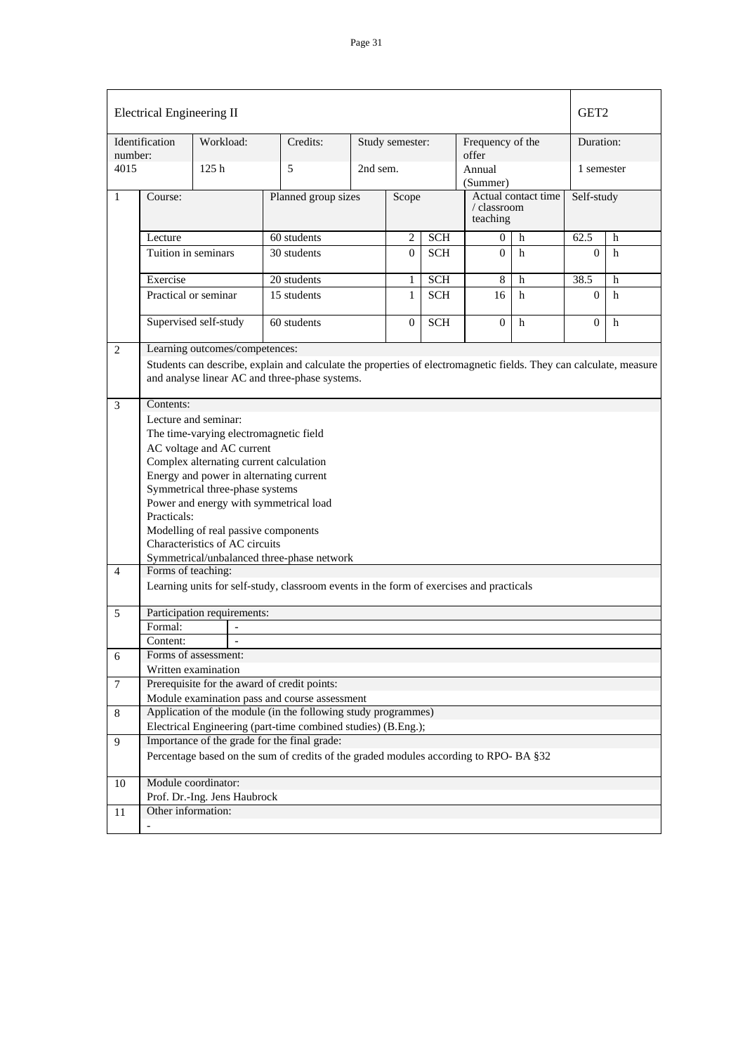| <b>Electrical Engineering II</b> |                                |                                         |                                                                                                                                                                      |          |                 |            |                                     | GET <sub>2</sub>    |                |   |
|----------------------------------|--------------------------------|-----------------------------------------|----------------------------------------------------------------------------------------------------------------------------------------------------------------------|----------|-----------------|------------|-------------------------------------|---------------------|----------------|---|
| number:                          | Identification                 | Workload:                               | Credits:                                                                                                                                                             |          | Study semester: |            | Frequency of the<br>offer           |                     | Duration:      |   |
| 4015                             |                                | 125 <sub>h</sub>                        | 5                                                                                                                                                                    | 2nd sem. |                 |            | Annual                              |                     | 1 semester     |   |
| 1                                | Course:                        |                                         | Planned group sizes                                                                                                                                                  |          | Scope           |            | (Summer)<br>/ classroom<br>teaching | Actual contact time | Self-study     |   |
|                                  | Lecture                        |                                         | 60 students                                                                                                                                                          |          | $\overline{c}$  | <b>SCH</b> | $\overline{0}$                      | h                   | 62.5           | h |
|                                  | Tuition in seminars            |                                         | 30 students                                                                                                                                                          |          | $\Omega$        | <b>SCH</b> | $\Omega$                            | h                   | $\overline{0}$ | h |
|                                  | Exercise                       |                                         | 20 students                                                                                                                                                          |          | 1               | <b>SCH</b> | 8                                   | h                   | 38.5           | h |
|                                  | Practical or seminar           |                                         | 15 students                                                                                                                                                          |          | $\mathbf{1}$    | <b>SCH</b> | 16                                  | h                   | $\Omega$       | h |
|                                  |                                | Supervised self-study                   | 60 students                                                                                                                                                          |          | $\overline{0}$  | <b>SCH</b> | $\overline{0}$                      | h                   | $\theta$       | h |
| $\overline{2}$                   | Learning outcomes/competences: |                                         |                                                                                                                                                                      |          |                 |            |                                     |                     |                |   |
|                                  |                                |                                         | Students can describe, explain and calculate the properties of electromagnetic fields. They can calculate, measure<br>and analyse linear AC and three-phase systems. |          |                 |            |                                     |                     |                |   |
| 3                                | Contents:                      |                                         |                                                                                                                                                                      |          |                 |            |                                     |                     |                |   |
|                                  |                                | Lecture and seminar:                    |                                                                                                                                                                      |          |                 |            |                                     |                     |                |   |
|                                  |                                | The time-varying electromagnetic field  |                                                                                                                                                                      |          |                 |            |                                     |                     |                |   |
|                                  |                                | AC voltage and AC current               |                                                                                                                                                                      |          |                 |            |                                     |                     |                |   |
|                                  |                                | Complex alternating current calculation |                                                                                                                                                                      |          |                 |            |                                     |                     |                |   |
|                                  |                                | Energy and power in alternating current |                                                                                                                                                                      |          |                 |            |                                     |                     |                |   |
|                                  |                                | Symmetrical three-phase systems         |                                                                                                                                                                      |          |                 |            |                                     |                     |                |   |
|                                  |                                | Power and energy with symmetrical load  |                                                                                                                                                                      |          |                 |            |                                     |                     |                |   |
|                                  | Practicals:                    |                                         |                                                                                                                                                                      |          |                 |            |                                     |                     |                |   |
|                                  |                                | Modelling of real passive components    |                                                                                                                                                                      |          |                 |            |                                     |                     |                |   |
|                                  |                                | Characteristics of AC circuits          |                                                                                                                                                                      |          |                 |            |                                     |                     |                |   |
| $\overline{4}$                   | Forms of teaching:             |                                         | Symmetrical/unbalanced three-phase network                                                                                                                           |          |                 |            |                                     |                     |                |   |
|                                  |                                |                                         | Learning units for self-study, classroom events in the form of exercises and practicals                                                                              |          |                 |            |                                     |                     |                |   |
|                                  |                                |                                         |                                                                                                                                                                      |          |                 |            |                                     |                     |                |   |
| 5                                |                                | Participation requirements:             |                                                                                                                                                                      |          |                 |            |                                     |                     |                |   |
|                                  | Formal:                        |                                         |                                                                                                                                                                      |          |                 |            |                                     |                     |                |   |
|                                  | Content:                       | $\blacksquare$                          |                                                                                                                                                                      |          |                 |            |                                     |                     |                |   |
| 6                                |                                | Forms of assessment:                    |                                                                                                                                                                      |          |                 |            |                                     |                     |                |   |
|                                  |                                | Written examination                     |                                                                                                                                                                      |          |                 |            |                                     |                     |                |   |
| $\overline{7}$                   |                                |                                         | Prerequisite for the award of credit points:                                                                                                                         |          |                 |            |                                     |                     |                |   |
|                                  |                                |                                         | Module examination pass and course assessment                                                                                                                        |          |                 |            |                                     |                     |                |   |
| 8                                |                                |                                         | Application of the module (in the following study programmes)                                                                                                        |          |                 |            |                                     |                     |                |   |
|                                  |                                |                                         | Electrical Engineering (part-time combined studies) (B.Eng.);                                                                                                        |          |                 |            |                                     |                     |                |   |
| 9                                |                                |                                         | Importance of the grade for the final grade:<br>Percentage based on the sum of credits of the graded modules according to RPO-BA §32                                 |          |                 |            |                                     |                     |                |   |
| 10                               |                                | Module coordinator:                     |                                                                                                                                                                      |          |                 |            |                                     |                     |                |   |
|                                  |                                | Prof. Dr.-Ing. Jens Haubrock            |                                                                                                                                                                      |          |                 |            |                                     |                     |                |   |
| 11                               | Other information:             |                                         |                                                                                                                                                                      |          |                 |            |                                     |                     |                |   |
|                                  |                                |                                         |                                                                                                                                                                      |          |                 |            |                                     |                     |                |   |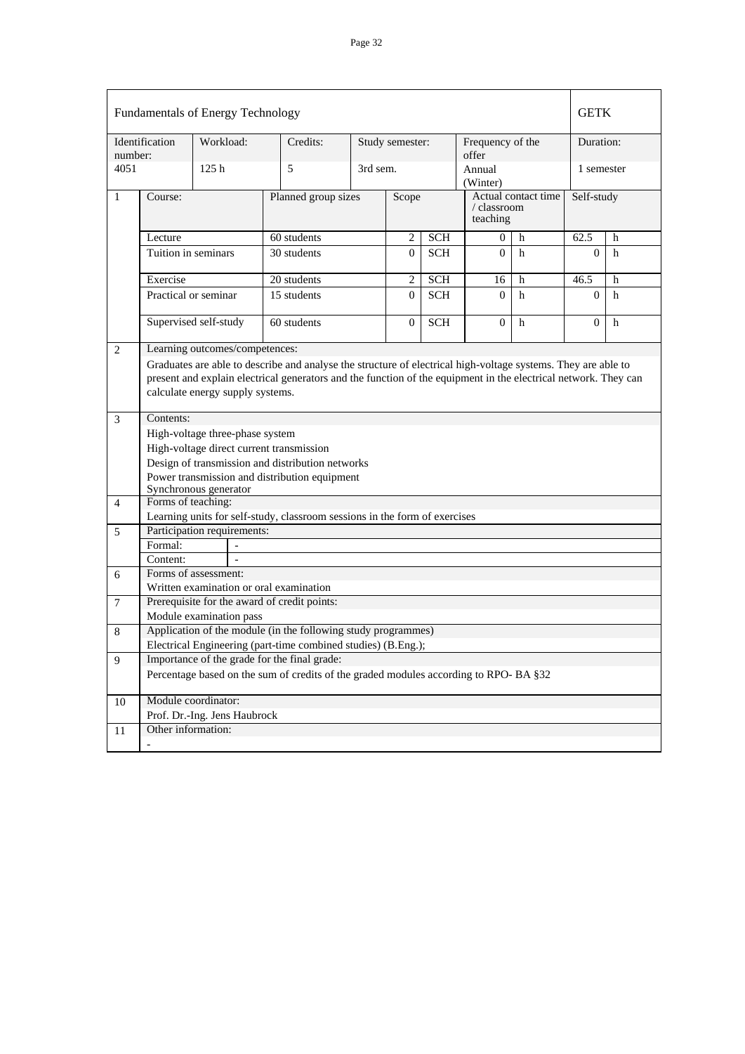|                |                                                                                                                                                                                                                                                                      | <b>Fundamentals of Energy Technology</b> |                                                                                              |          |                  |            |                           |                     | <b>GETK</b>    |   |
|----------------|----------------------------------------------------------------------------------------------------------------------------------------------------------------------------------------------------------------------------------------------------------------------|------------------------------------------|----------------------------------------------------------------------------------------------|----------|------------------|------------|---------------------------|---------------------|----------------|---|
| number:        | Identification                                                                                                                                                                                                                                                       | Workload:                                | Credits:                                                                                     |          | Study semester:  |            | Frequency of the<br>offer |                     | Duration:      |   |
| 4051           |                                                                                                                                                                                                                                                                      | 125 <sub>h</sub>                         | 5                                                                                            | 3rd sem. |                  |            | Annual<br>(Winter)        |                     | 1 semester     |   |
| $\mathbf{1}$   | Course:                                                                                                                                                                                                                                                              |                                          | Planned group sizes                                                                          |          | Scope            |            | / classroom<br>teaching   | Actual contact time | Self-study     |   |
|                | Lecture                                                                                                                                                                                                                                                              |                                          | 60 students                                                                                  |          | $\overline{c}$   | <b>SCH</b> | 0                         | h                   | 62.5           | h |
|                | Tuition in seminars                                                                                                                                                                                                                                                  |                                          | 30 students                                                                                  |          | $\boldsymbol{0}$ | <b>SCH</b> | $\Omega$                  | h                   | $\Omega$       | h |
|                | Exercise                                                                                                                                                                                                                                                             |                                          | 20 students                                                                                  |          | $\overline{2}$   | <b>SCH</b> | 16                        | h                   | 46.5           | h |
|                | Practical or seminar                                                                                                                                                                                                                                                 |                                          | 15 students                                                                                  |          | $\Omega$         | <b>SCH</b> | $\Omega$                  | h                   | $\overline{0}$ | h |
|                |                                                                                                                                                                                                                                                                      | Supervised self-study                    | 60 students                                                                                  |          | $\mathbf{0}$     | <b>SCH</b> | $\overline{0}$            | h                   | $\theta$       | h |
| $\overline{2}$ |                                                                                                                                                                                                                                                                      | Learning outcomes/competences:           |                                                                                              |          |                  |            |                           |                     |                |   |
|                | Graduates are able to describe and analyse the structure of electrical high-voltage systems. They are able to<br>present and explain electrical generators and the function of the equipment in the electrical network. They can<br>calculate energy supply systems. |                                          |                                                                                              |          |                  |            |                           |                     |                |   |
| 3              | Contents:                                                                                                                                                                                                                                                            |                                          |                                                                                              |          |                  |            |                           |                     |                |   |
|                |                                                                                                                                                                                                                                                                      | High-voltage three-phase system          |                                                                                              |          |                  |            |                           |                     |                |   |
|                |                                                                                                                                                                                                                                                                      |                                          | High-voltage direct current transmission<br>Design of transmission and distribution networks |          |                  |            |                           |                     |                |   |
|                |                                                                                                                                                                                                                                                                      | Synchronous generator                    | Power transmission and distribution equipment                                                |          |                  |            |                           |                     |                |   |
| $\overline{4}$ | Forms of teaching:                                                                                                                                                                                                                                                   |                                          |                                                                                              |          |                  |            |                           |                     |                |   |
|                |                                                                                                                                                                                                                                                                      |                                          | Learning units for self-study, classroom sessions in the form of exercises                   |          |                  |            |                           |                     |                |   |
| 5              |                                                                                                                                                                                                                                                                      | Participation requirements:              |                                                                                              |          |                  |            |                           |                     |                |   |
|                | Formal:                                                                                                                                                                                                                                                              |                                          |                                                                                              |          |                  |            |                           |                     |                |   |
|                | Content:                                                                                                                                                                                                                                                             |                                          |                                                                                              |          |                  |            |                           |                     |                |   |
| 6              |                                                                                                                                                                                                                                                                      | Forms of assessment:                     |                                                                                              |          |                  |            |                           |                     |                |   |
|                |                                                                                                                                                                                                                                                                      |                                          | Written examination or oral examination                                                      |          |                  |            |                           |                     |                |   |
| 7              |                                                                                                                                                                                                                                                                      |                                          | Prerequisite for the award of credit points:                                                 |          |                  |            |                           |                     |                |   |
| 8              |                                                                                                                                                                                                                                                                      | Module examination pass                  | Application of the module (in the following study programmes)                                |          |                  |            |                           |                     |                |   |
|                |                                                                                                                                                                                                                                                                      |                                          | Electrical Engineering (part-time combined studies) (B.Eng.);                                |          |                  |            |                           |                     |                |   |
| $\overline{9}$ |                                                                                                                                                                                                                                                                      |                                          | Importance of the grade for the final grade:                                                 |          |                  |            |                           |                     |                |   |
|                |                                                                                                                                                                                                                                                                      |                                          | Percentage based on the sum of credits of the graded modules according to RPO- BA §32        |          |                  |            |                           |                     |                |   |
| 10             |                                                                                                                                                                                                                                                                      | Module coordinator:                      |                                                                                              |          |                  |            |                           |                     |                |   |
|                |                                                                                                                                                                                                                                                                      | Prof. Dr.-Ing. Jens Haubrock             |                                                                                              |          |                  |            |                           |                     |                |   |
| 11             | Other information:                                                                                                                                                                                                                                                   |                                          |                                                                                              |          |                  |            |                           |                     |                |   |
|                | $\overline{\phantom{a}}$                                                                                                                                                                                                                                             |                                          |                                                                                              |          |                  |            |                           |                     |                |   |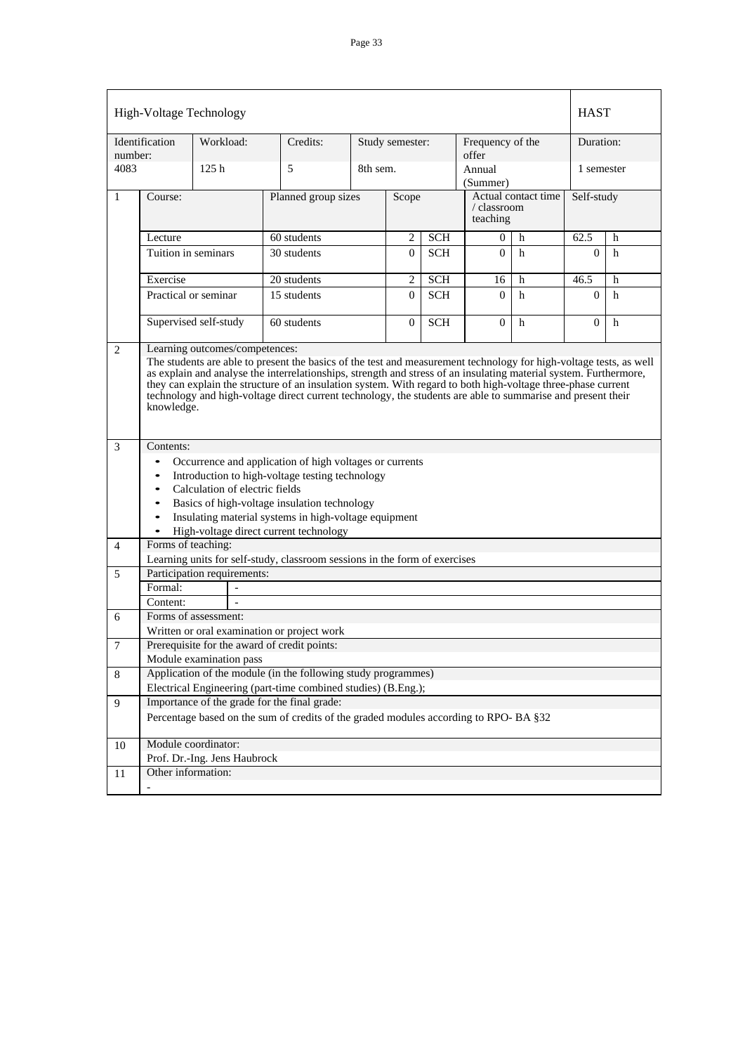|                |                                                                                                                                                                                                                                                                                                                                                                                                                                                                                                   | High-Voltage Technology        |                                                                                                                                                                                                                                                               |          |                 |            |                           |                     | <b>HAST</b>  |   |
|----------------|---------------------------------------------------------------------------------------------------------------------------------------------------------------------------------------------------------------------------------------------------------------------------------------------------------------------------------------------------------------------------------------------------------------------------------------------------------------------------------------------------|--------------------------------|---------------------------------------------------------------------------------------------------------------------------------------------------------------------------------------------------------------------------------------------------------------|----------|-----------------|------------|---------------------------|---------------------|--------------|---|
| number:        | Identification                                                                                                                                                                                                                                                                                                                                                                                                                                                                                    | Workload:                      | Credits:                                                                                                                                                                                                                                                      |          | Study semester: |            | Frequency of the<br>offer |                     | Duration:    |   |
| 4083           |                                                                                                                                                                                                                                                                                                                                                                                                                                                                                                   | 125h                           | 5                                                                                                                                                                                                                                                             | 8th sem. |                 |            | Annual<br>(Summer)        |                     | 1 semester   |   |
| $\mathbf{1}$   | Course:                                                                                                                                                                                                                                                                                                                                                                                                                                                                                           |                                | Planned group sizes                                                                                                                                                                                                                                           |          | Scope           |            | / classroom<br>teaching   | Actual contact time | Self-study   |   |
|                | Lecture                                                                                                                                                                                                                                                                                                                                                                                                                                                                                           |                                | 60 students                                                                                                                                                                                                                                                   |          | 2               | <b>SCH</b> | $\theta$                  | h                   | 62.5         | h |
|                | Tuition in seminars                                                                                                                                                                                                                                                                                                                                                                                                                                                                               |                                | 30 students                                                                                                                                                                                                                                                   |          | $\Omega$        | SCH        | $\Omega$                  | h                   | $\Omega$     | h |
|                | Exercise                                                                                                                                                                                                                                                                                                                                                                                                                                                                                          |                                | 20 students                                                                                                                                                                                                                                                   |          | 2               | <b>SCH</b> | 16                        | h                   | 46.5         | h |
|                | Practical or seminar                                                                                                                                                                                                                                                                                                                                                                                                                                                                              |                                | 15 students                                                                                                                                                                                                                                                   |          | $\Omega$        | <b>SCH</b> | $\Omega$                  | h                   | $\mathbf{0}$ | h |
|                |                                                                                                                                                                                                                                                                                                                                                                                                                                                                                                   | Supervised self-study          | 60 students                                                                                                                                                                                                                                                   |          | $\overline{0}$  | <b>SCH</b> | $\mathbf{0}$              | h                   | $\Omega$     | h |
| 3              | The students are able to present the basics of the test and measurement technology for high-voltage tests, as well<br>as explain and analyse the interrelationships, strength and stress of an insulating material system. Furthermore,<br>they can explain the structure of an insulation system. With regard to both high-voltage three-phase current<br>technology and high-voltage direct current technology, the students are able to summarise and present their<br>knowledge.<br>Contents: |                                |                                                                                                                                                                                                                                                               |          |                 |            |                           |                     |              |   |
|                |                                                                                                                                                                                                                                                                                                                                                                                                                                                                                                   | Calculation of electric fields | Occurrence and application of high voltages or currents<br>Introduction to high-voltage testing technology<br>Basics of high-voltage insulation technology<br>Insulating material systems in high-voltage equipment<br>High-voltage direct current technology |          |                 |            |                           |                     |              |   |
| $\overline{4}$ | Forms of teaching:                                                                                                                                                                                                                                                                                                                                                                                                                                                                                |                                |                                                                                                                                                                                                                                                               |          |                 |            |                           |                     |              |   |
|                |                                                                                                                                                                                                                                                                                                                                                                                                                                                                                                   |                                | Learning units for self-study, classroom sessions in the form of exercises                                                                                                                                                                                    |          |                 |            |                           |                     |              |   |
| 5              | Formal:                                                                                                                                                                                                                                                                                                                                                                                                                                                                                           | Participation requirements:    |                                                                                                                                                                                                                                                               |          |                 |            |                           |                     |              |   |
|                | Content:                                                                                                                                                                                                                                                                                                                                                                                                                                                                                          |                                |                                                                                                                                                                                                                                                               |          |                 |            |                           |                     |              |   |
| 6              |                                                                                                                                                                                                                                                                                                                                                                                                                                                                                                   | Forms of assessment:           |                                                                                                                                                                                                                                                               |          |                 |            |                           |                     |              |   |
|                |                                                                                                                                                                                                                                                                                                                                                                                                                                                                                                   |                                | Written or oral examination or project work                                                                                                                                                                                                                   |          |                 |            |                           |                     |              |   |
| 7              |                                                                                                                                                                                                                                                                                                                                                                                                                                                                                                   |                                | Prerequisite for the award of credit points:                                                                                                                                                                                                                  |          |                 |            |                           |                     |              |   |
|                |                                                                                                                                                                                                                                                                                                                                                                                                                                                                                                   | Module examination pass        |                                                                                                                                                                                                                                                               |          |                 |            |                           |                     |              |   |
| $\,$ 8 $\,$    |                                                                                                                                                                                                                                                                                                                                                                                                                                                                                                   |                                | Application of the module (in the following study programmes)                                                                                                                                                                                                 |          |                 |            |                           |                     |              |   |
|                |                                                                                                                                                                                                                                                                                                                                                                                                                                                                                                   |                                | Electrical Engineering (part-time combined studies) (B.Eng.);                                                                                                                                                                                                 |          |                 |            |                           |                     |              |   |
| 9              | Importance of the grade for the final grade:<br>Percentage based on the sum of credits of the graded modules according to RPO-BA §32                                                                                                                                                                                                                                                                                                                                                              |                                |                                                                                                                                                                                                                                                               |          |                 |            |                           |                     |              |   |
| 10             |                                                                                                                                                                                                                                                                                                                                                                                                                                                                                                   | Module coordinator:            |                                                                                                                                                                                                                                                               |          |                 |            |                           |                     |              |   |
|                |                                                                                                                                                                                                                                                                                                                                                                                                                                                                                                   | Prof. Dr.-Ing. Jens Haubrock   |                                                                                                                                                                                                                                                               |          |                 |            |                           |                     |              |   |
| 11             | Other information:                                                                                                                                                                                                                                                                                                                                                                                                                                                                                |                                |                                                                                                                                                                                                                                                               |          |                 |            |                           |                     |              |   |
|                |                                                                                                                                                                                                                                                                                                                                                                                                                                                                                                   |                                |                                                                                                                                                                                                                                                               |          |                 |            |                           |                     |              |   |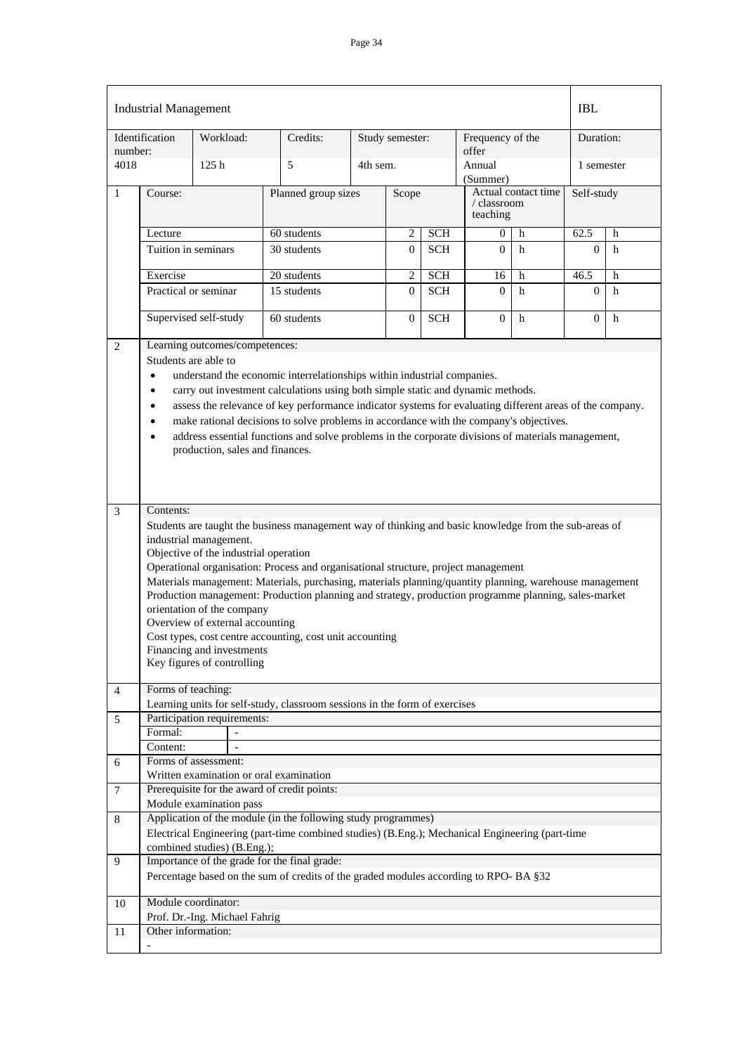|                | <b>Industrial Management</b>                                                          |                                                                                                                                                                                             |                                                                                                                                                                                                                                                                                                                                                                                                                                                                            |          |                  |            |                           |                     | <b>IBL</b>     |   |
|----------------|---------------------------------------------------------------------------------------|---------------------------------------------------------------------------------------------------------------------------------------------------------------------------------------------|----------------------------------------------------------------------------------------------------------------------------------------------------------------------------------------------------------------------------------------------------------------------------------------------------------------------------------------------------------------------------------------------------------------------------------------------------------------------------|----------|------------------|------------|---------------------------|---------------------|----------------|---|
| number:        | Identification                                                                        | Workload:                                                                                                                                                                                   | Credits:                                                                                                                                                                                                                                                                                                                                                                                                                                                                   |          | Study semester:  |            | Frequency of the<br>offer |                     | Duration:      |   |
| 4018           |                                                                                       | 125h                                                                                                                                                                                        | 5                                                                                                                                                                                                                                                                                                                                                                                                                                                                          | 4th sem. |                  |            | Annual<br>(Summer)        |                     | 1 semester     |   |
| 1              | Course:                                                                               |                                                                                                                                                                                             | Planned group sizes                                                                                                                                                                                                                                                                                                                                                                                                                                                        |          | Scope            |            | / classroom<br>teaching   | Actual contact time | Self-study     |   |
|                | Lecture                                                                               |                                                                                                                                                                                             | 60 students                                                                                                                                                                                                                                                                                                                                                                                                                                                                |          | $\overline{c}$   | <b>SCH</b> | $\theta$                  | h                   | 62.5           | h |
|                | Tuition in seminars                                                                   |                                                                                                                                                                                             | 30 students                                                                                                                                                                                                                                                                                                                                                                                                                                                                |          | $\overline{0}$   | <b>SCH</b> | $\Omega$                  | h                   | $\overline{0}$ | h |
|                | Exercise                                                                              |                                                                                                                                                                                             | 20 students                                                                                                                                                                                                                                                                                                                                                                                                                                                                |          | 2                | <b>SCH</b> | 16                        | h                   | 46.5           | h |
|                |                                                                                       | Practical or seminar                                                                                                                                                                        | 15 students                                                                                                                                                                                                                                                                                                                                                                                                                                                                |          | $\Omega$         | <b>SCH</b> | $\Omega$                  | h                   | $\Omega$       | h |
|                |                                                                                       | Supervised self-study                                                                                                                                                                       | 60 students                                                                                                                                                                                                                                                                                                                                                                                                                                                                |          | $\boldsymbol{0}$ | <b>SCH</b> | $\overline{0}$            | h                   | $\overline{0}$ | h |
|                |                                                                                       |                                                                                                                                                                                             |                                                                                                                                                                                                                                                                                                                                                                                                                                                                            |          |                  |            |                           |                     |                |   |
|                | Students are able to<br>$\bullet$<br>$\bullet$<br>$\bullet$<br>$\bullet$<br>$\bullet$ | production, sales and finances.                                                                                                                                                             | understand the economic interrelationships within industrial companies.<br>carry out investment calculations using both simple static and dynamic methods.<br>assess the relevance of key performance indicator systems for evaluating different areas of the company.<br>make rational decisions to solve problems in accordance with the company's objectives.<br>address essential functions and solve problems in the corporate divisions of materials management,     |          |                  |            |                           |                     |                |   |
| 3              | Contents:                                                                             |                                                                                                                                                                                             |                                                                                                                                                                                                                                                                                                                                                                                                                                                                            |          |                  |            |                           |                     |                |   |
|                |                                                                                       | industrial management.<br>Objective of the industrial operation<br>orientation of the company<br>Overview of external accounting<br>Financing and investments<br>Key figures of controlling | Students are taught the business management way of thinking and basic knowledge from the sub-areas of<br>Operational organisation: Process and organisational structure, project management<br>Materials management: Materials, purchasing, materials planning/quantity planning, warehouse management<br>Production management: Production planning and strategy, production programme planning, sales-market<br>Cost types, cost centre accounting, cost unit accounting |          |                  |            |                           |                     |                |   |
| $\overline{4}$ | Forms of teaching:                                                                    |                                                                                                                                                                                             | Learning units for self-study, classroom sessions in the form of exercises                                                                                                                                                                                                                                                                                                                                                                                                 |          |                  |            |                           |                     |                |   |
| 5              |                                                                                       | Participation requirements:                                                                                                                                                                 |                                                                                                                                                                                                                                                                                                                                                                                                                                                                            |          |                  |            |                           |                     |                |   |
|                | Formal:                                                                               | $\overline{a}$                                                                                                                                                                              |                                                                                                                                                                                                                                                                                                                                                                                                                                                                            |          |                  |            |                           |                     |                |   |
|                | Content:                                                                              | $\overline{a}$                                                                                                                                                                              |                                                                                                                                                                                                                                                                                                                                                                                                                                                                            |          |                  |            |                           |                     |                |   |
| 6              |                                                                                       | Forms of assessment:                                                                                                                                                                        |                                                                                                                                                                                                                                                                                                                                                                                                                                                                            |          |                  |            |                           |                     |                |   |
|                |                                                                                       | Written examination or oral examination                                                                                                                                                     |                                                                                                                                                                                                                                                                                                                                                                                                                                                                            |          |                  |            |                           |                     |                |   |
| $\tau$         |                                                                                       |                                                                                                                                                                                             | Prerequisite for the award of credit points:                                                                                                                                                                                                                                                                                                                                                                                                                               |          |                  |            |                           |                     |                |   |
|                |                                                                                       | Module examination pass                                                                                                                                                                     | Application of the module (in the following study programmes)                                                                                                                                                                                                                                                                                                                                                                                                              |          |                  |            |                           |                     |                |   |
| 8              |                                                                                       |                                                                                                                                                                                             | Electrical Engineering (part-time combined studies) (B.Eng.); Mechanical Engineering (part-time                                                                                                                                                                                                                                                                                                                                                                            |          |                  |            |                           |                     |                |   |
|                |                                                                                       | combined studies) (B.Eng.);                                                                                                                                                                 |                                                                                                                                                                                                                                                                                                                                                                                                                                                                            |          |                  |            |                           |                     |                |   |
| 9              |                                                                                       |                                                                                                                                                                                             | Importance of the grade for the final grade:<br>Percentage based on the sum of credits of the graded modules according to RPO-BA §32.                                                                                                                                                                                                                                                                                                                                      |          |                  |            |                           |                     |                |   |
|                |                                                                                       | Module coordinator:                                                                                                                                                                         |                                                                                                                                                                                                                                                                                                                                                                                                                                                                            |          |                  |            |                           |                     |                |   |
| 10             |                                                                                       | Prof. Dr.-Ing. Michael Fahrig                                                                                                                                                               |                                                                                                                                                                                                                                                                                                                                                                                                                                                                            |          |                  |            |                           |                     |                |   |
| 11             | Other information:                                                                    |                                                                                                                                                                                             |                                                                                                                                                                                                                                                                                                                                                                                                                                                                            |          |                  |            |                           |                     |                |   |
|                |                                                                                       |                                                                                                                                                                                             |                                                                                                                                                                                                                                                                                                                                                                                                                                                                            |          |                  |            |                           |                     |                |   |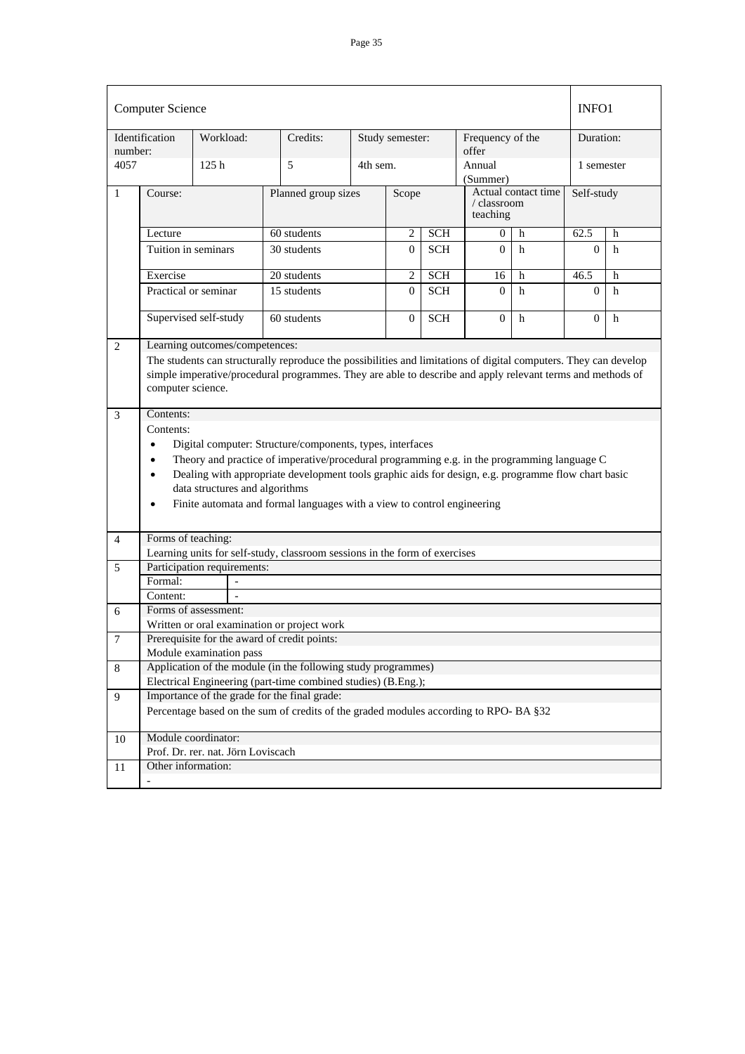|                | <b>Computer Science</b>                                                                                                                                                                                                                                                               |                                               |                                                                                                                                                                                                                                                                                                                                            |          |                 |            |                           |                     | INFO1          |   |
|----------------|---------------------------------------------------------------------------------------------------------------------------------------------------------------------------------------------------------------------------------------------------------------------------------------|-----------------------------------------------|--------------------------------------------------------------------------------------------------------------------------------------------------------------------------------------------------------------------------------------------------------------------------------------------------------------------------------------------|----------|-----------------|------------|---------------------------|---------------------|----------------|---|
| number:        | Identification                                                                                                                                                                                                                                                                        | Workload:                                     | Credits:                                                                                                                                                                                                                                                                                                                                   |          | Study semester: |            | Frequency of the<br>offer |                     | Duration:      |   |
| 4057           |                                                                                                                                                                                                                                                                                       | 125h                                          | 5                                                                                                                                                                                                                                                                                                                                          | 4th sem. |                 |            | Annual<br>(Summer)        |                     | 1 semester     |   |
| $\mathbf{1}$   | Course:                                                                                                                                                                                                                                                                               |                                               | Planned group sizes                                                                                                                                                                                                                                                                                                                        |          | Scope           |            | / classroom<br>teaching   | Actual contact time | Self-study     |   |
|                | Lecture                                                                                                                                                                                                                                                                               |                                               | 60 students                                                                                                                                                                                                                                                                                                                                |          | $\overline{2}$  | <b>SCH</b> | $\overline{0}$            | h                   | 62.5           | h |
|                | Tuition in seminars                                                                                                                                                                                                                                                                   |                                               | 30 students                                                                                                                                                                                                                                                                                                                                |          | $\Omega$        | <b>SCH</b> | $\Omega$                  | h                   | $\Omega$       | h |
|                | Exercise                                                                                                                                                                                                                                                                              |                                               | 20 students                                                                                                                                                                                                                                                                                                                                |          | $\overline{c}$  | <b>SCH</b> | 16                        | h                   | 46.5           | h |
|                | Practical or seminar                                                                                                                                                                                                                                                                  |                                               | 15 students                                                                                                                                                                                                                                                                                                                                |          | $\overline{0}$  | <b>SCH</b> | $\Omega$                  | h                   | $\theta$       | h |
|                |                                                                                                                                                                                                                                                                                       | Supervised self-study                         | 60 students                                                                                                                                                                                                                                                                                                                                |          | $\mathbf{0}$    | <b>SCH</b> | $\overline{0}$            | h                   | $\overline{0}$ | h |
| $\overline{2}$ | Learning outcomes/competences:<br>The students can structurally reproduce the possibilities and limitations of digital computers. They can develop<br>simple imperative/procedural programmes. They are able to describe and apply relevant terms and methods of<br>computer science. |                                               |                                                                                                                                                                                                                                                                                                                                            |          |                 |            |                           |                     |                |   |
| 3              | Contents:                                                                                                                                                                                                                                                                             |                                               |                                                                                                                                                                                                                                                                                                                                            |          |                 |            |                           |                     |                |   |
|                | Contents:<br>$\bullet$<br>$\bullet$<br>$\bullet$<br>$\bullet$                                                                                                                                                                                                                         | data structures and algorithms                | Digital computer: Structure/components, types, interfaces<br>Theory and practice of imperative/procedural programming e.g. in the programming language C<br>Dealing with appropriate development tools graphic aids for design, e.g. programme flow chart basic<br>Finite automata and formal languages with a view to control engineering |          |                 |            |                           |                     |                |   |
| $\overline{4}$ | Forms of teaching:                                                                                                                                                                                                                                                                    |                                               |                                                                                                                                                                                                                                                                                                                                            |          |                 |            |                           |                     |                |   |
|                |                                                                                                                                                                                                                                                                                       |                                               | Learning units for self-study, classroom sessions in the form of exercises                                                                                                                                                                                                                                                                 |          |                 |            |                           |                     |                |   |
| 5              | Formal:                                                                                                                                                                                                                                                                               | Participation requirements:<br>$\overline{a}$ |                                                                                                                                                                                                                                                                                                                                            |          |                 |            |                           |                     |                |   |
|                | Content:                                                                                                                                                                                                                                                                              | $\overline{a}$                                |                                                                                                                                                                                                                                                                                                                                            |          |                 |            |                           |                     |                |   |
| 6              |                                                                                                                                                                                                                                                                                       | Forms of assessment:                          |                                                                                                                                                                                                                                                                                                                                            |          |                 |            |                           |                     |                |   |
|                |                                                                                                                                                                                                                                                                                       |                                               | Written or oral examination or project work                                                                                                                                                                                                                                                                                                |          |                 |            |                           |                     |                |   |
| 7              |                                                                                                                                                                                                                                                                                       |                                               | Prerequisite for the award of credit points:                                                                                                                                                                                                                                                                                               |          |                 |            |                           |                     |                |   |
|                |                                                                                                                                                                                                                                                                                       | Module examination pass                       |                                                                                                                                                                                                                                                                                                                                            |          |                 |            |                           |                     |                |   |
| 8              | Application of the module (in the following study programmes)<br>Electrical Engineering (part-time combined studies) (B.Eng.);                                                                                                                                                        |                                               |                                                                                                                                                                                                                                                                                                                                            |          |                 |            |                           |                     |                |   |
|                |                                                                                                                                                                                                                                                                                       |                                               |                                                                                                                                                                                                                                                                                                                                            |          |                 |            |                           |                     |                |   |
| $\overline{9}$ |                                                                                                                                                                                                                                                                                       |                                               | Importance of the grade for the final grade:<br>Percentage based on the sum of credits of the graded modules according to RPO- BA §32                                                                                                                                                                                                      |          |                 |            |                           |                     |                |   |
| 10             |                                                                                                                                                                                                                                                                                       | Module coordinator:                           |                                                                                                                                                                                                                                                                                                                                            |          |                 |            |                           |                     |                |   |
|                |                                                                                                                                                                                                                                                                                       | Prof. Dr. rer. nat. Jörn Loviscach            |                                                                                                                                                                                                                                                                                                                                            |          |                 |            |                           |                     |                |   |
| 11             | Other information:                                                                                                                                                                                                                                                                    |                                               |                                                                                                                                                                                                                                                                                                                                            |          |                 |            |                           |                     |                |   |
|                |                                                                                                                                                                                                                                                                                       |                                               |                                                                                                                                                                                                                                                                                                                                            |          |                 |            |                           |                     |                |   |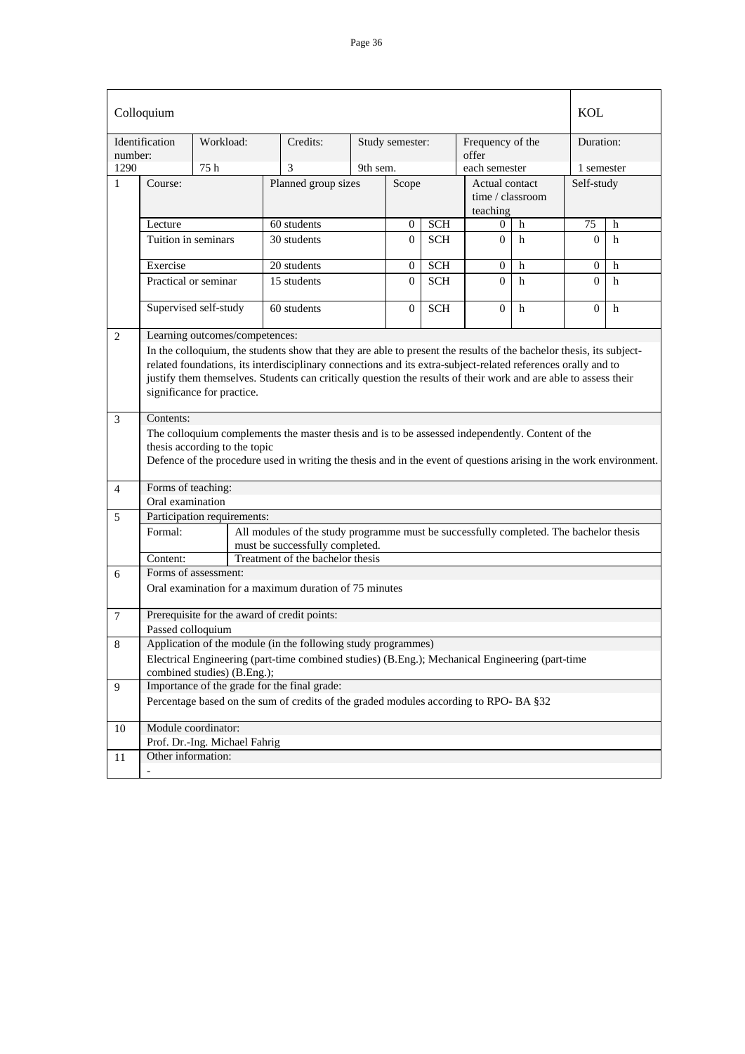|                | Colloquium           |                                |                                                                                                                                                                                                                                                                                                                                                          |          |                 |            |                                                |             | <b>KOL</b>   |   |
|----------------|----------------------|--------------------------------|----------------------------------------------------------------------------------------------------------------------------------------------------------------------------------------------------------------------------------------------------------------------------------------------------------------------------------------------------------|----------|-----------------|------------|------------------------------------------------|-------------|--------------|---|
| number:        | Identification       | Workload:                      | Credits:                                                                                                                                                                                                                                                                                                                                                 |          | Study semester: |            | Frequency of the<br>offer                      |             | Duration:    |   |
| 1290           |                      | 75 h                           | 3                                                                                                                                                                                                                                                                                                                                                        | 9th sem. |                 |            | each semester                                  |             | 1 semester   |   |
| $\mathbf{1}$   | Course:              |                                | Planned group sizes                                                                                                                                                                                                                                                                                                                                      |          | Scope           |            | Actual contact<br>time / classroom<br>teaching |             | Self-study   |   |
|                | Lecture              |                                | 60 students                                                                                                                                                                                                                                                                                                                                              |          | $\mathbf{0}$    | <b>SCH</b> | 0                                              | h           | 75           | h |
|                | Tuition in seminars  |                                | 30 students                                                                                                                                                                                                                                                                                                                                              |          | $\theta$        | <b>SCH</b> | $\Omega$                                       | h           | $\Omega$     | h |
|                | Exercise             |                                | 20 students                                                                                                                                                                                                                                                                                                                                              |          | 0               | <b>SCH</b> | $\overline{0}$                                 | h           | $\Omega$     | h |
|                | Practical or seminar |                                | 15 students                                                                                                                                                                                                                                                                                                                                              |          | $\overline{0}$  | <b>SCH</b> | $\Omega$                                       | $\mathbf h$ | $\Omega$     | h |
|                |                      | Supervised self-study          | 60 students                                                                                                                                                                                                                                                                                                                                              |          | $\overline{0}$  | <b>SCH</b> | $\mathbf{0}$                                   | h           | $\mathbf{0}$ | h |
| $\overline{2}$ |                      | Learning outcomes/competences: |                                                                                                                                                                                                                                                                                                                                                          |          |                 |            |                                                |             |              |   |
|                |                      | significance for practice.     | In the colloquium, the students show that they are able to present the results of the bachelor thesis, its subject-<br>related foundations, its interdisciplinary connections and its extra-subject-related references orally and to<br>justify them themselves. Students can critically question the results of their work and are able to assess their |          |                 |            |                                                |             |              |   |
| $\mathfrak{Z}$ | Contents:            |                                |                                                                                                                                                                                                                                                                                                                                                          |          |                 |            |                                                |             |              |   |
|                |                      | thesis according to the topic  | The colloquium complements the master thesis and is to be assessed independently. Content of the<br>Defence of the procedure used in writing the thesis and in the event of questions arising in the work environment.                                                                                                                                   |          |                 |            |                                                |             |              |   |
| $\overline{4}$ | Forms of teaching:   |                                |                                                                                                                                                                                                                                                                                                                                                          |          |                 |            |                                                |             |              |   |
|                | Oral examination     |                                |                                                                                                                                                                                                                                                                                                                                                          |          |                 |            |                                                |             |              |   |
| 5              |                      | Participation requirements:    |                                                                                                                                                                                                                                                                                                                                                          |          |                 |            |                                                |             |              |   |
|                | Formal:              |                                | All modules of the study programme must be successfully completed. The bachelor thesis<br>must be successfully completed.                                                                                                                                                                                                                                |          |                 |            |                                                |             |              |   |
|                | Content:             |                                | Treatment of the bachelor thesis                                                                                                                                                                                                                                                                                                                         |          |                 |            |                                                |             |              |   |
| 6              |                      | Forms of assessment:           |                                                                                                                                                                                                                                                                                                                                                          |          |                 |            |                                                |             |              |   |
|                |                      |                                | Oral examination for a maximum duration of 75 minutes                                                                                                                                                                                                                                                                                                    |          |                 |            |                                                |             |              |   |
| 7              |                      |                                | Prerequisite for the award of credit points:                                                                                                                                                                                                                                                                                                             |          |                 |            |                                                |             |              |   |
|                | Passed colloquium    |                                |                                                                                                                                                                                                                                                                                                                                                          |          |                 |            |                                                |             |              |   |
| 8              |                      |                                | Application of the module (in the following study programmes)                                                                                                                                                                                                                                                                                            |          |                 |            |                                                |             |              |   |
|                |                      |                                | Electrical Engineering (part-time combined studies) (B.Eng.); Mechanical Engineering (part-time                                                                                                                                                                                                                                                          |          |                 |            |                                                |             |              |   |
| 9              |                      | combined studies) (B.Eng.);    | Importance of the grade for the final grade:                                                                                                                                                                                                                                                                                                             |          |                 |            |                                                |             |              |   |
|                |                      |                                | Percentage based on the sum of credits of the graded modules according to RPO- BA §32                                                                                                                                                                                                                                                                    |          |                 |            |                                                |             |              |   |
| 10             |                      | Module coordinator:            |                                                                                                                                                                                                                                                                                                                                                          |          |                 |            |                                                |             |              |   |
|                |                      | Prof. Dr.-Ing. Michael Fahrig  |                                                                                                                                                                                                                                                                                                                                                          |          |                 |            |                                                |             |              |   |
| 11             | Other information:   |                                |                                                                                                                                                                                                                                                                                                                                                          |          |                 |            |                                                |             |              |   |
|                |                      |                                |                                                                                                                                                                                                                                                                                                                                                          |          |                 |            |                                                |             |              |   |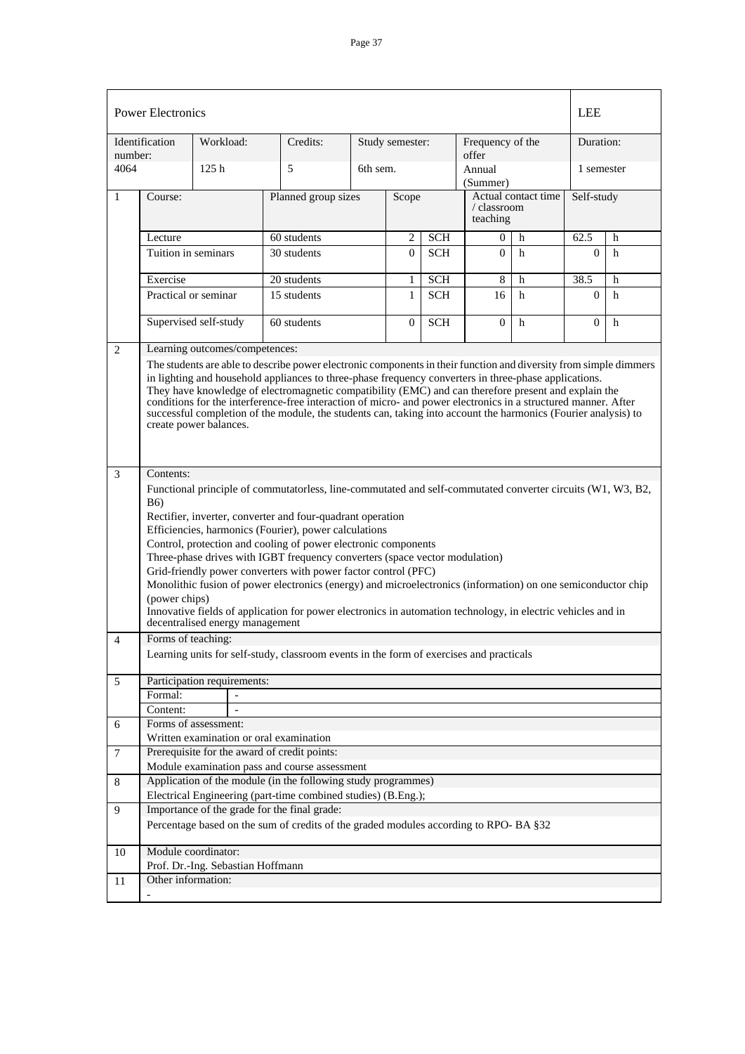|                | <b>Power Electronics</b>                                                                                                                                                                                                                                                                                                                                                                                                                                                                                                                                                                         |                                   |                                                                                                                                                                                                                                                                                                                                                                                                                                                                                                                                                                                                                                                                                       |          |                 |            |                           |                     | <b>LEE</b> |   |
|----------------|--------------------------------------------------------------------------------------------------------------------------------------------------------------------------------------------------------------------------------------------------------------------------------------------------------------------------------------------------------------------------------------------------------------------------------------------------------------------------------------------------------------------------------------------------------------------------------------------------|-----------------------------------|---------------------------------------------------------------------------------------------------------------------------------------------------------------------------------------------------------------------------------------------------------------------------------------------------------------------------------------------------------------------------------------------------------------------------------------------------------------------------------------------------------------------------------------------------------------------------------------------------------------------------------------------------------------------------------------|----------|-----------------|------------|---------------------------|---------------------|------------|---|
| number:        | Identification                                                                                                                                                                                                                                                                                                                                                                                                                                                                                                                                                                                   | Workload:                         | Credits:                                                                                                                                                                                                                                                                                                                                                                                                                                                                                                                                                                                                                                                                              |          | Study semester: |            | Frequency of the<br>offer |                     | Duration:  |   |
| 4064           |                                                                                                                                                                                                                                                                                                                                                                                                                                                                                                                                                                                                  | 125h                              | 5                                                                                                                                                                                                                                                                                                                                                                                                                                                                                                                                                                                                                                                                                     | 6th sem. |                 |            | Annual<br>(Summer)        |                     | 1 semester |   |
| $\mathbf{1}$   | Course:                                                                                                                                                                                                                                                                                                                                                                                                                                                                                                                                                                                          |                                   | Planned group sizes                                                                                                                                                                                                                                                                                                                                                                                                                                                                                                                                                                                                                                                                   |          | Scope           |            | / classroom<br>teaching   | Actual contact time | Self-study |   |
|                | Lecture                                                                                                                                                                                                                                                                                                                                                                                                                                                                                                                                                                                          |                                   | 60 students                                                                                                                                                                                                                                                                                                                                                                                                                                                                                                                                                                                                                                                                           |          | 2               | <b>SCH</b> | $\overline{0}$            | h                   | 62.5       | h |
|                | Tuition in seminars                                                                                                                                                                                                                                                                                                                                                                                                                                                                                                                                                                              |                                   | 30 students                                                                                                                                                                                                                                                                                                                                                                                                                                                                                                                                                                                                                                                                           |          | $\theta$        | <b>SCH</b> | $\Omega$                  | h                   | $\Omega$   | h |
|                | Exercise                                                                                                                                                                                                                                                                                                                                                                                                                                                                                                                                                                                         |                                   | 20 students                                                                                                                                                                                                                                                                                                                                                                                                                                                                                                                                                                                                                                                                           |          | 1               | <b>SCH</b> | 8                         | h                   | 38.5       | h |
|                |                                                                                                                                                                                                                                                                                                                                                                                                                                                                                                                                                                                                  | Practical or seminar              | 15 students                                                                                                                                                                                                                                                                                                                                                                                                                                                                                                                                                                                                                                                                           |          | 1               | <b>SCH</b> | 16                        | h                   | $\Omega$   | h |
|                |                                                                                                                                                                                                                                                                                                                                                                                                                                                                                                                                                                                                  | Supervised self-study             | 60 students                                                                                                                                                                                                                                                                                                                                                                                                                                                                                                                                                                                                                                                                           |          | $\mathbf{0}$    | <b>SCH</b> | $\overline{0}$            | h                   | $\Omega$   | h |
| $\overline{2}$ |                                                                                                                                                                                                                                                                                                                                                                                                                                                                                                                                                                                                  | Learning outcomes/competences:    |                                                                                                                                                                                                                                                                                                                                                                                                                                                                                                                                                                                                                                                                                       |          |                 |            |                           |                     |            |   |
|                | The students are able to describe power electronic components in their function and diversity from simple dimmers<br>in lighting and household appliances to three-phase frequency converters in three-phase applications.<br>They have knowledge of electromagnetic compatibility (EMC) and can therefore present and explain the<br>conditions for the interference-free interaction of micro- and power electronics in a structured manner. After<br>successful completion of the module, the students can, taking into account the harmonics (Fourier analysis) to<br>create power balances. |                                   |                                                                                                                                                                                                                                                                                                                                                                                                                                                                                                                                                                                                                                                                                       |          |                 |            |                           |                     |            |   |
| $\mathfrak{Z}$ | Contents:                                                                                                                                                                                                                                                                                                                                                                                                                                                                                                                                                                                        |                                   |                                                                                                                                                                                                                                                                                                                                                                                                                                                                                                                                                                                                                                                                                       |          |                 |            |                           |                     |            |   |
|                | <b>B6</b> )<br>(power chips)                                                                                                                                                                                                                                                                                                                                                                                                                                                                                                                                                                     | decentralised energy management   | Functional principle of commutatorless, line-commutated and self-commutated converter circuits (W1, W3, B2,<br>Rectifier, inverter, converter and four-quadrant operation<br>Efficiencies, harmonics (Fourier), power calculations<br>Control, protection and cooling of power electronic components<br>Three-phase drives with IGBT frequency converters (space vector modulation)<br>Grid-friendly power converters with power factor control (PFC)<br>Monolithic fusion of power electronics (energy) and microelectronics (information) on one semiconductor chip<br>Innovative fields of application for power electronics in automation technology, in electric vehicles and in |          |                 |            |                           |                     |            |   |
| 4              | Forms of teaching:                                                                                                                                                                                                                                                                                                                                                                                                                                                                                                                                                                               |                                   | Learning units for self-study, classroom events in the form of exercises and practicals                                                                                                                                                                                                                                                                                                                                                                                                                                                                                                                                                                                               |          |                 |            |                           |                     |            |   |
|                |                                                                                                                                                                                                                                                                                                                                                                                                                                                                                                                                                                                                  |                                   |                                                                                                                                                                                                                                                                                                                                                                                                                                                                                                                                                                                                                                                                                       |          |                 |            |                           |                     |            |   |
| 5              |                                                                                                                                                                                                                                                                                                                                                                                                                                                                                                                                                                                                  | Participation requirements:       |                                                                                                                                                                                                                                                                                                                                                                                                                                                                                                                                                                                                                                                                                       |          |                 |            |                           |                     |            |   |
|                | Formal:<br>Content:                                                                                                                                                                                                                                                                                                                                                                                                                                                                                                                                                                              |                                   |                                                                                                                                                                                                                                                                                                                                                                                                                                                                                                                                                                                                                                                                                       |          |                 |            |                           |                     |            |   |
| 6              |                                                                                                                                                                                                                                                                                                                                                                                                                                                                                                                                                                                                  | Forms of assessment:              |                                                                                                                                                                                                                                                                                                                                                                                                                                                                                                                                                                                                                                                                                       |          |                 |            |                           |                     |            |   |
|                |                                                                                                                                                                                                                                                                                                                                                                                                                                                                                                                                                                                                  |                                   | Written examination or oral examination                                                                                                                                                                                                                                                                                                                                                                                                                                                                                                                                                                                                                                               |          |                 |            |                           |                     |            |   |
| $\overline{7}$ |                                                                                                                                                                                                                                                                                                                                                                                                                                                                                                                                                                                                  |                                   | Prerequisite for the award of credit points:                                                                                                                                                                                                                                                                                                                                                                                                                                                                                                                                                                                                                                          |          |                 |            |                           |                     |            |   |
|                |                                                                                                                                                                                                                                                                                                                                                                                                                                                                                                                                                                                                  |                                   | Module examination pass and course assessment                                                                                                                                                                                                                                                                                                                                                                                                                                                                                                                                                                                                                                         |          |                 |            |                           |                     |            |   |
| 8              |                                                                                                                                                                                                                                                                                                                                                                                                                                                                                                                                                                                                  |                                   | Application of the module (in the following study programmes)                                                                                                                                                                                                                                                                                                                                                                                                                                                                                                                                                                                                                         |          |                 |            |                           |                     |            |   |
| 9              |                                                                                                                                                                                                                                                                                                                                                                                                                                                                                                                                                                                                  |                                   | Electrical Engineering (part-time combined studies) (B.Eng.);<br>Importance of the grade for the final grade:                                                                                                                                                                                                                                                                                                                                                                                                                                                                                                                                                                         |          |                 |            |                           |                     |            |   |
|                |                                                                                                                                                                                                                                                                                                                                                                                                                                                                                                                                                                                                  |                                   | Percentage based on the sum of credits of the graded modules according to RPO-BA §32                                                                                                                                                                                                                                                                                                                                                                                                                                                                                                                                                                                                  |          |                 |            |                           |                     |            |   |
| 10             |                                                                                                                                                                                                                                                                                                                                                                                                                                                                                                                                                                                                  | Module coordinator:               |                                                                                                                                                                                                                                                                                                                                                                                                                                                                                                                                                                                                                                                                                       |          |                 |            |                           |                     |            |   |
|                |                                                                                                                                                                                                                                                                                                                                                                                                                                                                                                                                                                                                  | Prof. Dr.-Ing. Sebastian Hoffmann |                                                                                                                                                                                                                                                                                                                                                                                                                                                                                                                                                                                                                                                                                       |          |                 |            |                           |                     |            |   |
| 11             | Other information:                                                                                                                                                                                                                                                                                                                                                                                                                                                                                                                                                                               |                                   |                                                                                                                                                                                                                                                                                                                                                                                                                                                                                                                                                                                                                                                                                       |          |                 |            |                           |                     |            |   |
|                |                                                                                                                                                                                                                                                                                                                                                                                                                                                                                                                                                                                                  |                                   |                                                                                                                                                                                                                                                                                                                                                                                                                                                                                                                                                                                                                                                                                       |          |                 |            |                           |                     |            |   |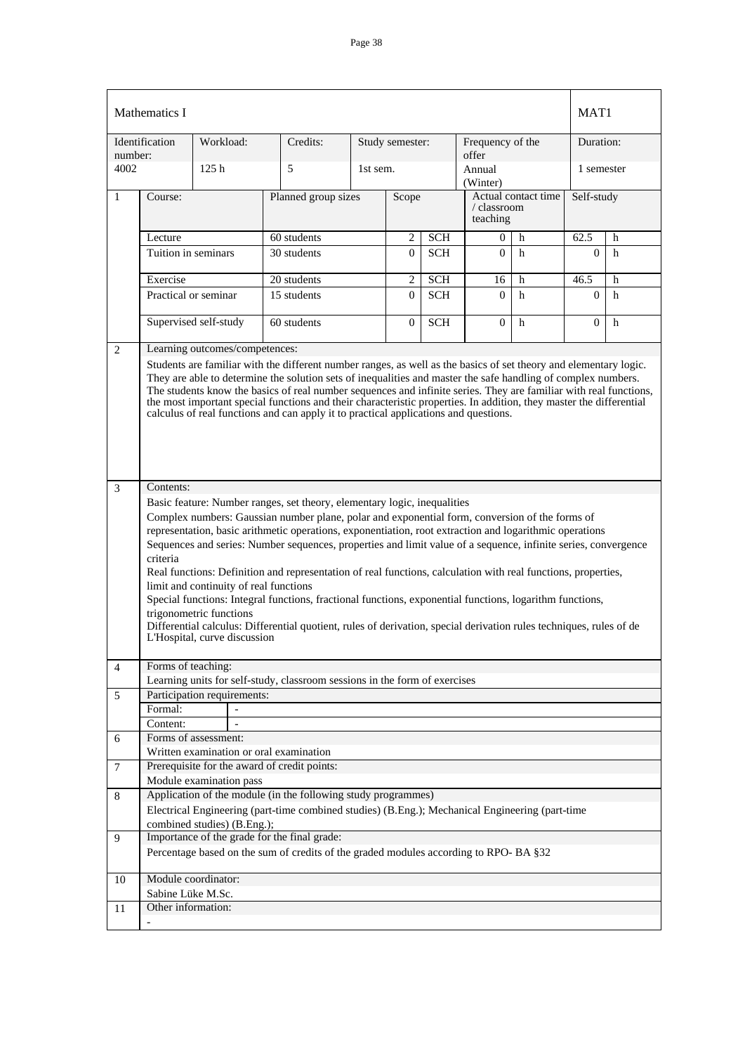|                | Mathematics I         |                                                                                                   |                                                                                                                                                                                                                                                                                                                                                                                                                                                                                                                                                                                                                                                                                                                                                                                                                                                                                                                                                                            |          |                 |            |                           |                     | MAT <sub>1</sub> |   |
|----------------|-----------------------|---------------------------------------------------------------------------------------------------|----------------------------------------------------------------------------------------------------------------------------------------------------------------------------------------------------------------------------------------------------------------------------------------------------------------------------------------------------------------------------------------------------------------------------------------------------------------------------------------------------------------------------------------------------------------------------------------------------------------------------------------------------------------------------------------------------------------------------------------------------------------------------------------------------------------------------------------------------------------------------------------------------------------------------------------------------------------------------|----------|-----------------|------------|---------------------------|---------------------|------------------|---|
| number:        | Identification        | Workload:                                                                                         | Credits:                                                                                                                                                                                                                                                                                                                                                                                                                                                                                                                                                                                                                                                                                                                                                                                                                                                                                                                                                                   |          | Study semester: |            | Frequency of the<br>offer |                     | Duration:        |   |
| 4002           |                       | 125h                                                                                              | 5                                                                                                                                                                                                                                                                                                                                                                                                                                                                                                                                                                                                                                                                                                                                                                                                                                                                                                                                                                          | 1st sem. |                 |            | Annual<br>(Winter)        |                     | 1 semester       |   |
| $\mathbf{1}$   | Course:               |                                                                                                   | Planned group sizes                                                                                                                                                                                                                                                                                                                                                                                                                                                                                                                                                                                                                                                                                                                                                                                                                                                                                                                                                        |          | Scope           |            | / classroom<br>teaching   | Actual contact time | Self-study       |   |
|                | Lecture               |                                                                                                   | 60 students                                                                                                                                                                                                                                                                                                                                                                                                                                                                                                                                                                                                                                                                                                                                                                                                                                                                                                                                                                |          | 2               | <b>SCH</b> | 0                         | h                   | 62.5             | h |
|                | Tuition in seminars   |                                                                                                   | 30 students                                                                                                                                                                                                                                                                                                                                                                                                                                                                                                                                                                                                                                                                                                                                                                                                                                                                                                                                                                |          | $\Omega$        | <b>SCH</b> | $\Omega$                  | h                   | $\Omega$         | h |
|                | Exercise              |                                                                                                   | 20 students                                                                                                                                                                                                                                                                                                                                                                                                                                                                                                                                                                                                                                                                                                                                                                                                                                                                                                                                                                |          | $\overline{2}$  | <b>SCH</b> | 16                        | h                   | 46.5             | h |
|                |                       | Practical or seminar                                                                              | 15 students                                                                                                                                                                                                                                                                                                                                                                                                                                                                                                                                                                                                                                                                                                                                                                                                                                                                                                                                                                |          | $\Omega$        | <b>SCH</b> | $\Omega$                  | h                   | $\Omega$         | h |
|                |                       | Supervised self-study                                                                             | 60 students                                                                                                                                                                                                                                                                                                                                                                                                                                                                                                                                                                                                                                                                                                                                                                                                                                                                                                                                                                |          | $\overline{0}$  | <b>SCH</b> | $\mathbf{0}$              | h                   | $\Omega$         | h |
| 3              | Contents:<br>criteria | limit and continuity of real functions<br>trigonometric functions<br>L'Hospital, curve discussion | the most important special functions and their characteristic properties. In addition, they master the differential<br>calculus of real functions and can apply it to practical applications and questions.<br>Basic feature: Number ranges, set theory, elementary logic, inequalities<br>Complex numbers: Gaussian number plane, polar and exponential form, conversion of the forms of<br>representation, basic arithmetic operations, exponentiation, root extraction and logarithmic operations<br>Sequences and series: Number sequences, properties and limit value of a sequence, infinite series, convergence<br>Real functions: Definition and representation of real functions, calculation with real functions, properties,<br>Special functions: Integral functions, fractional functions, exponential functions, logarithm functions,<br>Differential calculus: Differential quotient, rules of derivation, special derivation rules techniques, rules of de |          |                 |            |                           |                     |                  |   |
|                |                       |                                                                                                   |                                                                                                                                                                                                                                                                                                                                                                                                                                                                                                                                                                                                                                                                                                                                                                                                                                                                                                                                                                            |          |                 |            |                           |                     |                  |   |
| $\overline{4}$ | Forms of teaching:    |                                                                                                   | Learning units for self-study, classroom sessions in the form of exercises                                                                                                                                                                                                                                                                                                                                                                                                                                                                                                                                                                                                                                                                                                                                                                                                                                                                                                 |          |                 |            |                           |                     |                  |   |
| 5              |                       | Participation requirements:                                                                       |                                                                                                                                                                                                                                                                                                                                                                                                                                                                                                                                                                                                                                                                                                                                                                                                                                                                                                                                                                            |          |                 |            |                           |                     |                  |   |
|                | Formal:               | $\blacksquare$                                                                                    |                                                                                                                                                                                                                                                                                                                                                                                                                                                                                                                                                                                                                                                                                                                                                                                                                                                                                                                                                                            |          |                 |            |                           |                     |                  |   |
|                | Content:              |                                                                                                   |                                                                                                                                                                                                                                                                                                                                                                                                                                                                                                                                                                                                                                                                                                                                                                                                                                                                                                                                                                            |          |                 |            |                           |                     |                  |   |
| 6              |                       | Forms of assessment:                                                                              |                                                                                                                                                                                                                                                                                                                                                                                                                                                                                                                                                                                                                                                                                                                                                                                                                                                                                                                                                                            |          |                 |            |                           |                     |                  |   |
|                |                       | Written examination or oral examination                                                           |                                                                                                                                                                                                                                                                                                                                                                                                                                                                                                                                                                                                                                                                                                                                                                                                                                                                                                                                                                            |          |                 |            |                           |                     |                  |   |
| 7              |                       | Module examination pass                                                                           | Prerequisite for the award of credit points:                                                                                                                                                                                                                                                                                                                                                                                                                                                                                                                                                                                                                                                                                                                                                                                                                                                                                                                               |          |                 |            |                           |                     |                  |   |
| $\,8\,$        |                       |                                                                                                   | Application of the module (in the following study programmes)                                                                                                                                                                                                                                                                                                                                                                                                                                                                                                                                                                                                                                                                                                                                                                                                                                                                                                              |          |                 |            |                           |                     |                  |   |
|                |                       | combined studies) (B.Eng.);                                                                       | Electrical Engineering (part-time combined studies) (B.Eng.); Mechanical Engineering (part-time                                                                                                                                                                                                                                                                                                                                                                                                                                                                                                                                                                                                                                                                                                                                                                                                                                                                            |          |                 |            |                           |                     |                  |   |
| 9              |                       |                                                                                                   | Importance of the grade for the final grade:<br>Percentage based on the sum of credits of the graded modules according to RPO- BA §32                                                                                                                                                                                                                                                                                                                                                                                                                                                                                                                                                                                                                                                                                                                                                                                                                                      |          |                 |            |                           |                     |                  |   |
| 10             |                       | Module coordinator:                                                                               |                                                                                                                                                                                                                                                                                                                                                                                                                                                                                                                                                                                                                                                                                                                                                                                                                                                                                                                                                                            |          |                 |            |                           |                     |                  |   |
|                | Sabine Lüke M.Sc.     |                                                                                                   |                                                                                                                                                                                                                                                                                                                                                                                                                                                                                                                                                                                                                                                                                                                                                                                                                                                                                                                                                                            |          |                 |            |                           |                     |                  |   |
| 11             | Other information:    |                                                                                                   |                                                                                                                                                                                                                                                                                                                                                                                                                                                                                                                                                                                                                                                                                                                                                                                                                                                                                                                                                                            |          |                 |            |                           |                     |                  |   |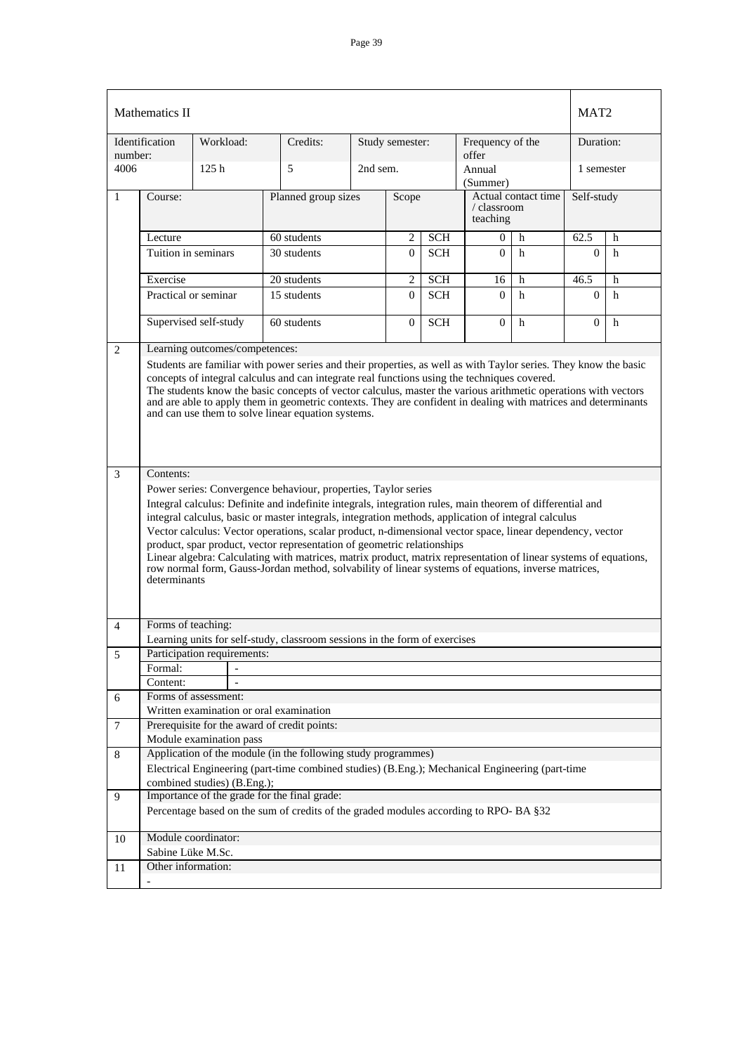|                | Mathematics II                                                                                                                                                                                                                                                                                                                                                                                                                                                                                             |                                |                                                                                                                                                                                                                                                                                                                                                                                                                                                                                                                                                                                                                                                                                                       |          |                 |            |                           |                     | MAT <sub>2</sub> |   |
|----------------|------------------------------------------------------------------------------------------------------------------------------------------------------------------------------------------------------------------------------------------------------------------------------------------------------------------------------------------------------------------------------------------------------------------------------------------------------------------------------------------------------------|--------------------------------|-------------------------------------------------------------------------------------------------------------------------------------------------------------------------------------------------------------------------------------------------------------------------------------------------------------------------------------------------------------------------------------------------------------------------------------------------------------------------------------------------------------------------------------------------------------------------------------------------------------------------------------------------------------------------------------------------------|----------|-----------------|------------|---------------------------|---------------------|------------------|---|
| number:        | Identification                                                                                                                                                                                                                                                                                                                                                                                                                                                                                             | Workload:                      | Credits:                                                                                                                                                                                                                                                                                                                                                                                                                                                                                                                                                                                                                                                                                              |          | Study semester: |            | Frequency of the<br>offer |                     | Duration:        |   |
| 4006           |                                                                                                                                                                                                                                                                                                                                                                                                                                                                                                            | 125 <sub>h</sub>               | 5                                                                                                                                                                                                                                                                                                                                                                                                                                                                                                                                                                                                                                                                                                     | 2nd sem. |                 |            | Annual<br>(Summer)        |                     | 1 semester       |   |
| $\mathbf{1}$   | Course:                                                                                                                                                                                                                                                                                                                                                                                                                                                                                                    |                                | Planned group sizes                                                                                                                                                                                                                                                                                                                                                                                                                                                                                                                                                                                                                                                                                   |          | Scope           |            | / classroom<br>teaching   | Actual contact time | Self-study       |   |
|                | Lecture                                                                                                                                                                                                                                                                                                                                                                                                                                                                                                    |                                | 60 students                                                                                                                                                                                                                                                                                                                                                                                                                                                                                                                                                                                                                                                                                           |          | 2               | <b>SCH</b> | 0                         | h                   | 62.5             | h |
|                | Tuition in seminars                                                                                                                                                                                                                                                                                                                                                                                                                                                                                        |                                | 30 students                                                                                                                                                                                                                                                                                                                                                                                                                                                                                                                                                                                                                                                                                           |          | $\Omega$        | <b>SCH</b> | $\Omega$                  | h                   | $\Omega$         | h |
|                | Exercise                                                                                                                                                                                                                                                                                                                                                                                                                                                                                                   |                                | 20 students                                                                                                                                                                                                                                                                                                                                                                                                                                                                                                                                                                                                                                                                                           |          | 2               | <b>SCH</b> | 16                        | h                   | 46.5             | h |
|                |                                                                                                                                                                                                                                                                                                                                                                                                                                                                                                            | Practical or seminar           | 15 students                                                                                                                                                                                                                                                                                                                                                                                                                                                                                                                                                                                                                                                                                           |          | $\overline{0}$  | <b>SCH</b> | $\Omega$                  | h                   | $\overline{0}$   | h |
|                |                                                                                                                                                                                                                                                                                                                                                                                                                                                                                                            | Supervised self-study          | 60 students                                                                                                                                                                                                                                                                                                                                                                                                                                                                                                                                                                                                                                                                                           |          | $\overline{0}$  | <b>SCH</b> | $\mathbf{0}$              | h                   | $\Omega$         | h |
| $\overline{2}$ |                                                                                                                                                                                                                                                                                                                                                                                                                                                                                                            | Learning outcomes/competences: |                                                                                                                                                                                                                                                                                                                                                                                                                                                                                                                                                                                                                                                                                                       |          |                 |            |                           |                     |                  |   |
|                | Students are familiar with power series and their properties, as well as with Taylor series. They know the basic<br>concepts of integral calculus and can integrate real functions using the techniques covered.<br>The students know the basic concepts of vector calculus, master the various arithmetic operations with vectors<br>and are able to apply them in geometric contexts. They are confident in dealing with matrices and determinants<br>and can use them to solve linear equation systems. |                                |                                                                                                                                                                                                                                                                                                                                                                                                                                                                                                                                                                                                                                                                                                       |          |                 |            |                           |                     |                  |   |
| 3              | Contents:                                                                                                                                                                                                                                                                                                                                                                                                                                                                                                  |                                |                                                                                                                                                                                                                                                                                                                                                                                                                                                                                                                                                                                                                                                                                                       |          |                 |            |                           |                     |                  |   |
|                | determinants                                                                                                                                                                                                                                                                                                                                                                                                                                                                                               |                                | Power series: Convergence behaviour, properties, Taylor series<br>Integral calculus: Definite and indefinite integrals, integration rules, main theorem of differential and<br>integral calculus, basic or master integrals, integration methods, application of integral calculus<br>Vector calculus: Vector operations, scalar product, n-dimensional vector space, linear dependency, vector<br>product, spar product, vector representation of geometric relationships<br>Linear algebra: Calculating with matrices, matrix product, matrix representation of linear systems of equations,<br>row normal form, Gauss-Jordan method, solvability of linear systems of equations, inverse matrices, |          |                 |            |                           |                     |                  |   |
| $\overline{4}$ | Forms of teaching:                                                                                                                                                                                                                                                                                                                                                                                                                                                                                         |                                |                                                                                                                                                                                                                                                                                                                                                                                                                                                                                                                                                                                                                                                                                                       |          |                 |            |                           |                     |                  |   |
|                |                                                                                                                                                                                                                                                                                                                                                                                                                                                                                                            |                                | Learning units for self-study, classroom sessions in the form of exercises                                                                                                                                                                                                                                                                                                                                                                                                                                                                                                                                                                                                                            |          |                 |            |                           |                     |                  |   |
| 5              |                                                                                                                                                                                                                                                                                                                                                                                                                                                                                                            | Participation requirements:    |                                                                                                                                                                                                                                                                                                                                                                                                                                                                                                                                                                                                                                                                                                       |          |                 |            |                           |                     |                  |   |
|                | Formal:                                                                                                                                                                                                                                                                                                                                                                                                                                                                                                    |                                |                                                                                                                                                                                                                                                                                                                                                                                                                                                                                                                                                                                                                                                                                                       |          |                 |            |                           |                     |                  |   |
|                | Content:                                                                                                                                                                                                                                                                                                                                                                                                                                                                                                   |                                |                                                                                                                                                                                                                                                                                                                                                                                                                                                                                                                                                                                                                                                                                                       |          |                 |            |                           |                     |                  |   |
| 6              |                                                                                                                                                                                                                                                                                                                                                                                                                                                                                                            | Forms of assessment:           |                                                                                                                                                                                                                                                                                                                                                                                                                                                                                                                                                                                                                                                                                                       |          |                 |            |                           |                     |                  |   |
|                |                                                                                                                                                                                                                                                                                                                                                                                                                                                                                                            |                                | Written examination or oral examination                                                                                                                                                                                                                                                                                                                                                                                                                                                                                                                                                                                                                                                               |          |                 |            |                           |                     |                  |   |
| $\tau$         |                                                                                                                                                                                                                                                                                                                                                                                                                                                                                                            | Module examination pass        | Prerequisite for the award of credit points:                                                                                                                                                                                                                                                                                                                                                                                                                                                                                                                                                                                                                                                          |          |                 |            |                           |                     |                  |   |
| 8              |                                                                                                                                                                                                                                                                                                                                                                                                                                                                                                            |                                |                                                                                                                                                                                                                                                                                                                                                                                                                                                                                                                                                                                                                                                                                                       |          |                 |            |                           |                     |                  |   |
|                | Application of the module (in the following study programmes)<br>Electrical Engineering (part-time combined studies) (B.Eng.); Mechanical Engineering (part-time<br>combined studies) (B.Eng.);                                                                                                                                                                                                                                                                                                            |                                |                                                                                                                                                                                                                                                                                                                                                                                                                                                                                                                                                                                                                                                                                                       |          |                 |            |                           |                     |                  |   |
| 9              |                                                                                                                                                                                                                                                                                                                                                                                                                                                                                                            |                                | Importance of the grade for the final grade:                                                                                                                                                                                                                                                                                                                                                                                                                                                                                                                                                                                                                                                          |          |                 |            |                           |                     |                  |   |
|                |                                                                                                                                                                                                                                                                                                                                                                                                                                                                                                            |                                | Percentage based on the sum of credits of the graded modules according to RPO- BA §32                                                                                                                                                                                                                                                                                                                                                                                                                                                                                                                                                                                                                 |          |                 |            |                           |                     |                  |   |
| 10             |                                                                                                                                                                                                                                                                                                                                                                                                                                                                                                            | Module coordinator:            |                                                                                                                                                                                                                                                                                                                                                                                                                                                                                                                                                                                                                                                                                                       |          |                 |            |                           |                     |                  |   |
|                | Sabine Lüke M.Sc.                                                                                                                                                                                                                                                                                                                                                                                                                                                                                          |                                |                                                                                                                                                                                                                                                                                                                                                                                                                                                                                                                                                                                                                                                                                                       |          |                 |            |                           |                     |                  |   |
| 11             | Other information:                                                                                                                                                                                                                                                                                                                                                                                                                                                                                         |                                |                                                                                                                                                                                                                                                                                                                                                                                                                                                                                                                                                                                                                                                                                                       |          |                 |            |                           |                     |                  |   |
|                |                                                                                                                                                                                                                                                                                                                                                                                                                                                                                                            |                                |                                                                                                                                                                                                                                                                                                                                                                                                                                                                                                                                                                                                                                                                                                       |          |                 |            |                           |                     |                  |   |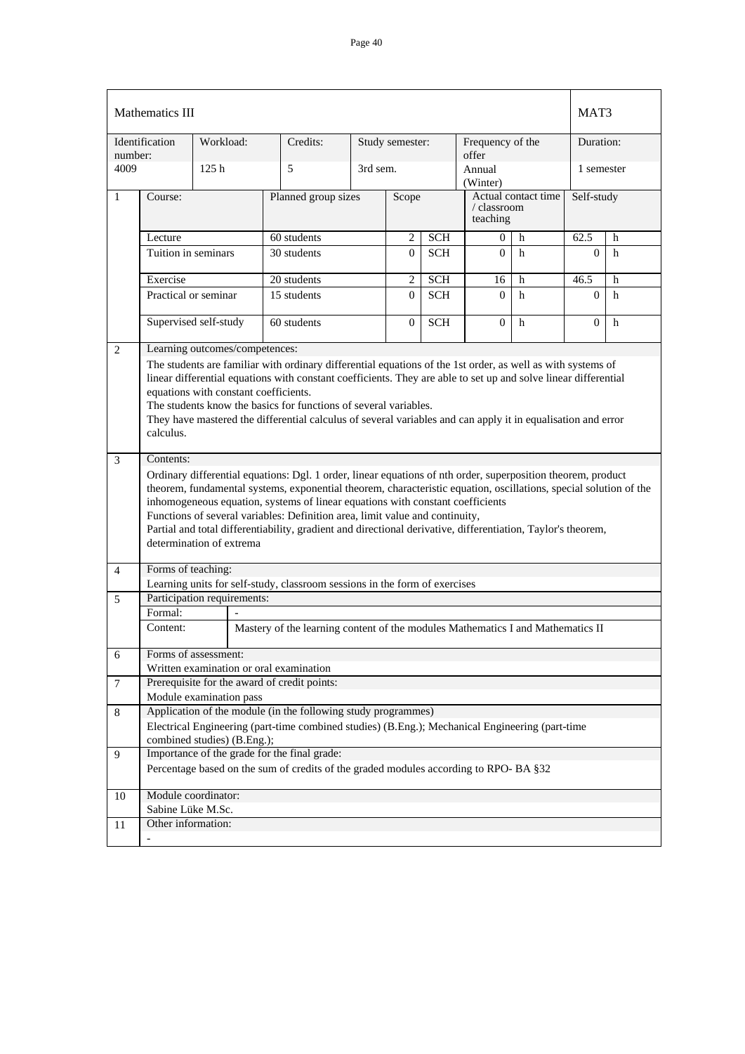|                | Mathematics III     |                                                                         |                                                                                                                                                                                                                                                                                                                                                                                                                                                                                                                     |          |                 |            |                           |                     | MAT <sub>3</sub> |   |
|----------------|---------------------|-------------------------------------------------------------------------|---------------------------------------------------------------------------------------------------------------------------------------------------------------------------------------------------------------------------------------------------------------------------------------------------------------------------------------------------------------------------------------------------------------------------------------------------------------------------------------------------------------------|----------|-----------------|------------|---------------------------|---------------------|------------------|---|
| number:        | Identification      | Workload:                                                               | Credits:                                                                                                                                                                                                                                                                                                                                                                                                                                                                                                            |          | Study semester: |            | Frequency of the<br>offer |                     | Duration:        |   |
| 4009           |                     | 125h                                                                    | 5                                                                                                                                                                                                                                                                                                                                                                                                                                                                                                                   | 3rd sem. |                 |            | Annual<br>(Winter)        |                     | 1 semester       |   |
| $\mathbf{1}$   | Course:             |                                                                         | Planned group sizes                                                                                                                                                                                                                                                                                                                                                                                                                                                                                                 |          | Scope           |            | / classroom<br>teaching   | Actual contact time | Self-study       |   |
|                | Lecture             |                                                                         | 60 students                                                                                                                                                                                                                                                                                                                                                                                                                                                                                                         |          | 2               | <b>SCH</b> | 0                         | h                   | 62.5             | h |
|                | Tuition in seminars |                                                                         | 30 students                                                                                                                                                                                                                                                                                                                                                                                                                                                                                                         |          | $\Omega$        | <b>SCH</b> | $\Omega$                  | h                   | $\Omega$         | h |
|                | Exercise            |                                                                         | 20 students                                                                                                                                                                                                                                                                                                                                                                                                                                                                                                         |          | $\overline{c}$  | <b>SCH</b> | 16                        | h                   | 46.5             | h |
|                |                     | Practical or seminar                                                    | 15 students                                                                                                                                                                                                                                                                                                                                                                                                                                                                                                         |          | $\Omega$        | <b>SCH</b> | $\Omega$                  | h                   | $\overline{0}$   | h |
|                |                     | Supervised self-study                                                   | 60 students                                                                                                                                                                                                                                                                                                                                                                                                                                                                                                         |          | $\Omega$        | <b>SCH</b> | $\Omega$                  | h                   | $\Omega$         | h |
| 2              | calculus.           | Learning outcomes/competences:<br>equations with constant coefficients. | The students are familiar with ordinary differential equations of the 1st order, as well as with systems of<br>linear differential equations with constant coefficients. They are able to set up and solve linear differential<br>The students know the basics for functions of several variables.<br>They have mastered the differential calculus of several variables and can apply it in equalisation and error                                                                                                  |          |                 |            |                           |                     |                  |   |
|                |                     | determination of extrema                                                | Ordinary differential equations: Dgl. 1 order, linear equations of nth order, superposition theorem, product<br>theorem, fundamental systems, exponential theorem, characteristic equation, oscillations, special solution of the<br>inhomogeneous equation, systems of linear equations with constant coefficients<br>Functions of several variables: Definition area, limit value and continuity,<br>Partial and total differentiability, gradient and directional derivative, differentiation, Taylor's theorem, |          |                 |            |                           |                     |                  |   |
| $\overline{4}$ | Forms of teaching:  |                                                                         |                                                                                                                                                                                                                                                                                                                                                                                                                                                                                                                     |          |                 |            |                           |                     |                  |   |
|                |                     |                                                                         | Learning units for self-study, classroom sessions in the form of exercises                                                                                                                                                                                                                                                                                                                                                                                                                                          |          |                 |            |                           |                     |                  |   |
| 5              |                     | Participation requirements:                                             |                                                                                                                                                                                                                                                                                                                                                                                                                                                                                                                     |          |                 |            |                           |                     |                  |   |
|                | Formal:             |                                                                         |                                                                                                                                                                                                                                                                                                                                                                                                                                                                                                                     |          |                 |            |                           |                     |                  |   |
|                | Content:            |                                                                         | Mastery of the learning content of the modules Mathematics I and Mathematics II                                                                                                                                                                                                                                                                                                                                                                                                                                     |          |                 |            |                           |                     |                  |   |
| 6              |                     | Forms of assessment:                                                    |                                                                                                                                                                                                                                                                                                                                                                                                                                                                                                                     |          |                 |            |                           |                     |                  |   |
|                |                     | Written examination or oral examination                                 |                                                                                                                                                                                                                                                                                                                                                                                                                                                                                                                     |          |                 |            |                           |                     |                  |   |
| $\overline{7}$ |                     | Module examination pass                                                 | Prerequisite for the award of credit points:                                                                                                                                                                                                                                                                                                                                                                                                                                                                        |          |                 |            |                           |                     |                  |   |
| 8              |                     |                                                                         | Application of the module (in the following study programmes)                                                                                                                                                                                                                                                                                                                                                                                                                                                       |          |                 |            |                           |                     |                  |   |
|                |                     |                                                                         | Electrical Engineering (part-time combined studies) (B.Eng.); Mechanical Engineering (part-time                                                                                                                                                                                                                                                                                                                                                                                                                     |          |                 |            |                           |                     |                  |   |
|                |                     | combined studies) (B.Eng.);                                             |                                                                                                                                                                                                                                                                                                                                                                                                                                                                                                                     |          |                 |            |                           |                     |                  |   |
| $\overline{9}$ |                     |                                                                         | Importance of the grade for the final grade:                                                                                                                                                                                                                                                                                                                                                                                                                                                                        |          |                 |            |                           |                     |                  |   |
|                |                     |                                                                         | Percentage based on the sum of credits of the graded modules according to RPO-BA §32                                                                                                                                                                                                                                                                                                                                                                                                                                |          |                 |            |                           |                     |                  |   |
| 10             |                     | Module coordinator:                                                     |                                                                                                                                                                                                                                                                                                                                                                                                                                                                                                                     |          |                 |            |                           |                     |                  |   |
|                | Sabine Lüke M.Sc.   |                                                                         |                                                                                                                                                                                                                                                                                                                                                                                                                                                                                                                     |          |                 |            |                           |                     |                  |   |
| 11             | Other information:  |                                                                         |                                                                                                                                                                                                                                                                                                                                                                                                                                                                                                                     |          |                 |            |                           |                     |                  |   |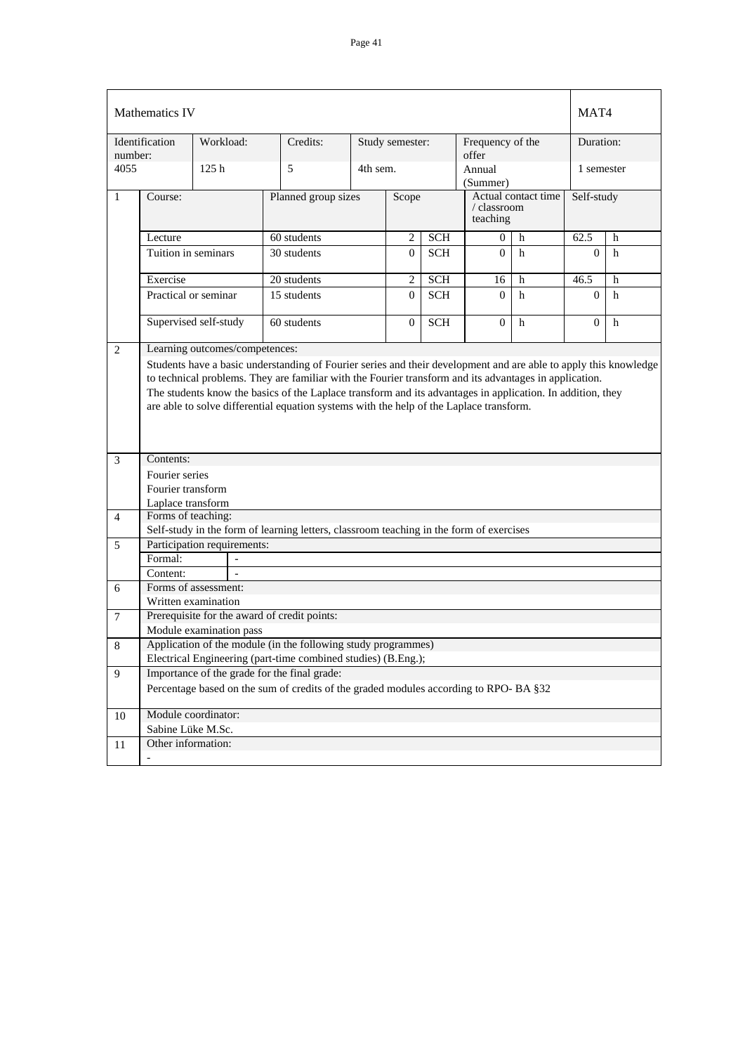|                | Mathematics IV                          |                                             |                                                                                                                                                                                                                                                                                                                                                                                                                                     |          |                 |            |                           |                     | MAT4           |   |
|----------------|-----------------------------------------|---------------------------------------------|-------------------------------------------------------------------------------------------------------------------------------------------------------------------------------------------------------------------------------------------------------------------------------------------------------------------------------------------------------------------------------------------------------------------------------------|----------|-----------------|------------|---------------------------|---------------------|----------------|---|
| number:        | Identification                          | Workload:                                   | Credits:                                                                                                                                                                                                                                                                                                                                                                                                                            |          | Study semester: |            | Frequency of the<br>offer |                     | Duration:      |   |
| 4055           |                                         | 125 <sub>h</sub>                            | 5                                                                                                                                                                                                                                                                                                                                                                                                                                   | 4th sem. |                 |            | Annual<br>(Summer)        |                     | 1 semester     |   |
| $\mathbf{1}$   | Course:                                 |                                             | Planned group sizes                                                                                                                                                                                                                                                                                                                                                                                                                 |          | Scope           |            | / classroom<br>teaching   | Actual contact time | Self-study     |   |
|                | Lecture                                 |                                             | 60 students                                                                                                                                                                                                                                                                                                                                                                                                                         |          | $\overline{2}$  | <b>SCH</b> | $\overline{0}$            | h                   | 62.5           | h |
|                |                                         | Tuition in seminars                         | 30 students                                                                                                                                                                                                                                                                                                                                                                                                                         |          | $\Omega$        | <b>SCH</b> | $\Omega$                  | h                   | $\Omega$       | h |
|                | Exercise                                |                                             | 20 students                                                                                                                                                                                                                                                                                                                                                                                                                         |          | $\overline{2}$  | <b>SCH</b> | 16                        | h                   | 46.5           | h |
|                |                                         | Practical or seminar                        | 15 students                                                                                                                                                                                                                                                                                                                                                                                                                         |          | $\Omega$        | <b>SCH</b> | $\Omega$                  | h                   | $\overline{0}$ | h |
|                |                                         | Supervised self-study                       | 60 students                                                                                                                                                                                                                                                                                                                                                                                                                         |          | $\overline{0}$  | <b>SCH</b> | $\overline{0}$            | h                   | $\overline{0}$ | h |
|                |                                         |                                             | Students have a basic understanding of Fourier series and their development and are able to apply this knowledge<br>to technical problems. They are familiar with the Fourier transform and its advantages in application.<br>The students know the basics of the Laplace transform and its advantages in application. In addition, they<br>are able to solve differential equation systems with the help of the Laplace transform. |          |                 |            |                           |                     |                |   |
| 3              | Contents:                               |                                             |                                                                                                                                                                                                                                                                                                                                                                                                                                     |          |                 |            |                           |                     |                |   |
|                | Fourier series                          |                                             |                                                                                                                                                                                                                                                                                                                                                                                                                                     |          |                 |            |                           |                     |                |   |
|                | Fourier transform                       |                                             |                                                                                                                                                                                                                                                                                                                                                                                                                                     |          |                 |            |                           |                     |                |   |
|                | Laplace transform                       |                                             |                                                                                                                                                                                                                                                                                                                                                                                                                                     |          |                 |            |                           |                     |                |   |
| $\overline{4}$ | Forms of teaching:                      |                                             |                                                                                                                                                                                                                                                                                                                                                                                                                                     |          |                 |            |                           |                     |                |   |
|                |                                         |                                             | Self-study in the form of learning letters, classroom teaching in the form of exercises                                                                                                                                                                                                                                                                                                                                             |          |                 |            |                           |                     |                |   |
| 5              |                                         | Participation requirements:                 |                                                                                                                                                                                                                                                                                                                                                                                                                                     |          |                 |            |                           |                     |                |   |
|                | Formal:                                 |                                             |                                                                                                                                                                                                                                                                                                                                                                                                                                     |          |                 |            |                           |                     |                |   |
|                | Content:                                |                                             |                                                                                                                                                                                                                                                                                                                                                                                                                                     |          |                 |            |                           |                     |                |   |
| 6              |                                         | Forms of assessment:<br>Written examination |                                                                                                                                                                                                                                                                                                                                                                                                                                     |          |                 |            |                           |                     |                |   |
| $\overline{7}$ |                                         |                                             | Prerequisite for the award of credit points:                                                                                                                                                                                                                                                                                                                                                                                        |          |                 |            |                           |                     |                |   |
|                |                                         | Module examination pass                     |                                                                                                                                                                                                                                                                                                                                                                                                                                     |          |                 |            |                           |                     |                |   |
| $\,8\,$        |                                         |                                             | Application of the module (in the following study programmes)                                                                                                                                                                                                                                                                                                                                                                       |          |                 |            |                           |                     |                |   |
|                |                                         |                                             | Electrical Engineering (part-time combined studies) (B.Eng.);                                                                                                                                                                                                                                                                                                                                                                       |          |                 |            |                           |                     |                |   |
| 9              |                                         |                                             | Importance of the grade for the final grade:                                                                                                                                                                                                                                                                                                                                                                                        |          |                 |            |                           |                     |                |   |
|                |                                         |                                             | Percentage based on the sum of credits of the graded modules according to RPO- BA §32                                                                                                                                                                                                                                                                                                                                               |          |                 |            |                           |                     |                |   |
| 10             |                                         | Module coordinator:                         |                                                                                                                                                                                                                                                                                                                                                                                                                                     |          |                 |            |                           |                     |                |   |
|                | Sabine Lüke M.Sc.                       |                                             |                                                                                                                                                                                                                                                                                                                                                                                                                                     |          |                 |            |                           |                     |                |   |
| 11             | Other information:<br>$\qquad \qquad -$ |                                             |                                                                                                                                                                                                                                                                                                                                                                                                                                     |          |                 |            |                           |                     |                |   |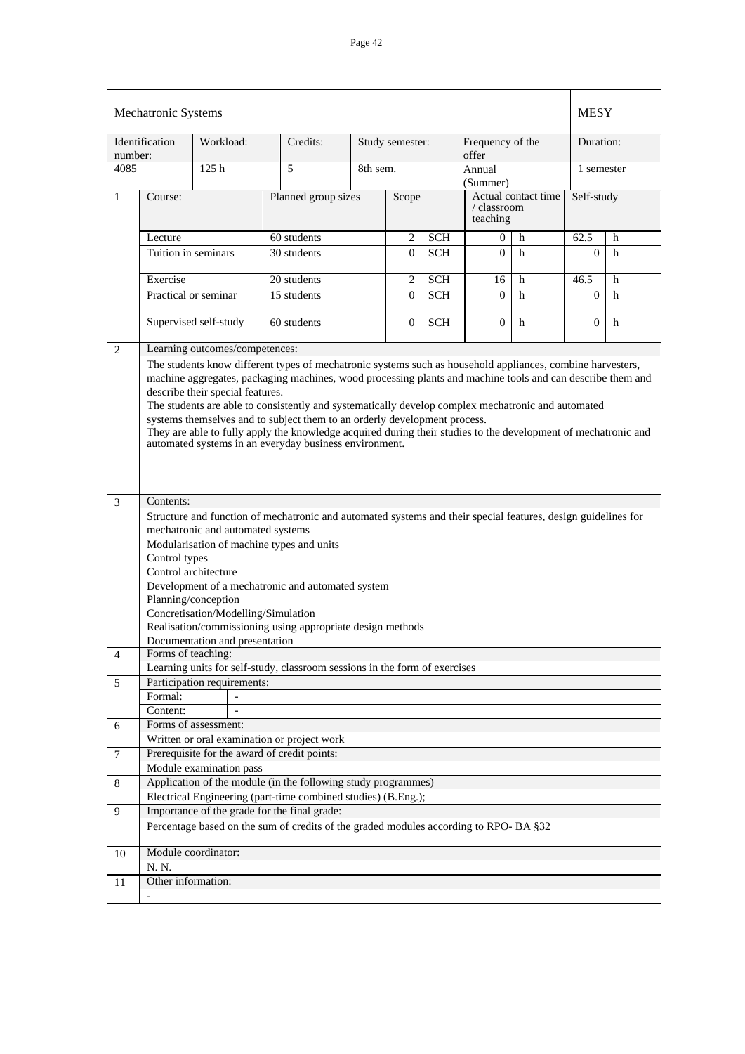|                | Mechatronic Systems |                                     |                                                                                                                                                                                                                                                                                                                                                                                                                                                                                                                                                                                         |          |                 |            |                           |                     | <b>MESY</b>    |   |
|----------------|---------------------|-------------------------------------|-----------------------------------------------------------------------------------------------------------------------------------------------------------------------------------------------------------------------------------------------------------------------------------------------------------------------------------------------------------------------------------------------------------------------------------------------------------------------------------------------------------------------------------------------------------------------------------------|----------|-----------------|------------|---------------------------|---------------------|----------------|---|
| number:        | Identification      | Workload:                           | Credits:                                                                                                                                                                                                                                                                                                                                                                                                                                                                                                                                                                                |          | Study semester: |            | Frequency of the<br>offer |                     | Duration:      |   |
| 4085           |                     | 125h                                | 5                                                                                                                                                                                                                                                                                                                                                                                                                                                                                                                                                                                       | 8th sem. |                 |            | Annual<br>(Summer)        |                     | 1 semester     |   |
| $\mathbf{1}$   | Course:             |                                     | Planned group sizes                                                                                                                                                                                                                                                                                                                                                                                                                                                                                                                                                                     |          | Scope           |            | / classroom<br>teaching   | Actual contact time | Self-study     |   |
|                | Lecture             |                                     | 60 students                                                                                                                                                                                                                                                                                                                                                                                                                                                                                                                                                                             |          | 2               | <b>SCH</b> | 0                         | h                   | 62.5           | h |
|                | Tuition in seminars |                                     | 30 students                                                                                                                                                                                                                                                                                                                                                                                                                                                                                                                                                                             |          | $\overline{0}$  | <b>SCH</b> | $\Omega$                  | h                   | $\overline{0}$ | h |
|                | Exercise            |                                     | 20 students                                                                                                                                                                                                                                                                                                                                                                                                                                                                                                                                                                             |          | $\mathbf{2}$    | <b>SCH</b> | 16                        | h                   | 46.5           | h |
|                |                     | Practical or seminar                | 15 students                                                                                                                                                                                                                                                                                                                                                                                                                                                                                                                                                                             |          | $\overline{0}$  | <b>SCH</b> | $\Omega$                  | h                   | $\overline{0}$ | h |
|                |                     | Supervised self-study               | 60 students                                                                                                                                                                                                                                                                                                                                                                                                                                                                                                                                                                             |          | $\mathbf{0}$    | <b>SCH</b> | $\overline{0}$            | h                   | $\overline{0}$ | h |
| $\overline{c}$ |                     | Learning outcomes/competences:      |                                                                                                                                                                                                                                                                                                                                                                                                                                                                                                                                                                                         |          |                 |            |                           |                     |                |   |
|                |                     | describe their special features.    | The students know different types of mechatronic systems such as household appliances, combine harvesters,<br>machine aggregates, packaging machines, wood processing plants and machine tools and can describe them and<br>The students are able to consistently and systematically develop complex mechatronic and automated<br>systems themselves and to subject them to an orderly development process.<br>They are able to fully apply the knowledge acquired during their studies to the development of mechatronic and<br>automated systems in an everyday business environment. |          |                 |            |                           |                     |                |   |
| 3              | Contents:           |                                     |                                                                                                                                                                                                                                                                                                                                                                                                                                                                                                                                                                                         |          |                 |            |                           |                     |                |   |
|                |                     |                                     | Structure and function of mechatronic and automated systems and their special features, design guidelines for                                                                                                                                                                                                                                                                                                                                                                                                                                                                           |          |                 |            |                           |                     |                |   |
|                |                     | mechatronic and automated systems   |                                                                                                                                                                                                                                                                                                                                                                                                                                                                                                                                                                                         |          |                 |            |                           |                     |                |   |
|                |                     |                                     | Modularisation of machine types and units                                                                                                                                                                                                                                                                                                                                                                                                                                                                                                                                               |          |                 |            |                           |                     |                |   |
|                | Control types       | Control architecture                |                                                                                                                                                                                                                                                                                                                                                                                                                                                                                                                                                                                         |          |                 |            |                           |                     |                |   |
|                |                     |                                     | Development of a mechatronic and automated system                                                                                                                                                                                                                                                                                                                                                                                                                                                                                                                                       |          |                 |            |                           |                     |                |   |
|                |                     | Planning/conception                 |                                                                                                                                                                                                                                                                                                                                                                                                                                                                                                                                                                                         |          |                 |            |                           |                     |                |   |
|                |                     | Concretisation/Modelling/Simulation |                                                                                                                                                                                                                                                                                                                                                                                                                                                                                                                                                                                         |          |                 |            |                           |                     |                |   |
|                |                     |                                     | Realisation/commissioning using appropriate design methods                                                                                                                                                                                                                                                                                                                                                                                                                                                                                                                              |          |                 |            |                           |                     |                |   |
| $\overline{4}$ | Forms of teaching:  | Documentation and presentation      |                                                                                                                                                                                                                                                                                                                                                                                                                                                                                                                                                                                         |          |                 |            |                           |                     |                |   |
|                |                     |                                     | Learning units for self-study, classroom sessions in the form of exercises                                                                                                                                                                                                                                                                                                                                                                                                                                                                                                              |          |                 |            |                           |                     |                |   |
| 5              |                     | Participation requirements:         |                                                                                                                                                                                                                                                                                                                                                                                                                                                                                                                                                                                         |          |                 |            |                           |                     |                |   |
|                | Formal:             |                                     |                                                                                                                                                                                                                                                                                                                                                                                                                                                                                                                                                                                         |          |                 |            |                           |                     |                |   |
| 6              | Content:            | Forms of assessment:                |                                                                                                                                                                                                                                                                                                                                                                                                                                                                                                                                                                                         |          |                 |            |                           |                     |                |   |
|                |                     |                                     | Written or oral examination or project work                                                                                                                                                                                                                                                                                                                                                                                                                                                                                                                                             |          |                 |            |                           |                     |                |   |
| $\overline{7}$ |                     |                                     | Prerequisite for the award of credit points:                                                                                                                                                                                                                                                                                                                                                                                                                                                                                                                                            |          |                 |            |                           |                     |                |   |
|                |                     | Module examination pass             |                                                                                                                                                                                                                                                                                                                                                                                                                                                                                                                                                                                         |          |                 |            |                           |                     |                |   |
| 8              |                     |                                     | Application of the module (in the following study programmes)                                                                                                                                                                                                                                                                                                                                                                                                                                                                                                                           |          |                 |            |                           |                     |                |   |
|                |                     |                                     | Electrical Engineering (part-time combined studies) (B.Eng.);                                                                                                                                                                                                                                                                                                                                                                                                                                                                                                                           |          |                 |            |                           |                     |                |   |
| 9              |                     |                                     | Importance of the grade for the final grade:<br>Percentage based on the sum of credits of the graded modules according to RPO- BA §32                                                                                                                                                                                                                                                                                                                                                                                                                                                   |          |                 |            |                           |                     |                |   |
| 10             |                     | Module coordinator:                 |                                                                                                                                                                                                                                                                                                                                                                                                                                                                                                                                                                                         |          |                 |            |                           |                     |                |   |
|                | N. N.               |                                     |                                                                                                                                                                                                                                                                                                                                                                                                                                                                                                                                                                                         |          |                 |            |                           |                     |                |   |
| 11             | Other information:  |                                     |                                                                                                                                                                                                                                                                                                                                                                                                                                                                                                                                                                                         |          |                 |            |                           |                     |                |   |
|                |                     |                                     |                                                                                                                                                                                                                                                                                                                                                                                                                                                                                                                                                                                         |          |                 |            |                           |                     |                |   |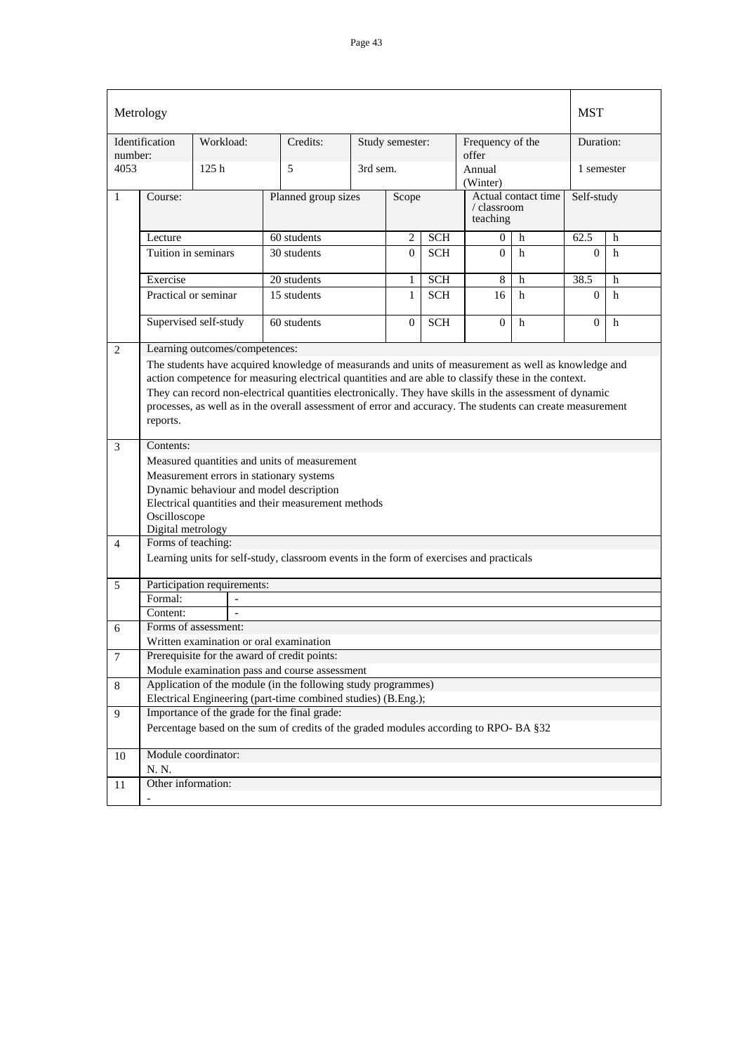|                  | Metrology                                                                            |                                         |                                                                                                                                                                                                                                                                                                                                                                                                                                                                                                                                                                                                                                     |          |                 |            |                           |                     | <b>MST</b>   |   |
|------------------|--------------------------------------------------------------------------------------|-----------------------------------------|-------------------------------------------------------------------------------------------------------------------------------------------------------------------------------------------------------------------------------------------------------------------------------------------------------------------------------------------------------------------------------------------------------------------------------------------------------------------------------------------------------------------------------------------------------------------------------------------------------------------------------------|----------|-----------------|------------|---------------------------|---------------------|--------------|---|
| number:          | Identification                                                                       | Workload:                               | Credits:                                                                                                                                                                                                                                                                                                                                                                                                                                                                                                                                                                                                                            |          | Study semester: |            | Frequency of the<br>offer |                     | Duration:    |   |
| 4053             |                                                                                      | 125h                                    | 5                                                                                                                                                                                                                                                                                                                                                                                                                                                                                                                                                                                                                                   | 3rd sem. |                 |            | Annual<br>(Winter)        |                     | 1 semester   |   |
| $\mathbf{1}$     | Course:                                                                              |                                         | Planned group sizes                                                                                                                                                                                                                                                                                                                                                                                                                                                                                                                                                                                                                 |          | Scope           |            | / classroom<br>teaching   | Actual contact time | Self-study   |   |
|                  | Lecture                                                                              |                                         | 60 students                                                                                                                                                                                                                                                                                                                                                                                                                                                                                                                                                                                                                         |          | 2               | <b>SCH</b> | 0                         | h                   | 62.5         | h |
|                  | Tuition in seminars                                                                  |                                         | 30 students                                                                                                                                                                                                                                                                                                                                                                                                                                                                                                                                                                                                                         |          | $\Omega$        | <b>SCH</b> | $\Omega$                  | h                   | $\Omega$     | h |
|                  | Exercise                                                                             |                                         | 20 students                                                                                                                                                                                                                                                                                                                                                                                                                                                                                                                                                                                                                         |          | 1               | <b>SCH</b> | 8                         | h                   | 38.5         | h |
|                  |                                                                                      | Practical or seminar                    | 15 students                                                                                                                                                                                                                                                                                                                                                                                                                                                                                                                                                                                                                         |          | 1               | <b>SCH</b> | 16                        | h                   | $\Omega$     | h |
|                  |                                                                                      | Supervised self-study                   | 60 students                                                                                                                                                                                                                                                                                                                                                                                                                                                                                                                                                                                                                         |          | 0               | <b>SCH</b> | $\overline{0}$            | h                   | $\mathbf{0}$ | h |
| 2<br>3           | reports.<br>Contents:<br>Oscilloscope                                                | Learning outcomes/competences:          | The students have acquired knowledge of measurands and units of measurement as well as knowledge and<br>action competence for measuring electrical quantities and are able to classify these in the context.<br>They can record non-electrical quantities electronically. They have skills in the assessment of dynamic<br>processes, as well as in the overall assessment of error and accuracy. The students can create measurement<br>Measured quantities and units of measurement<br>Measurement errors in stationary systems<br>Dynamic behaviour and model description<br>Electrical quantities and their measurement methods |          |                 |            |                           |                     |              |   |
| $\overline{4}$   | Digital metrology<br>Forms of teaching:                                              |                                         |                                                                                                                                                                                                                                                                                                                                                                                                                                                                                                                                                                                                                                     |          |                 |            |                           |                     |              |   |
|                  |                                                                                      |                                         | Learning units for self-study, classroom events in the form of exercises and practicals                                                                                                                                                                                                                                                                                                                                                                                                                                                                                                                                             |          |                 |            |                           |                     |              |   |
| 5                |                                                                                      | Participation requirements:             |                                                                                                                                                                                                                                                                                                                                                                                                                                                                                                                                                                                                                                     |          |                 |            |                           |                     |              |   |
|                  | Formal:                                                                              |                                         |                                                                                                                                                                                                                                                                                                                                                                                                                                                                                                                                                                                                                                     |          |                 |            |                           |                     |              |   |
|                  | Content:                                                                             | $\mathbf{r}$                            |                                                                                                                                                                                                                                                                                                                                                                                                                                                                                                                                                                                                                                     |          |                 |            |                           |                     |              |   |
| 6                |                                                                                      | Forms of assessment:                    |                                                                                                                                                                                                                                                                                                                                                                                                                                                                                                                                                                                                                                     |          |                 |            |                           |                     |              |   |
| $\boldsymbol{7}$ |                                                                                      | Written examination or oral examination | Prerequisite for the award of credit points:                                                                                                                                                                                                                                                                                                                                                                                                                                                                                                                                                                                        |          |                 |            |                           |                     |              |   |
|                  |                                                                                      |                                         | Module examination pass and course assessment                                                                                                                                                                                                                                                                                                                                                                                                                                                                                                                                                                                       |          |                 |            |                           |                     |              |   |
| 8                |                                                                                      |                                         | Application of the module (in the following study programmes)                                                                                                                                                                                                                                                                                                                                                                                                                                                                                                                                                                       |          |                 |            |                           |                     |              |   |
|                  | Electrical Engineering (part-time combined studies) (B.Eng.);                        |                                         |                                                                                                                                                                                                                                                                                                                                                                                                                                                                                                                                                                                                                                     |          |                 |            |                           |                     |              |   |
| 9                |                                                                                      |                                         | Importance of the grade for the final grade:                                                                                                                                                                                                                                                                                                                                                                                                                                                                                                                                                                                        |          |                 |            |                           |                     |              |   |
|                  | Percentage based on the sum of credits of the graded modules according to RPO-BA §32 |                                         |                                                                                                                                                                                                                                                                                                                                                                                                                                                                                                                                                                                                                                     |          |                 |            |                           |                     |              |   |
| 10               |                                                                                      | Module coordinator:                     |                                                                                                                                                                                                                                                                                                                                                                                                                                                                                                                                                                                                                                     |          |                 |            |                           |                     |              |   |
|                  | N. N.                                                                                |                                         |                                                                                                                                                                                                                                                                                                                                                                                                                                                                                                                                                                                                                                     |          |                 |            |                           |                     |              |   |
| 11               | Other information:                                                                   |                                         |                                                                                                                                                                                                                                                                                                                                                                                                                                                                                                                                                                                                                                     |          |                 |            |                           |                     |              |   |
|                  |                                                                                      |                                         |                                                                                                                                                                                                                                                                                                                                                                                                                                                                                                                                                                                                                                     |          |                 |            |                           |                     |              |   |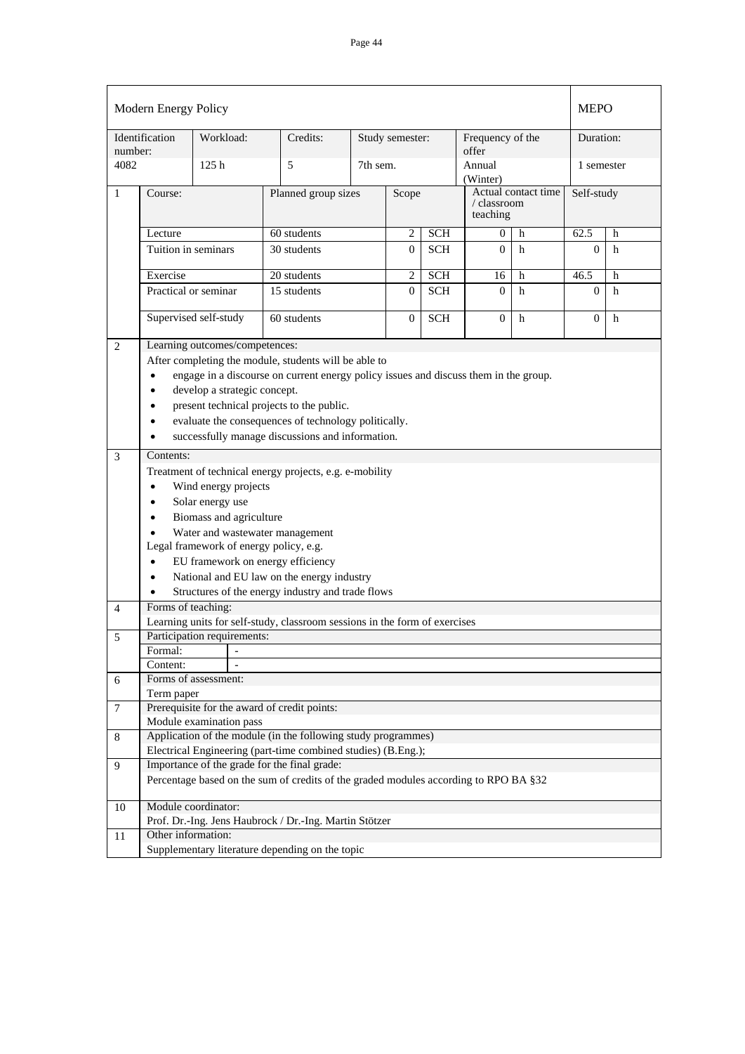|                | Modern Energy Policy                                                                                                                                                                                                                                                                                                                                                                                    |                                          |                                                                                      |          |                  |            |                           |                     | <b>MEPO</b>      |   |
|----------------|---------------------------------------------------------------------------------------------------------------------------------------------------------------------------------------------------------------------------------------------------------------------------------------------------------------------------------------------------------------------------------------------------------|------------------------------------------|--------------------------------------------------------------------------------------|----------|------------------|------------|---------------------------|---------------------|------------------|---|
| number:        | Identification                                                                                                                                                                                                                                                                                                                                                                                          | Workload:                                | Credits:                                                                             |          | Study semester:  |            | Frequency of the<br>offer |                     | Duration:        |   |
| 4082           |                                                                                                                                                                                                                                                                                                                                                                                                         | 125 h                                    | 5                                                                                    | 7th sem. |                  |            | Annual<br>(Winter)        |                     | 1 semester       |   |
| 1              | Course:                                                                                                                                                                                                                                                                                                                                                                                                 |                                          | Planned group sizes                                                                  |          | Scope            |            | / classroom<br>teaching   | Actual contact time | Self-study       |   |
|                | Lecture                                                                                                                                                                                                                                                                                                                                                                                                 |                                          | 60 students                                                                          |          | $\overline{c}$   | <b>SCH</b> | $\overline{0}$            | h                   | 62.5             | h |
|                | Tuition in seminars                                                                                                                                                                                                                                                                                                                                                                                     |                                          | 30 students                                                                          |          | $\overline{0}$   | <b>SCH</b> | $\theta$                  | h                   | $\mathbf{0}$     | h |
|                | Exercise                                                                                                                                                                                                                                                                                                                                                                                                |                                          | 20 students                                                                          |          | $\overline{2}$   | <b>SCH</b> | 16                        | h                   | 46.5             | h |
|                |                                                                                                                                                                                                                                                                                                                                                                                                         | Practical or seminar                     | 15 students                                                                          |          | $\mathbf{0}$     | <b>SCH</b> | $\Omega$                  | h                   | $\Omega$         | h |
|                |                                                                                                                                                                                                                                                                                                                                                                                                         | Supervised self-study                    | 60 students                                                                          |          | $\boldsymbol{0}$ | <b>SCH</b> | $\overline{0}$            | h                   | $\boldsymbol{0}$ | h |
| 2              | Learning outcomes/competences:                                                                                                                                                                                                                                                                                                                                                                          |                                          |                                                                                      |          |                  |            |                           |                     |                  |   |
|                | After completing the module, students will be able to<br>engage in a discourse on current energy policy issues and discuss them in the group.<br>$\bullet$<br>develop a strategic concept.<br>$\bullet$<br>present technical projects to the public.<br>$\bullet$<br>evaluate the consequences of technology politically.<br>$\bullet$<br>successfully manage discussions and information.<br>$\bullet$ |                                          |                                                                                      |          |                  |            |                           |                     |                  |   |
| $\overline{3}$ | Contents:                                                                                                                                                                                                                                                                                                                                                                                               |                                          |                                                                                      |          |                  |            |                           |                     |                  |   |
|                | $\bullet$<br>$\bullet$                                                                                                                                                                                                                                                                                                                                                                                  | Wind energy projects<br>Solar energy use | Treatment of technical energy projects, e.g. e-mobility                              |          |                  |            |                           |                     |                  |   |
|                | $\bullet$                                                                                                                                                                                                                                                                                                                                                                                               | Biomass and agriculture                  |                                                                                      |          |                  |            |                           |                     |                  |   |
|                |                                                                                                                                                                                                                                                                                                                                                                                                         |                                          | Water and wastewater management                                                      |          |                  |            |                           |                     |                  |   |
|                |                                                                                                                                                                                                                                                                                                                                                                                                         |                                          | Legal framework of energy policy, e.g.                                               |          |                  |            |                           |                     |                  |   |
|                | $\bullet$                                                                                                                                                                                                                                                                                                                                                                                               |                                          | EU framework on energy efficiency                                                    |          |                  |            |                           |                     |                  |   |
|                | $\bullet$                                                                                                                                                                                                                                                                                                                                                                                               |                                          | National and EU law on the energy industry                                           |          |                  |            |                           |                     |                  |   |
|                |                                                                                                                                                                                                                                                                                                                                                                                                         |                                          | Structures of the energy industry and trade flows                                    |          |                  |            |                           |                     |                  |   |
| $\overline{4}$ | Forms of teaching:                                                                                                                                                                                                                                                                                                                                                                                      |                                          |                                                                                      |          |                  |            |                           |                     |                  |   |
|                |                                                                                                                                                                                                                                                                                                                                                                                                         |                                          | Learning units for self-study, classroom sessions in the form of exercises           |          |                  |            |                           |                     |                  |   |
| 5              |                                                                                                                                                                                                                                                                                                                                                                                                         | Participation requirements:              |                                                                                      |          |                  |            |                           |                     |                  |   |
|                | Formal:                                                                                                                                                                                                                                                                                                                                                                                                 |                                          |                                                                                      |          |                  |            |                           |                     |                  |   |
|                | Content:                                                                                                                                                                                                                                                                                                                                                                                                |                                          |                                                                                      |          |                  |            |                           |                     |                  |   |
| 6              |                                                                                                                                                                                                                                                                                                                                                                                                         | Forms of assessment:                     |                                                                                      |          |                  |            |                           |                     |                  |   |
| $\tau$         | Term paper                                                                                                                                                                                                                                                                                                                                                                                              |                                          | Prerequisite for the award of credit points:                                         |          |                  |            |                           |                     |                  |   |
|                |                                                                                                                                                                                                                                                                                                                                                                                                         | Module examination pass                  |                                                                                      |          |                  |            |                           |                     |                  |   |
| $\,8\,$        |                                                                                                                                                                                                                                                                                                                                                                                                         |                                          | Application of the module (in the following study programmes)                        |          |                  |            |                           |                     |                  |   |
|                | Electrical Engineering (part-time combined studies) (B.Eng.);                                                                                                                                                                                                                                                                                                                                           |                                          |                                                                                      |          |                  |            |                           |                     |                  |   |
| 9              |                                                                                                                                                                                                                                                                                                                                                                                                         |                                          | Importance of the grade for the final grade:                                         |          |                  |            |                           |                     |                  |   |
|                |                                                                                                                                                                                                                                                                                                                                                                                                         |                                          | Percentage based on the sum of credits of the graded modules according to RPO BA §32 |          |                  |            |                           |                     |                  |   |
| 10             |                                                                                                                                                                                                                                                                                                                                                                                                         | Module coordinator:                      |                                                                                      |          |                  |            |                           |                     |                  |   |
|                |                                                                                                                                                                                                                                                                                                                                                                                                         |                                          | Prof. Dr.-Ing. Jens Haubrock / Dr.-Ing. Martin Stötzer                               |          |                  |            |                           |                     |                  |   |
| 11             | Other information:                                                                                                                                                                                                                                                                                                                                                                                      |                                          |                                                                                      |          |                  |            |                           |                     |                  |   |
|                | Supplementary literature depending on the topic                                                                                                                                                                                                                                                                                                                                                         |                                          |                                                                                      |          |                  |            |                           |                     |                  |   |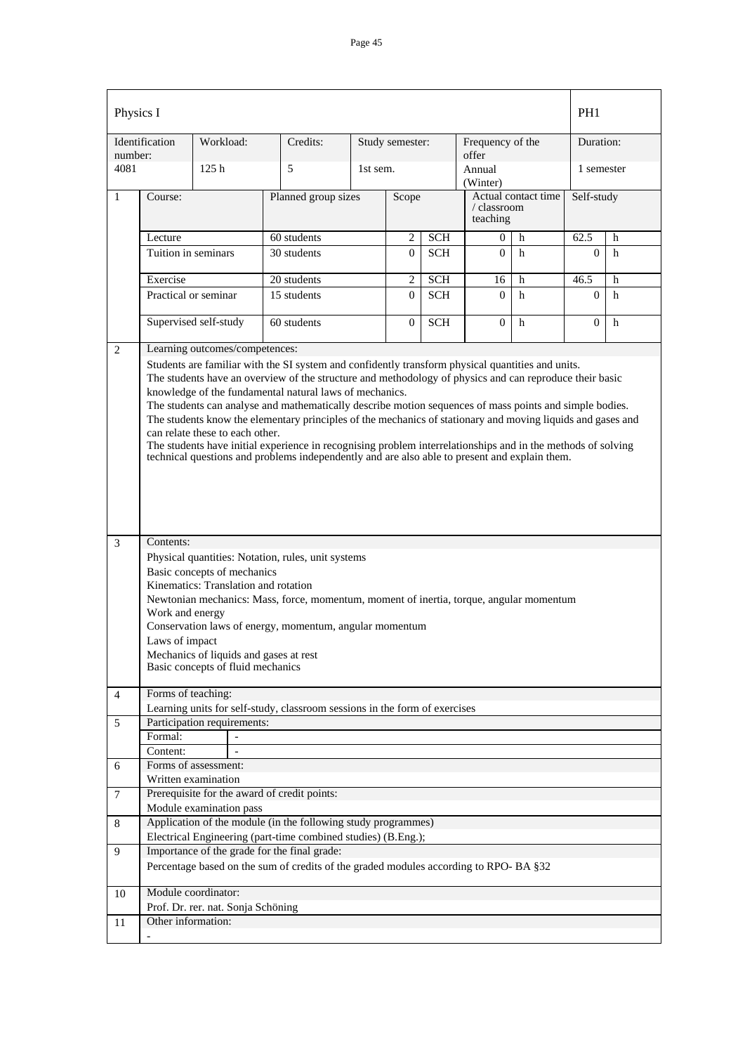| Physics I    |                                                                                                                                                                                                                                                                                                                                                                                                                                                                                                                                                                                                                                                                                                                                                    |                                                                                                                     |                                                                                                                                                    |                |                 |              |                           |                     | PH <sub>1</sub> |   |
|--------------|----------------------------------------------------------------------------------------------------------------------------------------------------------------------------------------------------------------------------------------------------------------------------------------------------------------------------------------------------------------------------------------------------------------------------------------------------------------------------------------------------------------------------------------------------------------------------------------------------------------------------------------------------------------------------------------------------------------------------------------------------|---------------------------------------------------------------------------------------------------------------------|----------------------------------------------------------------------------------------------------------------------------------------------------|----------------|-----------------|--------------|---------------------------|---------------------|-----------------|---|
| number:      | Identification                                                                                                                                                                                                                                                                                                                                                                                                                                                                                                                                                                                                                                                                                                                                     | Workload:                                                                                                           | Credits:                                                                                                                                           |                | Study semester: |              | Frequency of the<br>offer |                     | Duration:       |   |
| 4081         |                                                                                                                                                                                                                                                                                                                                                                                                                                                                                                                                                                                                                                                                                                                                                    | 125 <sub>h</sub>                                                                                                    | 5                                                                                                                                                  | 1st sem.       |                 |              | Annual<br>(Winter)        |                     | 1 semester      |   |
| $\mathbf{1}$ | Course:                                                                                                                                                                                                                                                                                                                                                                                                                                                                                                                                                                                                                                                                                                                                            |                                                                                                                     | Planned group sizes                                                                                                                                |                | Scope           |              | / classroom<br>teaching   | Actual contact time | Self-study      |   |
|              | Lecture                                                                                                                                                                                                                                                                                                                                                                                                                                                                                                                                                                                                                                                                                                                                            |                                                                                                                     | 60 students                                                                                                                                        |                | 2               | <b>SCH</b>   | $\mathbf{0}$              | h                   | 62.5            | h |
|              | Tuition in seminars                                                                                                                                                                                                                                                                                                                                                                                                                                                                                                                                                                                                                                                                                                                                |                                                                                                                     | 30 students                                                                                                                                        |                | $\overline{0}$  | <b>SCH</b>   | $\Omega$                  | h                   | $\Omega$        | h |
|              | Exercise                                                                                                                                                                                                                                                                                                                                                                                                                                                                                                                                                                                                                                                                                                                                           |                                                                                                                     | 20 students                                                                                                                                        |                | 2               | <b>SCH</b>   | 16                        | h                   | 46.5            | h |
|              | Practical or seminar                                                                                                                                                                                                                                                                                                                                                                                                                                                                                                                                                                                                                                                                                                                               |                                                                                                                     | 15 students                                                                                                                                        |                | $\overline{0}$  | <b>SCH</b>   | $\Omega$                  | h                   | $\Omega$        | h |
|              |                                                                                                                                                                                                                                                                                                                                                                                                                                                                                                                                                                                                                                                                                                                                                    | Supervised self-study<br>60 students                                                                                |                                                                                                                                                    | $\overline{0}$ | <b>SCH</b>      | $\mathbf{0}$ | h                         | $\Omega$            | h               |   |
| 3            | The students have an overview of the structure and methodology of physics and can reproduce their basic<br>knowledge of the fundamental natural laws of mechanics.<br>The students can analyse and mathematically describe motion sequences of mass points and simple bodies.<br>The students know the elementary principles of the mechanics of stationary and moving liquids and gases and<br>can relate these to each other.<br>The students have initial experience in recognising problem interrelationships and in the methods of solving<br>technical questions and problems independently and are also able to present and explain them.<br>Contents:<br>Physical quantities: Notation, rules, unit systems<br>Basic concepts of mechanics |                                                                                                                     |                                                                                                                                                    |                |                 |              |                           |                     |                 |   |
|              | Work and energy<br>Laws of impact                                                                                                                                                                                                                                                                                                                                                                                                                                                                                                                                                                                                                                                                                                                  | Kinematics: Translation and rotation<br>Mechanics of liquids and gases at rest<br>Basic concepts of fluid mechanics | Newtonian mechanics: Mass, force, momentum, moment of inertia, torque, angular momentum<br>Conservation laws of energy, momentum, angular momentum |                |                 |              |                           |                     |                 |   |
| 4            | Forms of teaching:                                                                                                                                                                                                                                                                                                                                                                                                                                                                                                                                                                                                                                                                                                                                 |                                                                                                                     | Learning units for self-study, classroom sessions in the form of exercises                                                                         |                |                 |              |                           |                     |                 |   |
| 5            |                                                                                                                                                                                                                                                                                                                                                                                                                                                                                                                                                                                                                                                                                                                                                    | Participation requirements:                                                                                         |                                                                                                                                                    |                |                 |              |                           |                     |                 |   |
|              | Formal:                                                                                                                                                                                                                                                                                                                                                                                                                                                                                                                                                                                                                                                                                                                                            |                                                                                                                     |                                                                                                                                                    |                |                 |              |                           |                     |                 |   |
|              | Content:                                                                                                                                                                                                                                                                                                                                                                                                                                                                                                                                                                                                                                                                                                                                           |                                                                                                                     |                                                                                                                                                    |                |                 |              |                           |                     |                 |   |
| 6            |                                                                                                                                                                                                                                                                                                                                                                                                                                                                                                                                                                                                                                                                                                                                                    | Forms of assessment:                                                                                                |                                                                                                                                                    |                |                 |              |                           |                     |                 |   |
|              |                                                                                                                                                                                                                                                                                                                                                                                                                                                                                                                                                                                                                                                                                                                                                    | Written examination                                                                                                 |                                                                                                                                                    |                |                 |              |                           |                     |                 |   |
| 7            |                                                                                                                                                                                                                                                                                                                                                                                                                                                                                                                                                                                                                                                                                                                                                    | Module examination pass                                                                                             | Prerequisite for the award of credit points:                                                                                                       |                |                 |              |                           |                     |                 |   |
| 8            |                                                                                                                                                                                                                                                                                                                                                                                                                                                                                                                                                                                                                                                                                                                                                    |                                                                                                                     | Application of the module (in the following study programmes)                                                                                      |                |                 |              |                           |                     |                 |   |
|              |                                                                                                                                                                                                                                                                                                                                                                                                                                                                                                                                                                                                                                                                                                                                                    |                                                                                                                     | Electrical Engineering (part-time combined studies) (B.Eng.);                                                                                      |                |                 |              |                           |                     |                 |   |
| 9            |                                                                                                                                                                                                                                                                                                                                                                                                                                                                                                                                                                                                                                                                                                                                                    |                                                                                                                     | Importance of the grade for the final grade:<br>Percentage based on the sum of credits of the graded modules according to RPO- BA §32              |                |                 |              |                           |                     |                 |   |
| 10           |                                                                                                                                                                                                                                                                                                                                                                                                                                                                                                                                                                                                                                                                                                                                                    | Module coordinator:                                                                                                 |                                                                                                                                                    |                |                 |              |                           |                     |                 |   |
|              |                                                                                                                                                                                                                                                                                                                                                                                                                                                                                                                                                                                                                                                                                                                                                    | Prof. Dr. rer. nat. Sonja Schöning                                                                                  |                                                                                                                                                    |                |                 |              |                           |                     |                 |   |
| 11           | Other information:                                                                                                                                                                                                                                                                                                                                                                                                                                                                                                                                                                                                                                                                                                                                 |                                                                                                                     |                                                                                                                                                    |                |                 |              |                           |                     |                 |   |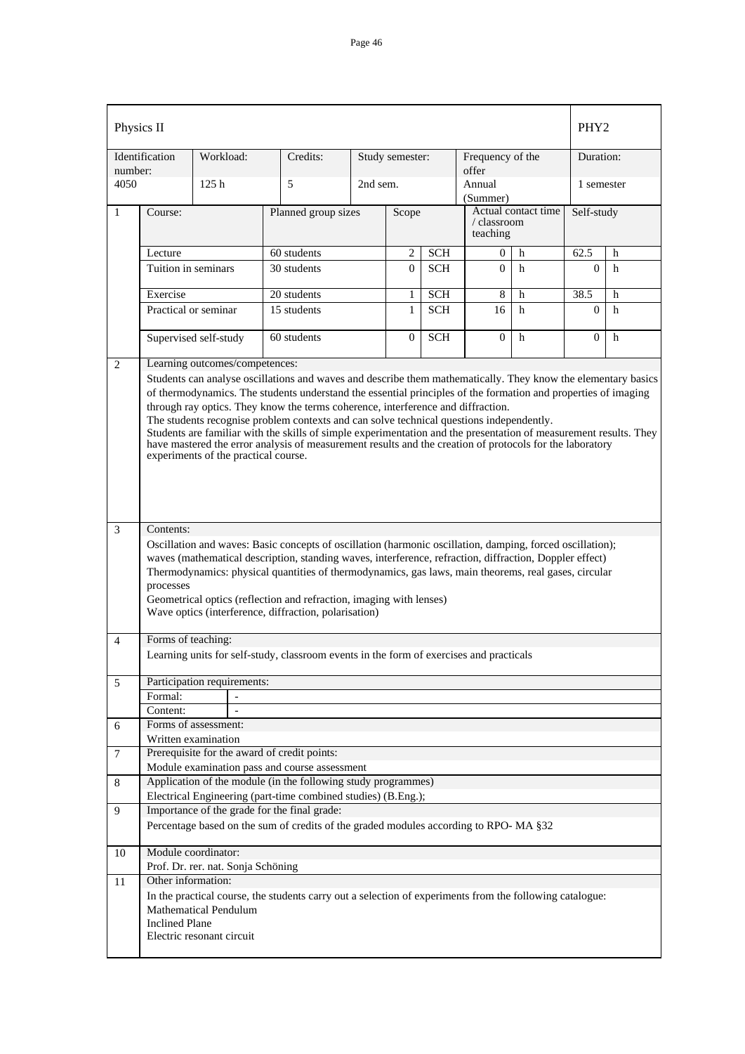| Physics II     |                                                                                                                                                                                                                                                                                                                                                                                                                                                                                                                                                                                                                                                                                          |                                    |                                                                                               |          |                 |            |                           |                     | PHY <sub>2</sub> |   |  |
|----------------|------------------------------------------------------------------------------------------------------------------------------------------------------------------------------------------------------------------------------------------------------------------------------------------------------------------------------------------------------------------------------------------------------------------------------------------------------------------------------------------------------------------------------------------------------------------------------------------------------------------------------------------------------------------------------------------|------------------------------------|-----------------------------------------------------------------------------------------------|----------|-----------------|------------|---------------------------|---------------------|------------------|---|--|
| number:        | Identification                                                                                                                                                                                                                                                                                                                                                                                                                                                                                                                                                                                                                                                                           | Workload:                          | Credits:                                                                                      |          | Study semester: |            | Frequency of the<br>offer |                     | Duration:        |   |  |
| 4050           |                                                                                                                                                                                                                                                                                                                                                                                                                                                                                                                                                                                                                                                                                          | 125 <sub>h</sub>                   | 5                                                                                             | 2nd sem. |                 |            | Annual<br>(Summer)        |                     | 1 semester       |   |  |
| $\mathbf{1}$   | Course:                                                                                                                                                                                                                                                                                                                                                                                                                                                                                                                                                                                                                                                                                  |                                    | Planned group sizes                                                                           |          | Scope           |            | / classroom<br>teaching   | Actual contact time | Self-study       |   |  |
|                | Lecture                                                                                                                                                                                                                                                                                                                                                                                                                                                                                                                                                                                                                                                                                  |                                    | 60 students                                                                                   |          | 2               | SCH        | 0                         | h                   | 62.5             | h |  |
|                | Tuition in seminars                                                                                                                                                                                                                                                                                                                                                                                                                                                                                                                                                                                                                                                                      |                                    | 30 students                                                                                   |          | $\Omega$        | <b>SCH</b> | $\Omega$                  | h                   | $\Omega$         | h |  |
|                | Exercise                                                                                                                                                                                                                                                                                                                                                                                                                                                                                                                                                                                                                                                                                 |                                    | 20 students                                                                                   |          | $\mathbf{1}$    | <b>SCH</b> | 8                         | h                   | 38.5             | h |  |
|                |                                                                                                                                                                                                                                                                                                                                                                                                                                                                                                                                                                                                                                                                                          | Practical or seminar               | 15 students                                                                                   |          | $\mathbf{1}$    | <b>SCH</b> | 16                        | h                   | $\Omega$         | h |  |
|                |                                                                                                                                                                                                                                                                                                                                                                                                                                                                                                                                                                                                                                                                                          | Supervised self-study              | 60 students                                                                                   |          | 0               | <b>SCH</b> | $\mathbf{0}$              | h                   | $\overline{0}$   | h |  |
| $\overline{2}$ |                                                                                                                                                                                                                                                                                                                                                                                                                                                                                                                                                                                                                                                                                          | Learning outcomes/competences:     |                                                                                               |          |                 |            |                           |                     |                  |   |  |
|                | Students can analyse oscillations and waves and describe them mathematically. They know the elementary basics<br>of thermodynamics. The students understand the essential principles of the formation and properties of imaging<br>through ray optics. They know the terms coherence, interference and diffraction.<br>The students recognise problem contexts and can solve technical questions independently.<br>Students are familiar with the skills of simple experimentation and the presentation of measurement results. They<br>have mastered the error analysis of measurement results and the creation of protocols for the laboratory<br>experiments of the practical course. |                                    |                                                                                               |          |                 |            |                           |                     |                  |   |  |
| 3              | Contents:<br>Oscillation and waves: Basic concepts of oscillation (harmonic oscillation, damping, forced oscillation);<br>waves (mathematical description, standing waves, interference, refraction, diffraction, Doppler effect)<br>Thermodynamics: physical quantities of thermodynamics, gas laws, main theorems, real gases, circular<br>processes<br>Geometrical optics (reflection and refraction, imaging with lenses)<br>Wave optics (interference, diffraction, polarisation)                                                                                                                                                                                                   |                                    |                                                                                               |          |                 |            |                           |                     |                  |   |  |
| 4              | Forms of teaching:                                                                                                                                                                                                                                                                                                                                                                                                                                                                                                                                                                                                                                                                       |                                    | Learning units for self-study, classroom events in the form of exercises and practicals       |          |                 |            |                           |                     |                  |   |  |
|                |                                                                                                                                                                                                                                                                                                                                                                                                                                                                                                                                                                                                                                                                                          |                                    |                                                                                               |          |                 |            |                           |                     |                  |   |  |
| 5              |                                                                                                                                                                                                                                                                                                                                                                                                                                                                                                                                                                                                                                                                                          | Participation requirements:        |                                                                                               |          |                 |            |                           |                     |                  |   |  |
|                | Formal:                                                                                                                                                                                                                                                                                                                                                                                                                                                                                                                                                                                                                                                                                  |                                    |                                                                                               |          |                 |            |                           |                     |                  |   |  |
|                | Content:                                                                                                                                                                                                                                                                                                                                                                                                                                                                                                                                                                                                                                                                                 |                                    |                                                                                               |          |                 |            |                           |                     |                  |   |  |
| 6              |                                                                                                                                                                                                                                                                                                                                                                                                                                                                                                                                                                                                                                                                                          | Forms of assessment:               |                                                                                               |          |                 |            |                           |                     |                  |   |  |
|                |                                                                                                                                                                                                                                                                                                                                                                                                                                                                                                                                                                                                                                                                                          | Written examination                |                                                                                               |          |                 |            |                           |                     |                  |   |  |
| $\overline{7}$ |                                                                                                                                                                                                                                                                                                                                                                                                                                                                                                                                                                                                                                                                                          |                                    | Prerequisite for the award of credit points:<br>Module examination pass and course assessment |          |                 |            |                           |                     |                  |   |  |
| 8              |                                                                                                                                                                                                                                                                                                                                                                                                                                                                                                                                                                                                                                                                                          |                                    | Application of the module (in the following study programmes)                                 |          |                 |            |                           |                     |                  |   |  |
|                |                                                                                                                                                                                                                                                                                                                                                                                                                                                                                                                                                                                                                                                                                          |                                    | Electrical Engineering (part-time combined studies) (B.Eng.);                                 |          |                 |            |                           |                     |                  |   |  |
| 9              |                                                                                                                                                                                                                                                                                                                                                                                                                                                                                                                                                                                                                                                                                          |                                    | Importance of the grade for the final grade:                                                  |          |                 |            |                           |                     |                  |   |  |
|                | Percentage based on the sum of credits of the graded modules according to RPO-MA §32                                                                                                                                                                                                                                                                                                                                                                                                                                                                                                                                                                                                     |                                    |                                                                                               |          |                 |            |                           |                     |                  |   |  |
| 10             |                                                                                                                                                                                                                                                                                                                                                                                                                                                                                                                                                                                                                                                                                          | Module coordinator:                |                                                                                               |          |                 |            |                           |                     |                  |   |  |
|                |                                                                                                                                                                                                                                                                                                                                                                                                                                                                                                                                                                                                                                                                                          | Prof. Dr. rer. nat. Sonja Schöning |                                                                                               |          |                 |            |                           |                     |                  |   |  |
| 11             | Other information:<br>In the practical course, the students carry out a selection of experiments from the following catalogue:<br>Mathematical Pendulum<br><b>Inclined Plane</b><br>Electric resonant circuit                                                                                                                                                                                                                                                                                                                                                                                                                                                                            |                                    |                                                                                               |          |                 |            |                           |                     |                  |   |  |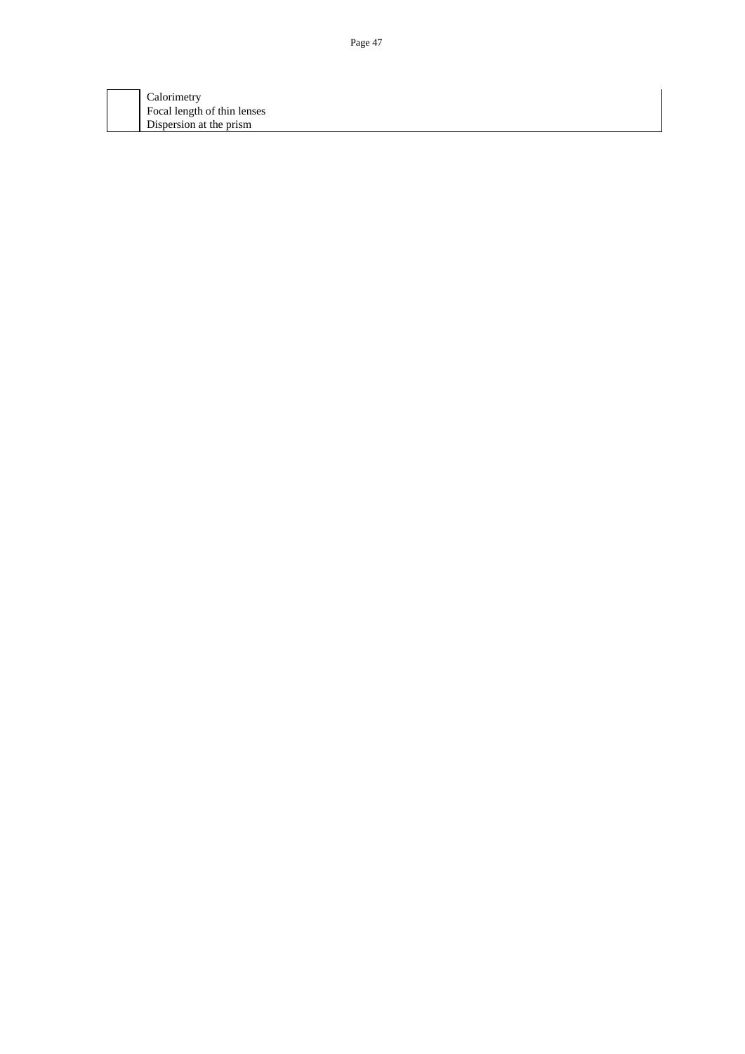Calorimetry Focal length of thin lenses Dispersion at the prism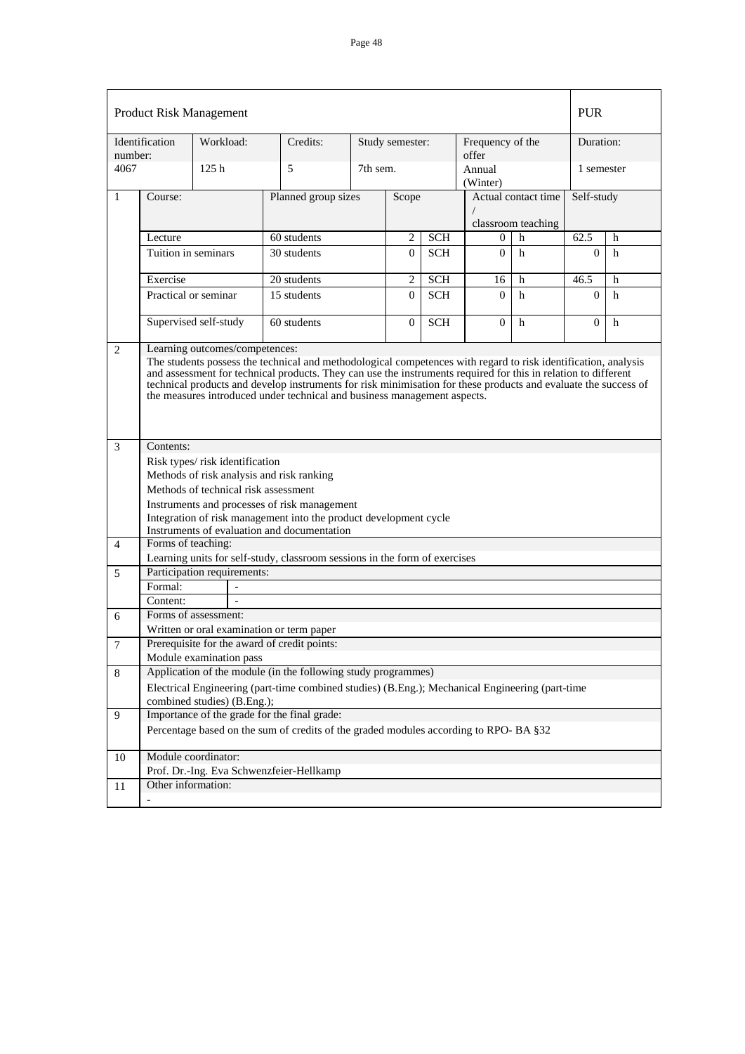|                |                       | <b>Product Risk Management</b>                                                                                      |                                                                                                                          |          |                 |            |                           |                     | <b>PUR</b>   |   |
|----------------|-----------------------|---------------------------------------------------------------------------------------------------------------------|--------------------------------------------------------------------------------------------------------------------------|----------|-----------------|------------|---------------------------|---------------------|--------------|---|
| number:        | Identification        | Workload:                                                                                                           | Credits:                                                                                                                 |          | Study semester: |            | Frequency of the<br>offer |                     | Duration:    |   |
| 4067           |                       | 125h                                                                                                                | 5                                                                                                                        | 7th sem. |                 |            | Annual<br>(Winter)        |                     | 1 semester   |   |
| $\mathbf{1}$   | Course:               |                                                                                                                     | Planned group sizes                                                                                                      |          | Scope           |            | $\prime$                  | Actual contact time | Self-study   |   |
|                |                       |                                                                                                                     |                                                                                                                          |          |                 |            |                           | classroom teaching  |              |   |
|                | Lecture               |                                                                                                                     | 60 students                                                                                                              |          | 2               | <b>SCH</b> | $\overline{0}$            | h                   | 62.5         | h |
|                |                       | Tuition in seminars                                                                                                 | 30 students                                                                                                              |          | $\Omega$        | <b>SCH</b> | $\Omega$                  | h                   | $\theta$     | h |
|                | Exercise              |                                                                                                                     | 20 students                                                                                                              |          | $\overline{c}$  | <b>SCH</b> | 16                        | h                   | 46.5         | h |
|                |                       | Practical or seminar                                                                                                | 15 students                                                                                                              |          | $\Omega$        | <b>SCH</b> | $\Omega$                  | h                   | $\theta$     | h |
|                | Supervised self-study |                                                                                                                     | 60 students                                                                                                              |          | $\Omega$        | <b>SCH</b> | $\overline{0}$            | h                   | $\mathbf{0}$ | h |
| 3              | Contents:             | Risk types/risk identification<br>Methods of risk analysis and risk ranking<br>Methods of technical risk assessment | the measures introduced under technical and business management aspects.<br>Instruments and processes of risk management |          |                 |            |                           |                     |              |   |
|                |                       |                                                                                                                     | Integration of risk management into the product development cycle<br>Instruments of evaluation and documentation         |          |                 |            |                           |                     |              |   |
| $\overline{4}$ | Forms of teaching:    |                                                                                                                     |                                                                                                                          |          |                 |            |                           |                     |              |   |
|                |                       |                                                                                                                     | Learning units for self-study, classroom sessions in the form of exercises                                               |          |                 |            |                           |                     |              |   |
| 5              |                       | Participation requirements:                                                                                         |                                                                                                                          |          |                 |            |                           |                     |              |   |
|                | Formal:               | $\overline{a}$                                                                                                      |                                                                                                                          |          |                 |            |                           |                     |              |   |
|                | Content:              |                                                                                                                     |                                                                                                                          |          |                 |            |                           |                     |              |   |
| 6              |                       | Forms of assessment:                                                                                                |                                                                                                                          |          |                 |            |                           |                     |              |   |
|                |                       |                                                                                                                     | Written or oral examination or term paper                                                                                |          |                 |            |                           |                     |              |   |
| 7              |                       | Module examination pass                                                                                             | Prerequisite for the award of credit points:                                                                             |          |                 |            |                           |                     |              |   |
| 8              |                       |                                                                                                                     | Application of the module (in the following study programmes)                                                            |          |                 |            |                           |                     |              |   |
|                |                       |                                                                                                                     | Electrical Engineering (part-time combined studies) (B.Eng.); Mechanical Engineering (part-time                          |          |                 |            |                           |                     |              |   |
|                |                       | combined studies) (B.Eng.);                                                                                         |                                                                                                                          |          |                 |            |                           |                     |              |   |
| 9              |                       |                                                                                                                     | Importance of the grade for the final grade:                                                                             |          |                 |            |                           |                     |              |   |
|                |                       |                                                                                                                     | Percentage based on the sum of credits of the graded modules according to RPO-BA §32                                     |          |                 |            |                           |                     |              |   |
| 10             |                       | Module coordinator:                                                                                                 |                                                                                                                          |          |                 |            |                           |                     |              |   |
|                |                       |                                                                                                                     | Prof. Dr.-Ing. Eva Schwenzfeier-Hellkamp                                                                                 |          |                 |            |                           |                     |              |   |
| 11             | Other information:    |                                                                                                                     |                                                                                                                          |          |                 |            |                           |                     |              |   |
|                |                       |                                                                                                                     |                                                                                                                          |          |                 |            |                           |                     |              |   |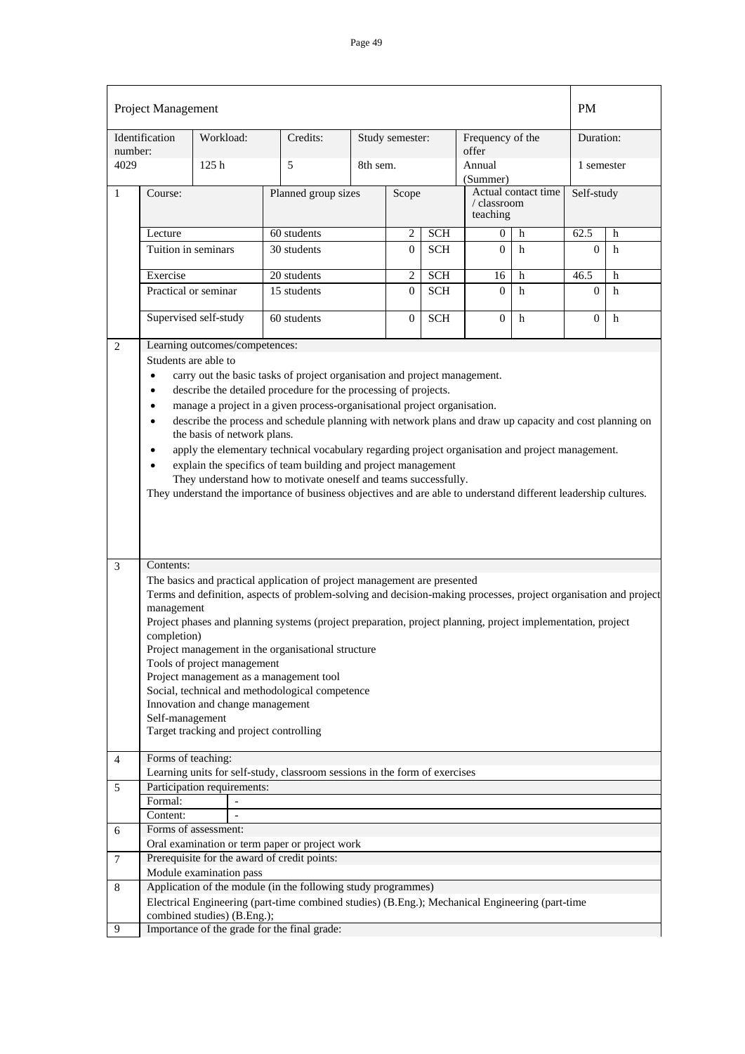|                | Project Management                                                                                                                                                                                                                                                                                                                                                                                                                                                                                                                                                                                                                                                                                                                                                                                                                               |                                                                                                            |                                                                                                                                                                                                                                                                                                                                                                                                                                                                 |          |                 |            |                           |                     | <b>PM</b>    |   |  |
|----------------|--------------------------------------------------------------------------------------------------------------------------------------------------------------------------------------------------------------------------------------------------------------------------------------------------------------------------------------------------------------------------------------------------------------------------------------------------------------------------------------------------------------------------------------------------------------------------------------------------------------------------------------------------------------------------------------------------------------------------------------------------------------------------------------------------------------------------------------------------|------------------------------------------------------------------------------------------------------------|-----------------------------------------------------------------------------------------------------------------------------------------------------------------------------------------------------------------------------------------------------------------------------------------------------------------------------------------------------------------------------------------------------------------------------------------------------------------|----------|-----------------|------------|---------------------------|---------------------|--------------|---|--|
| number:        | Identification                                                                                                                                                                                                                                                                                                                                                                                                                                                                                                                                                                                                                                                                                                                                                                                                                                   | Workload:                                                                                                  | Credits:                                                                                                                                                                                                                                                                                                                                                                                                                                                        |          | Study semester: |            | Frequency of the<br>offer |                     | Duration:    |   |  |
| 4029           |                                                                                                                                                                                                                                                                                                                                                                                                                                                                                                                                                                                                                                                                                                                                                                                                                                                  | 125h                                                                                                       | 5                                                                                                                                                                                                                                                                                                                                                                                                                                                               | 8th sem. |                 |            | Annual<br>(Summer)        |                     | 1 semester   |   |  |
| $\mathbf{1}$   | Course:                                                                                                                                                                                                                                                                                                                                                                                                                                                                                                                                                                                                                                                                                                                                                                                                                                          |                                                                                                            | Planned group sizes                                                                                                                                                                                                                                                                                                                                                                                                                                             |          | Scope           |            | / classroom<br>teaching   | Actual contact time | Self-study   |   |  |
|                | Lecture                                                                                                                                                                                                                                                                                                                                                                                                                                                                                                                                                                                                                                                                                                                                                                                                                                          |                                                                                                            | 60 students                                                                                                                                                                                                                                                                                                                                                                                                                                                     |          | $\overline{2}$  | SCH        | 0                         | h                   | 62.5         | h |  |
|                | Tuition in seminars                                                                                                                                                                                                                                                                                                                                                                                                                                                                                                                                                                                                                                                                                                                                                                                                                              |                                                                                                            | 30 students                                                                                                                                                                                                                                                                                                                                                                                                                                                     |          | $\Omega$        | <b>SCH</b> | $\Omega$                  | h                   | $\Omega$     | h |  |
|                | Exercise                                                                                                                                                                                                                                                                                                                                                                                                                                                                                                                                                                                                                                                                                                                                                                                                                                         |                                                                                                            | 20 students                                                                                                                                                                                                                                                                                                                                                                                                                                                     |          | $\overline{2}$  | <b>SCH</b> | 16                        | h                   | 46.5         | h |  |
|                |                                                                                                                                                                                                                                                                                                                                                                                                                                                                                                                                                                                                                                                                                                                                                                                                                                                  | Practical or seminar                                                                                       | 15 students                                                                                                                                                                                                                                                                                                                                                                                                                                                     |          | $\Omega$        | <b>SCH</b> | $\Omega$                  | h                   | $\mathbf{0}$ | h |  |
|                | Supervised self-study                                                                                                                                                                                                                                                                                                                                                                                                                                                                                                                                                                                                                                                                                                                                                                                                                            |                                                                                                            | 60 students                                                                                                                                                                                                                                                                                                                                                                                                                                                     |          | $\mathbf{0}$    | <b>SCH</b> | 0                         | $\mathbf h$         | $\Omega$     | h |  |
| 2<br>3         | Students are able to<br>carry out the basic tasks of project organisation and project management.<br>$\bullet$<br>describe the detailed procedure for the processing of projects.<br>$\bullet$<br>manage a project in a given process-organisational project organisation.<br>$\bullet$<br>describe the process and schedule planning with network plans and draw up capacity and cost planning on<br>$\bullet$<br>the basis of network plans.<br>apply the elementary technical vocabulary regarding project organisation and project management.<br>$\bullet$<br>explain the specifics of team building and project management<br>$\bullet$<br>They understand how to motivate oneself and teams successfully.<br>They understand the importance of business objectives and are able to understand different leadership cultures.<br>Contents: |                                                                                                            |                                                                                                                                                                                                                                                                                                                                                                                                                                                                 |          |                 |            |                           |                     |              |   |  |
|                | management<br>completion)<br>Self-management                                                                                                                                                                                                                                                                                                                                                                                                                                                                                                                                                                                                                                                                                                                                                                                                     | Tools of project management<br>Innovation and change management<br>Target tracking and project controlling | The basics and practical application of project management are presented<br>Terms and definition, aspects of problem-solving and decision-making processes, project organisation and project<br>Project phases and planning systems (project preparation, project planning, project implementation, project<br>Project management in the organisational structure<br>Project management as a management tool<br>Social, technical and methodological competence |          |                 |            |                           |                     |              |   |  |
| $\overline{4}$ | Forms of teaching:                                                                                                                                                                                                                                                                                                                                                                                                                                                                                                                                                                                                                                                                                                                                                                                                                               |                                                                                                            | Learning units for self-study, classroom sessions in the form of exercises                                                                                                                                                                                                                                                                                                                                                                                      |          |                 |            |                           |                     |              |   |  |
| 5              |                                                                                                                                                                                                                                                                                                                                                                                                                                                                                                                                                                                                                                                                                                                                                                                                                                                  | Participation requirements:                                                                                |                                                                                                                                                                                                                                                                                                                                                                                                                                                                 |          |                 |            |                           |                     |              |   |  |
|                | Formal:                                                                                                                                                                                                                                                                                                                                                                                                                                                                                                                                                                                                                                                                                                                                                                                                                                          | $\blacksquare$                                                                                             |                                                                                                                                                                                                                                                                                                                                                                                                                                                                 |          |                 |            |                           |                     |              |   |  |
|                | Content:                                                                                                                                                                                                                                                                                                                                                                                                                                                                                                                                                                                                                                                                                                                                                                                                                                         | $\overline{a}$                                                                                             |                                                                                                                                                                                                                                                                                                                                                                                                                                                                 |          |                 |            |                           |                     |              |   |  |
|                |                                                                                                                                                                                                                                                                                                                                                                                                                                                                                                                                                                                                                                                                                                                                                                                                                                                  |                                                                                                            |                                                                                                                                                                                                                                                                                                                                                                                                                                                                 |          |                 |            |                           |                     |              |   |  |
| 6              |                                                                                                                                                                                                                                                                                                                                                                                                                                                                                                                                                                                                                                                                                                                                                                                                                                                  | Forms of assessment:                                                                                       |                                                                                                                                                                                                                                                                                                                                                                                                                                                                 |          |                 |            |                           |                     |              |   |  |
|                |                                                                                                                                                                                                                                                                                                                                                                                                                                                                                                                                                                                                                                                                                                                                                                                                                                                  |                                                                                                            | Oral examination or term paper or project work                                                                                                                                                                                                                                                                                                                                                                                                                  |          |                 |            |                           |                     |              |   |  |
| $\overline{7}$ |                                                                                                                                                                                                                                                                                                                                                                                                                                                                                                                                                                                                                                                                                                                                                                                                                                                  |                                                                                                            | Prerequisite for the award of credit points:                                                                                                                                                                                                                                                                                                                                                                                                                    |          |                 |            |                           |                     |              |   |  |
|                |                                                                                                                                                                                                                                                                                                                                                                                                                                                                                                                                                                                                                                                                                                                                                                                                                                                  | Module examination pass                                                                                    |                                                                                                                                                                                                                                                                                                                                                                                                                                                                 |          |                 |            |                           |                     |              |   |  |
| $\,8\,$        |                                                                                                                                                                                                                                                                                                                                                                                                                                                                                                                                                                                                                                                                                                                                                                                                                                                  |                                                                                                            | Application of the module (in the following study programmes)                                                                                                                                                                                                                                                                                                                                                                                                   |          |                 |            |                           |                     |              |   |  |
|                |                                                                                                                                                                                                                                                                                                                                                                                                                                                                                                                                                                                                                                                                                                                                                                                                                                                  |                                                                                                            | Electrical Engineering (part-time combined studies) (B.Eng.); Mechanical Engineering (part-time                                                                                                                                                                                                                                                                                                                                                                 |          |                 |            |                           |                     |              |   |  |
|                |                                                                                                                                                                                                                                                                                                                                                                                                                                                                                                                                                                                                                                                                                                                                                                                                                                                  | combined studies) (B.Eng.);                                                                                |                                                                                                                                                                                                                                                                                                                                                                                                                                                                 |          |                 |            |                           |                     |              |   |  |
| 9              |                                                                                                                                                                                                                                                                                                                                                                                                                                                                                                                                                                                                                                                                                                                                                                                                                                                  |                                                                                                            | Importance of the grade for the final grade:                                                                                                                                                                                                                                                                                                                                                                                                                    |          |                 |            |                           |                     |              |   |  |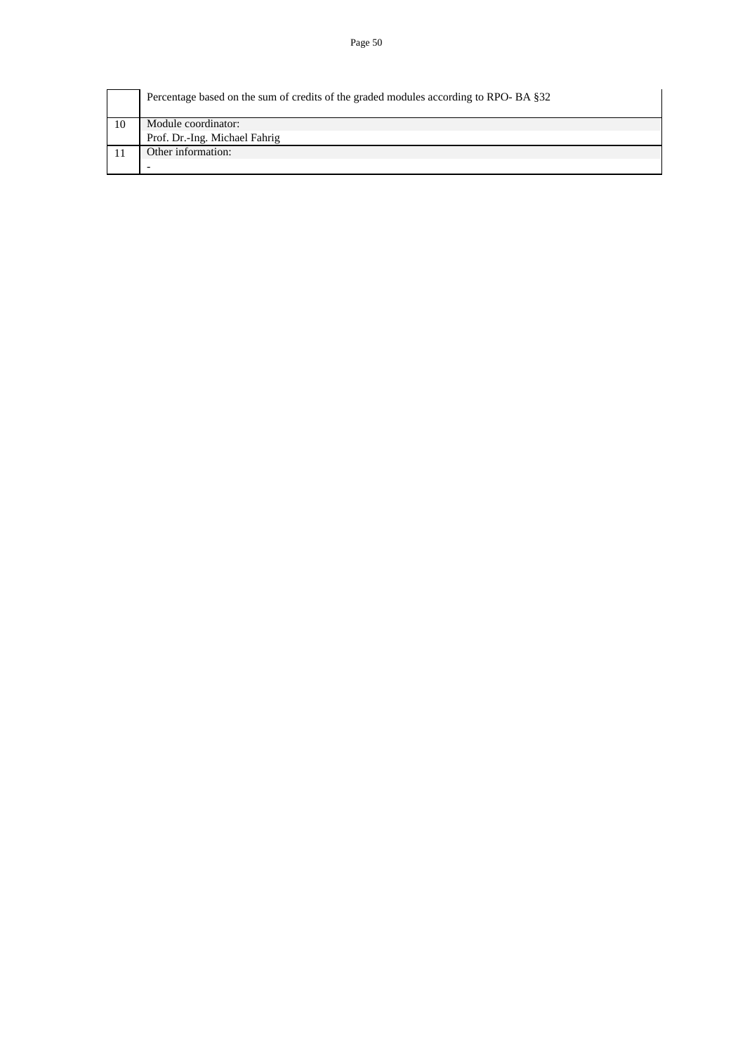Percentage based on the sum of credits of the graded modules according to RPO- BA §32

 $\Gamma$ 

| 10 | Module coordinator:           |
|----|-------------------------------|
|    | Prof. Dr.-Ing. Michael Fahrig |
|    | Other information:            |
|    | -                             |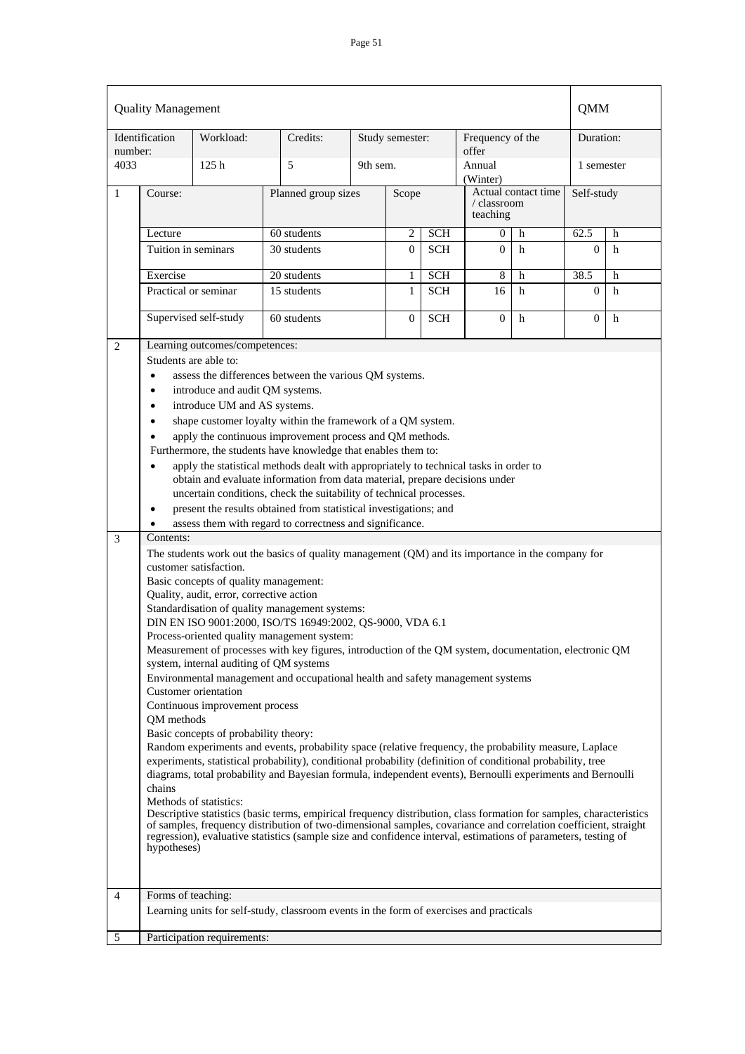|                     | <b>Quality Management</b>                                                                                                                   |                                                                                                                                                                                                                                                                                                                                                                                                                   |                                                                                                                                                                                                                                                                                                                                                                                                                                                                                                                                                                                                                                                                                                                                                                                                                                                                                                                                                                                                                                                                                                                                                                                                                                                                                                                                                                                                                                                                                                                                                                                                                                                                                                                                                                                                       |          |                 |            |                           |                     | <b>QMM</b>     |             |
|---------------------|---------------------------------------------------------------------------------------------------------------------------------------------|-------------------------------------------------------------------------------------------------------------------------------------------------------------------------------------------------------------------------------------------------------------------------------------------------------------------------------------------------------------------------------------------------------------------|-------------------------------------------------------------------------------------------------------------------------------------------------------------------------------------------------------------------------------------------------------------------------------------------------------------------------------------------------------------------------------------------------------------------------------------------------------------------------------------------------------------------------------------------------------------------------------------------------------------------------------------------------------------------------------------------------------------------------------------------------------------------------------------------------------------------------------------------------------------------------------------------------------------------------------------------------------------------------------------------------------------------------------------------------------------------------------------------------------------------------------------------------------------------------------------------------------------------------------------------------------------------------------------------------------------------------------------------------------------------------------------------------------------------------------------------------------------------------------------------------------------------------------------------------------------------------------------------------------------------------------------------------------------------------------------------------------------------------------------------------------------------------------------------------------|----------|-----------------|------------|---------------------------|---------------------|----------------|-------------|
| number:             | Identification                                                                                                                              | Workload:                                                                                                                                                                                                                                                                                                                                                                                                         | Credits:                                                                                                                                                                                                                                                                                                                                                                                                                                                                                                                                                                                                                                                                                                                                                                                                                                                                                                                                                                                                                                                                                                                                                                                                                                                                                                                                                                                                                                                                                                                                                                                                                                                                                                                                                                                              |          | Study semester: |            | Frequency of the<br>offer |                     | Duration:      |             |
| 4033                |                                                                                                                                             | 125 <sub>h</sub>                                                                                                                                                                                                                                                                                                                                                                                                  | 5                                                                                                                                                                                                                                                                                                                                                                                                                                                                                                                                                                                                                                                                                                                                                                                                                                                                                                                                                                                                                                                                                                                                                                                                                                                                                                                                                                                                                                                                                                                                                                                                                                                                                                                                                                                                     | 9th sem. |                 |            | Annual<br>(Winter)        |                     | 1 semester     |             |
| $\mathbf{1}$        | Course:                                                                                                                                     |                                                                                                                                                                                                                                                                                                                                                                                                                   | Planned group sizes                                                                                                                                                                                                                                                                                                                                                                                                                                                                                                                                                                                                                                                                                                                                                                                                                                                                                                                                                                                                                                                                                                                                                                                                                                                                                                                                                                                                                                                                                                                                                                                                                                                                                                                                                                                   |          | Scope           |            | / classroom<br>teaching   | Actual contact time | Self-study     |             |
|                     | Lecture                                                                                                                                     |                                                                                                                                                                                                                                                                                                                                                                                                                   | 60 students                                                                                                                                                                                                                                                                                                                                                                                                                                                                                                                                                                                                                                                                                                                                                                                                                                                                                                                                                                                                                                                                                                                                                                                                                                                                                                                                                                                                                                                                                                                                                                                                                                                                                                                                                                                           |          | $\overline{c}$  | <b>SCH</b> | 0                         | h                   | 62.5           | h           |
|                     | Tuition in seminars                                                                                                                         |                                                                                                                                                                                                                                                                                                                                                                                                                   | 30 students                                                                                                                                                                                                                                                                                                                                                                                                                                                                                                                                                                                                                                                                                                                                                                                                                                                                                                                                                                                                                                                                                                                                                                                                                                                                                                                                                                                                                                                                                                                                                                                                                                                                                                                                                                                           |          | $\overline{0}$  | <b>SCH</b> | $\Omega$                  | h                   | $\Omega$       | h           |
|                     | Exercise                                                                                                                                    |                                                                                                                                                                                                                                                                                                                                                                                                                   | 20 students                                                                                                                                                                                                                                                                                                                                                                                                                                                                                                                                                                                                                                                                                                                                                                                                                                                                                                                                                                                                                                                                                                                                                                                                                                                                                                                                                                                                                                                                                                                                                                                                                                                                                                                                                                                           |          | $\mathbf{1}$    | <b>SCH</b> | 8                         | h                   | 38.5           | h           |
|                     |                                                                                                                                             | Practical or seminar                                                                                                                                                                                                                                                                                                                                                                                              | 15 students                                                                                                                                                                                                                                                                                                                                                                                                                                                                                                                                                                                                                                                                                                                                                                                                                                                                                                                                                                                                                                                                                                                                                                                                                                                                                                                                                                                                                                                                                                                                                                                                                                                                                                                                                                                           |          | 1               | <b>SCH</b> | 16                        | h                   | $\overline{0}$ | h           |
|                     |                                                                                                                                             | Supervised self-study                                                                                                                                                                                                                                                                                                                                                                                             | 60 students                                                                                                                                                                                                                                                                                                                                                                                                                                                                                                                                                                                                                                                                                                                                                                                                                                                                                                                                                                                                                                                                                                                                                                                                                                                                                                                                                                                                                                                                                                                                                                                                                                                                                                                                                                                           |          | $\overline{0}$  | <b>SCH</b> | $\overline{0}$            | $\mathbf h$         | $\mathbf{0}$   | $\mathbf h$ |
| 2<br>$\overline{3}$ | $\bullet$<br>$\bullet$<br>$\bullet$<br>$\bullet$<br>$\bullet$<br>$\bullet$<br>$\bullet$<br>Contents:<br>OM methods<br>chains<br>hypotheses) | Learning outcomes/competences:<br>Students are able to:<br>introduce and audit QM systems.<br>introduce UM and AS systems.<br>customer satisfaction.<br>Basic concepts of quality management:<br>Quality, audit, error, corrective action<br>system, internal auditing of QM systems<br>Customer orientation<br>Continuous improvement process<br>Basic concepts of probability theory:<br>Methods of statistics: | assess the differences between the various QM systems.<br>shape customer loyalty within the framework of a QM system.<br>apply the continuous improvement process and QM methods.<br>Furthermore, the students have knowledge that enables them to:<br>apply the statistical methods dealt with appropriately to technical tasks in order to<br>obtain and evaluate information from data material, prepare decisions under<br>uncertain conditions, check the suitability of technical processes.<br>present the results obtained from statistical investigations; and<br>assess them with regard to correctness and significance.<br>The students work out the basics of quality management (QM) and its importance in the company for<br>Standardisation of quality management systems:<br>DIN EN ISO 9001:2000, ISO/TS 16949:2002, QS-9000, VDA 6.1<br>Process-oriented quality management system:<br>Measurement of processes with key figures, introduction of the QM system, documentation, electronic QM<br>Environmental management and occupational health and safety management systems<br>Random experiments and events, probability space (relative frequency, the probability measure, Laplace<br>experiments, statistical probability), conditional probability (definition of conditional probability, tree<br>diagrams, total probability and Bayesian formula, independent events), Bernoulli experiments and Bernoulli<br>Descriptive statistics (basic terms, empirical frequency distribution, class formation for samples, characteristics<br>of samples, frequency distribution of two-dimensional samples, covariance and correlation coefficient, straight<br>regression), evaluative statistics (sample size and confidence interval, estimations of parameters, testing of |          |                 |            |                           |                     |                |             |
| $\overline{4}$      | Forms of teaching:                                                                                                                          |                                                                                                                                                                                                                                                                                                                                                                                                                   |                                                                                                                                                                                                                                                                                                                                                                                                                                                                                                                                                                                                                                                                                                                                                                                                                                                                                                                                                                                                                                                                                                                                                                                                                                                                                                                                                                                                                                                                                                                                                                                                                                                                                                                                                                                                       |          |                 |            |                           |                     |                |             |
|                     |                                                                                                                                             |                                                                                                                                                                                                                                                                                                                                                                                                                   | Learning units for self-study, classroom events in the form of exercises and practicals                                                                                                                                                                                                                                                                                                                                                                                                                                                                                                                                                                                                                                                                                                                                                                                                                                                                                                                                                                                                                                                                                                                                                                                                                                                                                                                                                                                                                                                                                                                                                                                                                                                                                                               |          |                 |            |                           |                     |                |             |
| 5                   | Participation requirements:                                                                                                                 |                                                                                                                                                                                                                                                                                                                                                                                                                   |                                                                                                                                                                                                                                                                                                                                                                                                                                                                                                                                                                                                                                                                                                                                                                                                                                                                                                                                                                                                                                                                                                                                                                                                                                                                                                                                                                                                                                                                                                                                                                                                                                                                                                                                                                                                       |          |                 |            |                           |                     |                |             |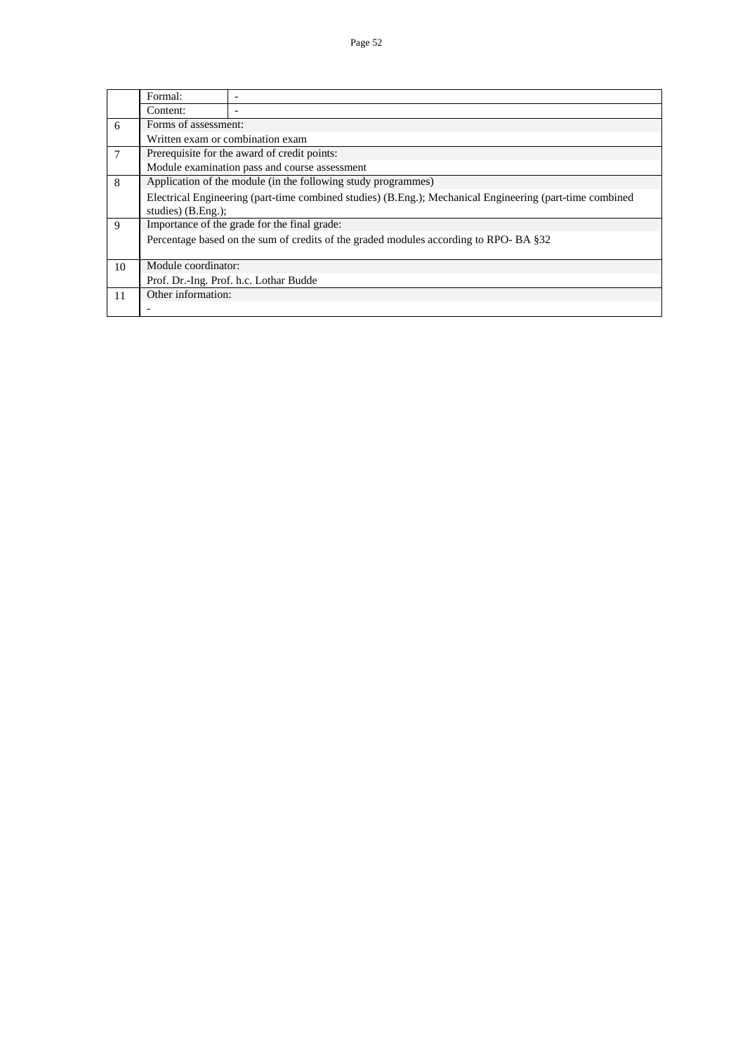|    | Formal:                                       |                                                                                                          |  |  |  |  |  |  |  |
|----|-----------------------------------------------|----------------------------------------------------------------------------------------------------------|--|--|--|--|--|--|--|
|    | Content:                                      |                                                                                                          |  |  |  |  |  |  |  |
| 6  | Forms of assessment:                          |                                                                                                          |  |  |  |  |  |  |  |
|    | Written exam or combination exam              |                                                                                                          |  |  |  |  |  |  |  |
| 7  |                                               | Prerequisite for the award of credit points:                                                             |  |  |  |  |  |  |  |
|    | Module examination pass and course assessment |                                                                                                          |  |  |  |  |  |  |  |
| 8  |                                               | Application of the module (in the following study programmes)                                            |  |  |  |  |  |  |  |
|    |                                               | Electrical Engineering (part-time combined studies) (B.Eng.); Mechanical Engineering (part-time combined |  |  |  |  |  |  |  |
|    | studies) $(B.Eng.)$ ;                         |                                                                                                          |  |  |  |  |  |  |  |
| 9  |                                               | Importance of the grade for the final grade:                                                             |  |  |  |  |  |  |  |
|    |                                               | Percentage based on the sum of credits of the graded modules according to RPO-BA §32                     |  |  |  |  |  |  |  |
|    |                                               |                                                                                                          |  |  |  |  |  |  |  |
| 10 | Module coordinator:                           |                                                                                                          |  |  |  |  |  |  |  |
|    | Prof. Dr.-Ing. Prof. h.c. Lothar Budde        |                                                                                                          |  |  |  |  |  |  |  |
| 11 | Other information:                            |                                                                                                          |  |  |  |  |  |  |  |
|    |                                               |                                                                                                          |  |  |  |  |  |  |  |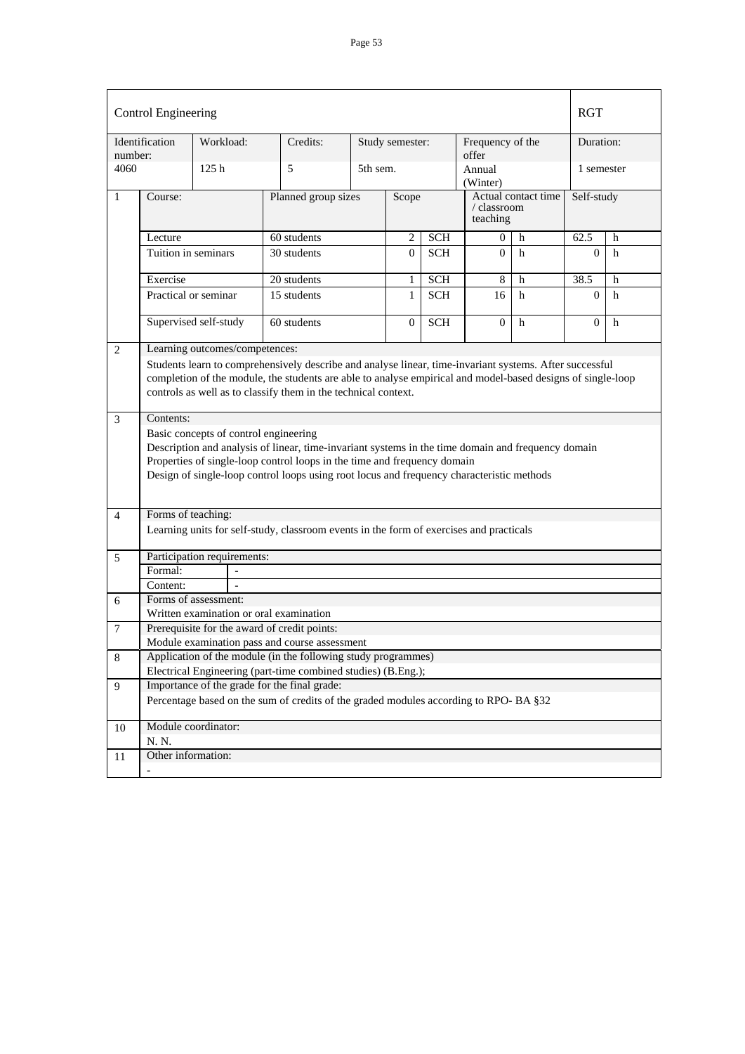|                | Control Engineering                                                                                                                                                                                                                                                                                                                                                                                                                                                                                                                                                                                                           |                                              |                                                                                                                                      |          |                 |            |                           |                     | <b>RGT</b>     |   |
|----------------|-------------------------------------------------------------------------------------------------------------------------------------------------------------------------------------------------------------------------------------------------------------------------------------------------------------------------------------------------------------------------------------------------------------------------------------------------------------------------------------------------------------------------------------------------------------------------------------------------------------------------------|----------------------------------------------|--------------------------------------------------------------------------------------------------------------------------------------|----------|-----------------|------------|---------------------------|---------------------|----------------|---|
| number:        | Identification                                                                                                                                                                                                                                                                                                                                                                                                                                                                                                                                                                                                                | Workload:                                    | Credits:                                                                                                                             |          | Study semester: |            | Frequency of the<br>offer |                     | Duration:      |   |
| 4060           |                                                                                                                                                                                                                                                                                                                                                                                                                                                                                                                                                                                                                               | 125h                                         | 5                                                                                                                                    | 5th sem. |                 |            | Annual<br>(Winter)        |                     | 1 semester     |   |
| $\mathbf{1}$   | Course:                                                                                                                                                                                                                                                                                                                                                                                                                                                                                                                                                                                                                       |                                              | Planned group sizes                                                                                                                  |          | Scope           |            | / classroom<br>teaching   | Actual contact time | Self-study     |   |
|                | Lecture                                                                                                                                                                                                                                                                                                                                                                                                                                                                                                                                                                                                                       |                                              | 60 students                                                                                                                          |          | 2               | <b>SCH</b> | 0                         | h                   | 62.5           | h |
|                | Tuition in seminars                                                                                                                                                                                                                                                                                                                                                                                                                                                                                                                                                                                                           |                                              | 30 students                                                                                                                          |          | $\mathbf{0}$    | <b>SCH</b> | $\Omega$                  | h                   | $\overline{0}$ | h |
|                | Exercise                                                                                                                                                                                                                                                                                                                                                                                                                                                                                                                                                                                                                      |                                              | 20 students                                                                                                                          |          | 1               | <b>SCH</b> | 8                         | h                   | 38.5           | h |
|                | Practical or seminar                                                                                                                                                                                                                                                                                                                                                                                                                                                                                                                                                                                                          |                                              | 15 students                                                                                                                          |          |                 | <b>SCH</b> | 16                        | h                   | $\overline{0}$ | h |
|                |                                                                                                                                                                                                                                                                                                                                                                                                                                                                                                                                                                                                                               | Supervised self-study                        | 60 students                                                                                                                          |          | $\overline{0}$  | <b>SCH</b> | $\overline{0}$            | h                   | $\mathbf{0}$   | h |
| $\mathfrak{Z}$ | Students learn to comprehensively describe and analyse linear, time-invariant systems. After successful<br>completion of the module, the students are able to analyse empirical and model-based designs of single-loop<br>controls as well as to classify them in the technical context.<br>Contents:<br>Basic concepts of control engineering<br>Description and analysis of linear, time-invariant systems in the time domain and frequency domain<br>Properties of single-loop control loops in the time and frequency domain<br>Design of single-loop control loops using root locus and frequency characteristic methods |                                              |                                                                                                                                      |          |                 |            |                           |                     |                |   |
| $\overline{4}$ | Forms of teaching:                                                                                                                                                                                                                                                                                                                                                                                                                                                                                                                                                                                                            |                                              | Learning units for self-study, classroom events in the form of exercises and practicals                                              |          |                 |            |                           |                     |                |   |
| 5              |                                                                                                                                                                                                                                                                                                                                                                                                                                                                                                                                                                                                                               | Participation requirements:                  |                                                                                                                                      |          |                 |            |                           |                     |                |   |
|                | Formal:                                                                                                                                                                                                                                                                                                                                                                                                                                                                                                                                                                                                                       |                                              |                                                                                                                                      |          |                 |            |                           |                     |                |   |
|                | Content:                                                                                                                                                                                                                                                                                                                                                                                                                                                                                                                                                                                                                      |                                              |                                                                                                                                      |          |                 |            |                           |                     |                |   |
| 6              |                                                                                                                                                                                                                                                                                                                                                                                                                                                                                                                                                                                                                               | Forms of assessment:                         |                                                                                                                                      |          |                 |            |                           |                     |                |   |
|                |                                                                                                                                                                                                                                                                                                                                                                                                                                                                                                                                                                                                                               | Written examination or oral examination      |                                                                                                                                      |          |                 |            |                           |                     |                |   |
| 7              |                                                                                                                                                                                                                                                                                                                                                                                                                                                                                                                                                                                                                               | Prerequisite for the award of credit points: |                                                                                                                                      |          |                 |            |                           |                     |                |   |
|                |                                                                                                                                                                                                                                                                                                                                                                                                                                                                                                                                                                                                                               |                                              | Module examination pass and course assessment                                                                                        |          |                 |            |                           |                     |                |   |
| $\,8\,$        |                                                                                                                                                                                                                                                                                                                                                                                                                                                                                                                                                                                                                               |                                              | Application of the module (in the following study programmes)                                                                        |          |                 |            |                           |                     |                |   |
|                |                                                                                                                                                                                                                                                                                                                                                                                                                                                                                                                                                                                                                               |                                              | Electrical Engineering (part-time combined studies) (B.Eng.);                                                                        |          |                 |            |                           |                     |                |   |
| 9              |                                                                                                                                                                                                                                                                                                                                                                                                                                                                                                                                                                                                                               |                                              | Importance of the grade for the final grade:<br>Percentage based on the sum of credits of the graded modules according to RPO-BA §32 |          |                 |            |                           |                     |                |   |
| 10             |                                                                                                                                                                                                                                                                                                                                                                                                                                                                                                                                                                                                                               | Module coordinator:                          |                                                                                                                                      |          |                 |            |                           |                     |                |   |
|                | N. N.                                                                                                                                                                                                                                                                                                                                                                                                                                                                                                                                                                                                                         |                                              |                                                                                                                                      |          |                 |            |                           |                     |                |   |
| 11             | Other information:                                                                                                                                                                                                                                                                                                                                                                                                                                                                                                                                                                                                            |                                              |                                                                                                                                      |          |                 |            |                           |                     |                |   |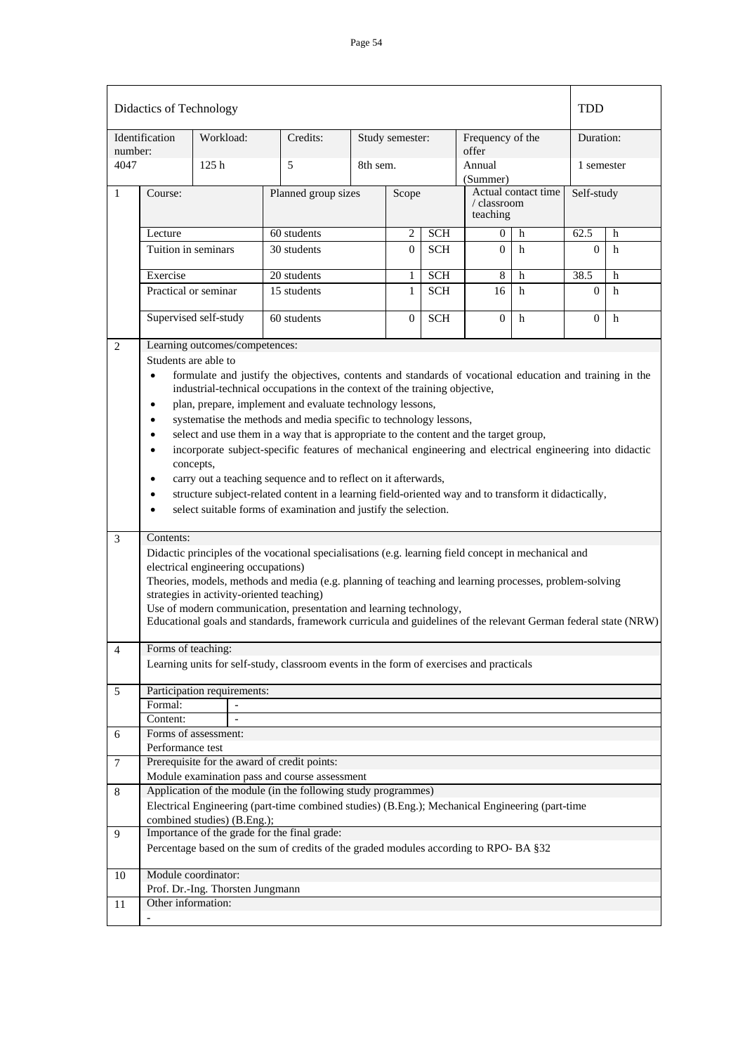|                | Didactics of Technology                                                                                                                                                                                                                                                                                                                                                                                                                                                                                                                                                                                                                                                                                                                                                                                                                                                                                                                                                                                                                                                                                                                                                                                                                                                                                                                                                                                                                                 |                                       |                                                                                                                                                                  |          |                 |            |                                                |   | <b>TDD</b> |   |
|----------------|---------------------------------------------------------------------------------------------------------------------------------------------------------------------------------------------------------------------------------------------------------------------------------------------------------------------------------------------------------------------------------------------------------------------------------------------------------------------------------------------------------------------------------------------------------------------------------------------------------------------------------------------------------------------------------------------------------------------------------------------------------------------------------------------------------------------------------------------------------------------------------------------------------------------------------------------------------------------------------------------------------------------------------------------------------------------------------------------------------------------------------------------------------------------------------------------------------------------------------------------------------------------------------------------------------------------------------------------------------------------------------------------------------------------------------------------------------|---------------------------------------|------------------------------------------------------------------------------------------------------------------------------------------------------------------|----------|-----------------|------------|------------------------------------------------|---|------------|---|
| number:        | Identification                                                                                                                                                                                                                                                                                                                                                                                                                                                                                                                                                                                                                                                                                                                                                                                                                                                                                                                                                                                                                                                                                                                                                                                                                                                                                                                                                                                                                                          | Workload:                             | Credits:                                                                                                                                                         |          | Study semester: |            | Frequency of the<br>offer                      |   | Duration:  |   |
| 4047           |                                                                                                                                                                                                                                                                                                                                                                                                                                                                                                                                                                                                                                                                                                                                                                                                                                                                                                                                                                                                                                                                                                                                                                                                                                                                                                                                                                                                                                                         | 125h                                  | 5                                                                                                                                                                | 8th sem. |                 |            | Annual<br>(Summer)                             |   | 1 semester |   |
| 1              | Course:                                                                                                                                                                                                                                                                                                                                                                                                                                                                                                                                                                                                                                                                                                                                                                                                                                                                                                                                                                                                                                                                                                                                                                                                                                                                                                                                                                                                                                                 |                                       | Planned group sizes                                                                                                                                              |          | Scope           |            | Actual contact time<br>/ classroom<br>teaching |   | Self-study |   |
|                | Lecture                                                                                                                                                                                                                                                                                                                                                                                                                                                                                                                                                                                                                                                                                                                                                                                                                                                                                                                                                                                                                                                                                                                                                                                                                                                                                                                                                                                                                                                 |                                       | 60 students                                                                                                                                                      |          | 2               | <b>SCH</b> | $\theta$                                       | h | 62.5       | h |
|                | Tuition in seminars                                                                                                                                                                                                                                                                                                                                                                                                                                                                                                                                                                                                                                                                                                                                                                                                                                                                                                                                                                                                                                                                                                                                                                                                                                                                                                                                                                                                                                     |                                       | 30 students                                                                                                                                                      |          | $\overline{0}$  | <b>SCH</b> | $\theta$                                       | h | $\Omega$   | h |
|                | Exercise                                                                                                                                                                                                                                                                                                                                                                                                                                                                                                                                                                                                                                                                                                                                                                                                                                                                                                                                                                                                                                                                                                                                                                                                                                                                                                                                                                                                                                                |                                       | 20 students                                                                                                                                                      |          | 1               | <b>SCH</b> | 8                                              | h | 38.5       | h |
|                |                                                                                                                                                                                                                                                                                                                                                                                                                                                                                                                                                                                                                                                                                                                                                                                                                                                                                                                                                                                                                                                                                                                                                                                                                                                                                                                                                                                                                                                         | Practical or seminar                  | 15 students                                                                                                                                                      |          | 1               | <b>SCH</b> | 16                                             | h | $\Omega$   | h |
|                |                                                                                                                                                                                                                                                                                                                                                                                                                                                                                                                                                                                                                                                                                                                                                                                                                                                                                                                                                                                                                                                                                                                                                                                                                                                                                                                                                                                                                                                         | Supervised self-study                 | 60 students                                                                                                                                                      |          | $\mathbf{0}$    | <b>SCH</b> | $\Omega$                                       | h | $\Omega$   | h |
| 2<br>3         | Learning outcomes/competences:<br>Students are able to<br>formulate and justify the objectives, contents and standards of vocational education and training in the<br>$\bullet$<br>industrial-technical occupations in the context of the training objective,<br>plan, prepare, implement and evaluate technology lessons,<br>$\bullet$<br>systematise the methods and media specific to technology lessons,<br>$\bullet$<br>select and use them in a way that is appropriate to the content and the target group,<br>$\bullet$<br>incorporate subject-specific features of mechanical engineering and electrical engineering into didactic<br>$\bullet$<br>concepts,<br>carry out a teaching sequence and to reflect on it afterwards,<br>$\bullet$<br>structure subject-related content in a learning field-oriented way and to transform it didactically,<br>$\bullet$<br>select suitable forms of examination and justify the selection.<br>Contents:<br>Didactic principles of the vocational specialisations (e.g. learning field concept in mechanical and<br>electrical engineering occupations)<br>Theories, models, methods and media (e.g. planning of teaching and learning processes, problem-solving<br>strategies in activity-oriented teaching)<br>Use of modern communication, presentation and learning technology,<br>Educational goals and standards, framework curricula and guidelines of the relevant German federal state (NRW) |                                       |                                                                                                                                                                  |          |                 |            |                                                |   |            |   |
| $\overline{4}$ | Forms of teaching:                                                                                                                                                                                                                                                                                                                                                                                                                                                                                                                                                                                                                                                                                                                                                                                                                                                                                                                                                                                                                                                                                                                                                                                                                                                                                                                                                                                                                                      |                                       | Learning units for self-study, classroom events in the form of exercises and practicals                                                                          |          |                 |            |                                                |   |            |   |
|                |                                                                                                                                                                                                                                                                                                                                                                                                                                                                                                                                                                                                                                                                                                                                                                                                                                                                                                                                                                                                                                                                                                                                                                                                                                                                                                                                                                                                                                                         |                                       |                                                                                                                                                                  |          |                 |            |                                                |   |            |   |
| 5              | Formal:                                                                                                                                                                                                                                                                                                                                                                                                                                                                                                                                                                                                                                                                                                                                                                                                                                                                                                                                                                                                                                                                                                                                                                                                                                                                                                                                                                                                                                                 | Participation requirements:<br>$\sim$ |                                                                                                                                                                  |          |                 |            |                                                |   |            |   |
|                | Content:                                                                                                                                                                                                                                                                                                                                                                                                                                                                                                                                                                                                                                                                                                                                                                                                                                                                                                                                                                                                                                                                                                                                                                                                                                                                                                                                                                                                                                                |                                       |                                                                                                                                                                  |          |                 |            |                                                |   |            |   |
| 6              |                                                                                                                                                                                                                                                                                                                                                                                                                                                                                                                                                                                                                                                                                                                                                                                                                                                                                                                                                                                                                                                                                                                                                                                                                                                                                                                                                                                                                                                         | Forms of assessment:                  |                                                                                                                                                                  |          |                 |            |                                                |   |            |   |
|                | Performance test                                                                                                                                                                                                                                                                                                                                                                                                                                                                                                                                                                                                                                                                                                                                                                                                                                                                                                                                                                                                                                                                                                                                                                                                                                                                                                                                                                                                                                        |                                       |                                                                                                                                                                  |          |                 |            |                                                |   |            |   |
| $\overline{7}$ |                                                                                                                                                                                                                                                                                                                                                                                                                                                                                                                                                                                                                                                                                                                                                                                                                                                                                                                                                                                                                                                                                                                                                                                                                                                                                                                                                                                                                                                         |                                       | Prerequisite for the award of credit points:                                                                                                                     |          |                 |            |                                                |   |            |   |
|                |                                                                                                                                                                                                                                                                                                                                                                                                                                                                                                                                                                                                                                                                                                                                                                                                                                                                                                                                                                                                                                                                                                                                                                                                                                                                                                                                                                                                                                                         |                                       | Module examination pass and course assessment                                                                                                                    |          |                 |            |                                                |   |            |   |
| $\,8\,$        |                                                                                                                                                                                                                                                                                                                                                                                                                                                                                                                                                                                                                                                                                                                                                                                                                                                                                                                                                                                                                                                                                                                                                                                                                                                                                                                                                                                                                                                         |                                       | Application of the module (in the following study programmes)<br>Electrical Engineering (part-time combined studies) (B.Eng.); Mechanical Engineering (part-time |          |                 |            |                                                |   |            |   |
|                |                                                                                                                                                                                                                                                                                                                                                                                                                                                                                                                                                                                                                                                                                                                                                                                                                                                                                                                                                                                                                                                                                                                                                                                                                                                                                                                                                                                                                                                         | combined studies) (B.Eng.);           |                                                                                                                                                                  |          |                 |            |                                                |   |            |   |
| 9              |                                                                                                                                                                                                                                                                                                                                                                                                                                                                                                                                                                                                                                                                                                                                                                                                                                                                                                                                                                                                                                                                                                                                                                                                                                                                                                                                                                                                                                                         |                                       | Importance of the grade for the final grade:                                                                                                                     |          |                 |            |                                                |   |            |   |
|                |                                                                                                                                                                                                                                                                                                                                                                                                                                                                                                                                                                                                                                                                                                                                                                                                                                                                                                                                                                                                                                                                                                                                                                                                                                                                                                                                                                                                                                                         |                                       | Percentage based on the sum of credits of the graded modules according to RPO- BA §32                                                                            |          |                 |            |                                                |   |            |   |
| 10             |                                                                                                                                                                                                                                                                                                                                                                                                                                                                                                                                                                                                                                                                                                                                                                                                                                                                                                                                                                                                                                                                                                                                                                                                                                                                                                                                                                                                                                                         | Module coordinator:                   |                                                                                                                                                                  |          |                 |            |                                                |   |            |   |
|                |                                                                                                                                                                                                                                                                                                                                                                                                                                                                                                                                                                                                                                                                                                                                                                                                                                                                                                                                                                                                                                                                                                                                                                                                                                                                                                                                                                                                                                                         | Prof. Dr.-Ing. Thorsten Jungmann      |                                                                                                                                                                  |          |                 |            |                                                |   |            |   |
| 11             | Other information:                                                                                                                                                                                                                                                                                                                                                                                                                                                                                                                                                                                                                                                                                                                                                                                                                                                                                                                                                                                                                                                                                                                                                                                                                                                                                                                                                                                                                                      |                                       |                                                                                                                                                                  |          |                 |            |                                                |   |            |   |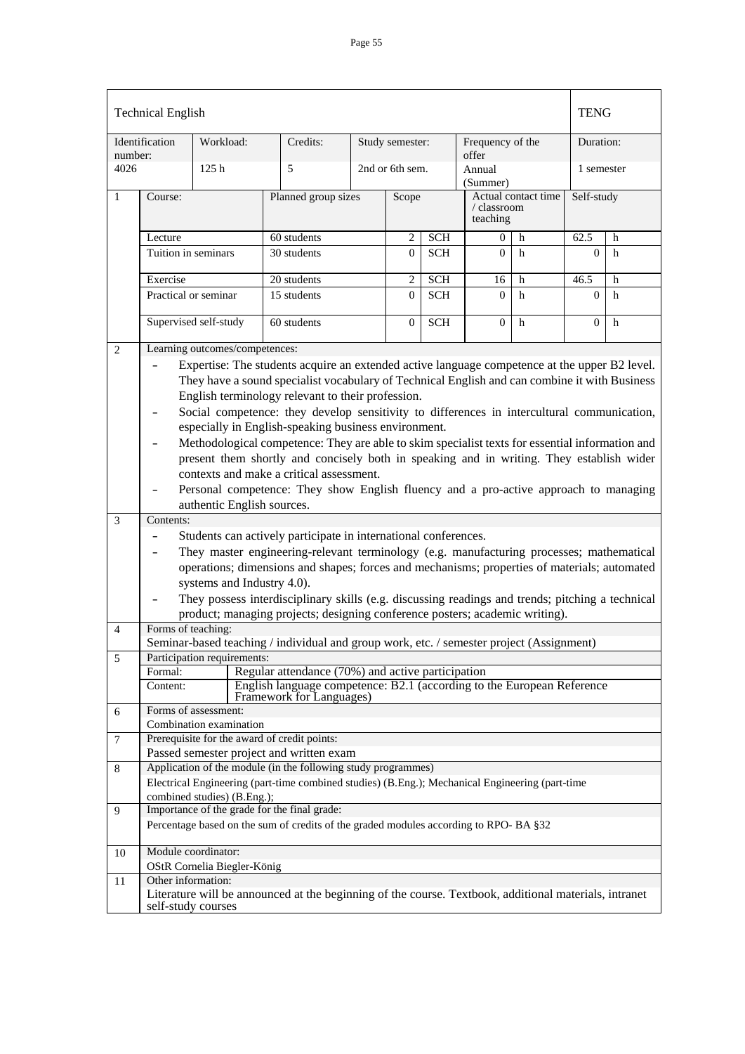| <b>Technical English</b> |                                                                                                                                |                                |                                                                                                       |  |                  |            |                                                | <b>TENG</b> |                |   |
|--------------------------|--------------------------------------------------------------------------------------------------------------------------------|--------------------------------|-------------------------------------------------------------------------------------------------------|--|------------------|------------|------------------------------------------------|-------------|----------------|---|
| number:                  | Identification                                                                                                                 | Workload:                      | Credits:                                                                                              |  | Study semester:  |            | Frequency of the<br>offer                      |             | Duration:      |   |
| 4026                     |                                                                                                                                | 125 <sub>h</sub>               | 5                                                                                                     |  | 2nd or 6th sem.  |            | Annual<br>(Summer)                             |             | 1 semester     |   |
| $\mathbf{1}$             | Course:                                                                                                                        |                                | Planned group sizes                                                                                   |  | Scope            |            | Actual contact time<br>/ classroom<br>teaching |             | Self-study     |   |
|                          | Lecture                                                                                                                        |                                | 60 students                                                                                           |  | $\overline{c}$   | <b>SCH</b> | $\overline{0}$                                 | h           | 62.5           | h |
|                          | Tuition in seminars                                                                                                            |                                | 30 students                                                                                           |  | $\Omega$         | <b>SCH</b> | $\Omega$                                       | h           | $\mathbf{0}$   | h |
|                          | Exercise                                                                                                                       |                                | 20 students                                                                                           |  | $\mathbf{2}$     | <b>SCH</b> | 16                                             | h           | 46.5           | h |
|                          | Practical or seminar                                                                                                           |                                | 15 students                                                                                           |  | $\mathbf{0}$     | <b>SCH</b> | $\Omega$                                       | h           | $\overline{0}$ | h |
|                          |                                                                                                                                | Supervised self-study          | 60 students                                                                                           |  | $\boldsymbol{0}$ | <b>SCH</b> | $\boldsymbol{0}$                               | h           | $\overline{0}$ | h |
| $\overline{2}$           |                                                                                                                                | Learning outcomes/competences: |                                                                                                       |  |                  |            |                                                |             |                |   |
|                          |                                                                                                                                |                                | Expertise: The students acquire an extended active language competence at the upper B2 level.         |  |                  |            |                                                |             |                |   |
|                          |                                                                                                                                |                                | They have a sound specialist vocabulary of Technical English and can combine it with Business         |  |                  |            |                                                |             |                |   |
|                          |                                                                                                                                |                                | English terminology relevant to their profession.                                                     |  |                  |            |                                                |             |                |   |
|                          | -                                                                                                                              |                                | Social competence: they develop sensitivity to differences in intercultural communication,            |  |                  |            |                                                |             |                |   |
|                          |                                                                                                                                |                                | especially in English-speaking business environment.                                                  |  |                  |            |                                                |             |                |   |
|                          | -                                                                                                                              |                                | Methodological competence: They are able to skim specialist texts for essential information and       |  |                  |            |                                                |             |                |   |
|                          |                                                                                                                                |                                | present them shortly and concisely both in speaking and in writing. They establish wider              |  |                  |            |                                                |             |                |   |
|                          |                                                                                                                                |                                | contexts and make a critical assessment.                                                              |  |                  |            |                                                |             |                |   |
|                          |                                                                                                                                |                                | Personal competence: They show English fluency and a pro-active approach to managing                  |  |                  |            |                                                |             |                |   |
|                          |                                                                                                                                | authentic English sources.     |                                                                                                       |  |                  |            |                                                |             |                |   |
| 3                        | Contents:                                                                                                                      |                                |                                                                                                       |  |                  |            |                                                |             |                |   |
|                          |                                                                                                                                |                                | Students can actively participate in international conferences.                                       |  |                  |            |                                                |             |                |   |
|                          | -                                                                                                                              |                                | They master engineering-relevant terminology (e.g. manufacturing processes; mathematical              |  |                  |            |                                                |             |                |   |
|                          |                                                                                                                                |                                | operations; dimensions and shapes; forces and mechanisms; properties of materials; automated          |  |                  |            |                                                |             |                |   |
|                          |                                                                                                                                | systems and Industry 4.0).     |                                                                                                       |  |                  |            |                                                |             |                |   |
|                          | -                                                                                                                              |                                | They possess interdisciplinary skills (e.g. discussing readings and trends; pitching a technical      |  |                  |            |                                                |             |                |   |
|                          |                                                                                                                                |                                | product; managing projects; designing conference posters; academic writing).                          |  |                  |            |                                                |             |                |   |
| $\overline{4}$           | Forms of teaching:                                                                                                             |                                |                                                                                                       |  |                  |            |                                                |             |                |   |
|                          |                                                                                                                                |                                | Seminar-based teaching / individual and group work, etc. / semester project (Assignment)              |  |                  |            |                                                |             |                |   |
| 5                        |                                                                                                                                | Participation requirements:    |                                                                                                       |  |                  |            |                                                |             |                |   |
|                          | Formal:                                                                                                                        |                                | Regular attendance (70%) and active participation                                                     |  |                  |            |                                                |             |                |   |
|                          | Content:                                                                                                                       |                                | English language competence: B2.1 (according to the European Reference<br>Framework for Languages)    |  |                  |            |                                                |             |                |   |
| 6                        |                                                                                                                                | Forms of assessment:           |                                                                                                       |  |                  |            |                                                |             |                |   |
|                          |                                                                                                                                | Combination examination        |                                                                                                       |  |                  |            |                                                |             |                |   |
| $\tau$                   |                                                                                                                                |                                | Prerequisite for the award of credit points:                                                          |  |                  |            |                                                |             |                |   |
|                          |                                                                                                                                |                                | Passed semester project and written exam                                                              |  |                  |            |                                                |             |                |   |
| 8                        |                                                                                                                                |                                | Application of the module (in the following study programmes)                                         |  |                  |            |                                                |             |                |   |
|                          | Electrical Engineering (part-time combined studies) (B.Eng.); Mechanical Engineering (part-time<br>combined studies) (B.Eng.); |                                |                                                                                                       |  |                  |            |                                                |             |                |   |
| 9                        |                                                                                                                                |                                | Importance of the grade for the final grade:                                                          |  |                  |            |                                                |             |                |   |
|                          |                                                                                                                                |                                | Percentage based on the sum of credits of the graded modules according to RPO-BA §32                  |  |                  |            |                                                |             |                |   |
| 10                       |                                                                                                                                | Module coordinator:            |                                                                                                       |  |                  |            |                                                |             |                |   |
|                          |                                                                                                                                | OStR Cornelia Biegler-König    |                                                                                                       |  |                  |            |                                                |             |                |   |
| 11                       | Other information:                                                                                                             |                                |                                                                                                       |  |                  |            |                                                |             |                |   |
|                          | self-study courses                                                                                                             |                                | Literature will be announced at the beginning of the course. Textbook, additional materials, intranet |  |                  |            |                                                |             |                |   |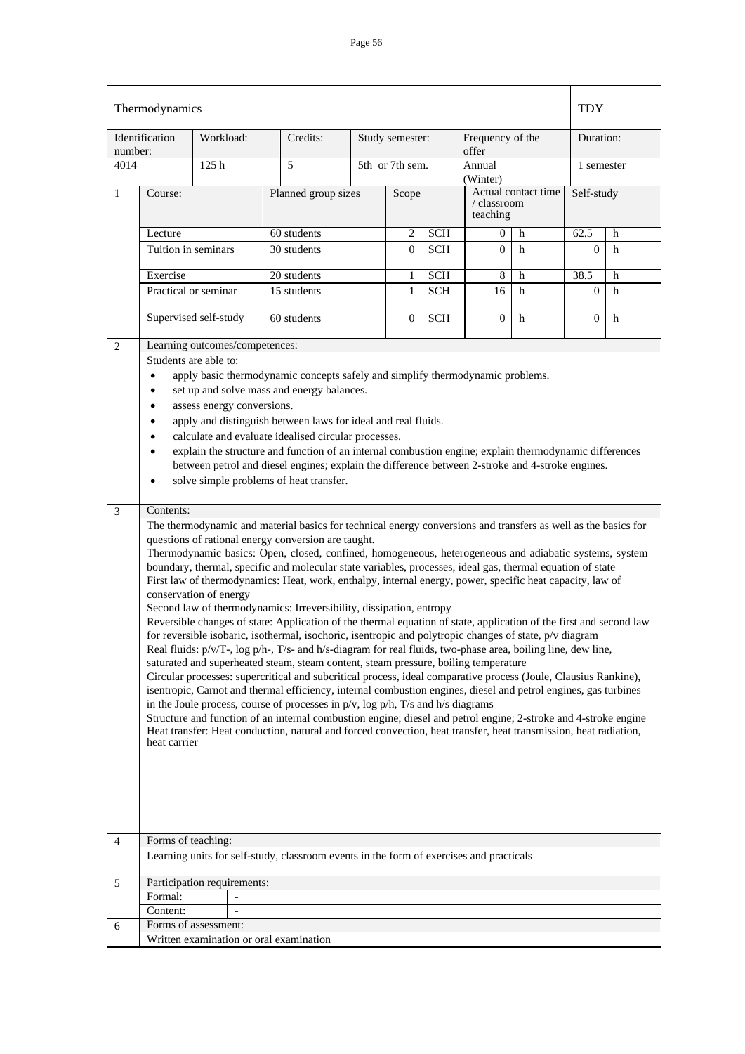|                | Thermodynamics                                                                                                                                                                                                                                                                                                                                                                                                                                                                                                                                                                                                                                                                                                                                                                                                                                                                                                                                                                                                                                                                                                                                                                                                                                                                                                                                                                                                                                                                                                                                                                                                                                   |                             |                                                                                         |              |                 |            |                           |                     | <b>TDY</b> |   |  |  |
|----------------|--------------------------------------------------------------------------------------------------------------------------------------------------------------------------------------------------------------------------------------------------------------------------------------------------------------------------------------------------------------------------------------------------------------------------------------------------------------------------------------------------------------------------------------------------------------------------------------------------------------------------------------------------------------------------------------------------------------------------------------------------------------------------------------------------------------------------------------------------------------------------------------------------------------------------------------------------------------------------------------------------------------------------------------------------------------------------------------------------------------------------------------------------------------------------------------------------------------------------------------------------------------------------------------------------------------------------------------------------------------------------------------------------------------------------------------------------------------------------------------------------------------------------------------------------------------------------------------------------------------------------------------------------|-----------------------------|-----------------------------------------------------------------------------------------|--------------|-----------------|------------|---------------------------|---------------------|------------|---|--|--|
| number:        | Identification                                                                                                                                                                                                                                                                                                                                                                                                                                                                                                                                                                                                                                                                                                                                                                                                                                                                                                                                                                                                                                                                                                                                                                                                                                                                                                                                                                                                                                                                                                                                                                                                                                   | Workload:                   | Credits:                                                                                |              | Study semester: |            | Frequency of the<br>offer |                     | Duration:  |   |  |  |
| 4014           |                                                                                                                                                                                                                                                                                                                                                                                                                                                                                                                                                                                                                                                                                                                                                                                                                                                                                                                                                                                                                                                                                                                                                                                                                                                                                                                                                                                                                                                                                                                                                                                                                                                  | 125h                        | 5                                                                                       |              | 5th or 7th sem. |            | Annual<br>(Winter)        |                     | 1 semester |   |  |  |
| $\mathbf{1}$   | Course:                                                                                                                                                                                                                                                                                                                                                                                                                                                                                                                                                                                                                                                                                                                                                                                                                                                                                                                                                                                                                                                                                                                                                                                                                                                                                                                                                                                                                                                                                                                                                                                                                                          |                             | Planned group sizes                                                                     |              | Scope           |            | / classroom<br>teaching   | Actual contact time | Self-study |   |  |  |
|                | Lecture                                                                                                                                                                                                                                                                                                                                                                                                                                                                                                                                                                                                                                                                                                                                                                                                                                                                                                                                                                                                                                                                                                                                                                                                                                                                                                                                                                                                                                                                                                                                                                                                                                          |                             | 60 students                                                                             |              | $\overline{2}$  | <b>SCH</b> | $\overline{0}$            | h                   | 62.5       | h |  |  |
|                | Tuition in seminars                                                                                                                                                                                                                                                                                                                                                                                                                                                                                                                                                                                                                                                                                                                                                                                                                                                                                                                                                                                                                                                                                                                                                                                                                                                                                                                                                                                                                                                                                                                                                                                                                              |                             | 30 students                                                                             |              | $\overline{0}$  | <b>SCH</b> | $\Omega$                  | h                   | $\Omega$   | h |  |  |
|                | Exercise                                                                                                                                                                                                                                                                                                                                                                                                                                                                                                                                                                                                                                                                                                                                                                                                                                                                                                                                                                                                                                                                                                                                                                                                                                                                                                                                                                                                                                                                                                                                                                                                                                         |                             | 20 students                                                                             |              | 1               | <b>SCH</b> | 8                         | h                   | 38.5       | h |  |  |
|                |                                                                                                                                                                                                                                                                                                                                                                                                                                                                                                                                                                                                                                                                                                                                                                                                                                                                                                                                                                                                                                                                                                                                                                                                                                                                                                                                                                                                                                                                                                                                                                                                                                                  | Practical or seminar        | 15 students                                                                             |              | $\mathbf{1}$    | <b>SCH</b> | 16                        | h                   | $\theta$   | h |  |  |
|                | Supervised self-study<br>60 students<br><b>SCH</b><br>$\mathbf{0}$<br>$\overline{0}$<br>h                                                                                                                                                                                                                                                                                                                                                                                                                                                                                                                                                                                                                                                                                                                                                                                                                                                                                                                                                                                                                                                                                                                                                                                                                                                                                                                                                                                                                                                                                                                                                        |                             |                                                                                         | $\mathbf{0}$ | h               |            |                           |                     |            |   |  |  |
| 2              | Learning outcomes/competences:<br>Students are able to:<br>apply basic thermodynamic concepts safely and simplify thermodynamic problems.<br>$\bullet$<br>set up and solve mass and energy balances.<br>$\bullet$<br>assess energy conversions.<br>$\bullet$<br>apply and distinguish between laws for ideal and real fluids.<br>$\bullet$<br>calculate and evaluate idealised circular processes.<br>$\bullet$<br>explain the structure and function of an internal combustion engine; explain thermodynamic differences<br>$\bullet$<br>between petrol and diesel engines; explain the difference between 2-stroke and 4-stroke engines.<br>solve simple problems of heat transfer.                                                                                                                                                                                                                                                                                                                                                                                                                                                                                                                                                                                                                                                                                                                                                                                                                                                                                                                                                            |                             |                                                                                         |              |                 |            |                           |                     |            |   |  |  |
| $\mathfrak{Z}$ | Contents:                                                                                                                                                                                                                                                                                                                                                                                                                                                                                                                                                                                                                                                                                                                                                                                                                                                                                                                                                                                                                                                                                                                                                                                                                                                                                                                                                                                                                                                                                                                                                                                                                                        |                             |                                                                                         |              |                 |            |                           |                     |            |   |  |  |
|                | The thermodynamic and material basics for technical energy conversions and transfers as well as the basics for<br>questions of rational energy conversion are taught.<br>Thermodynamic basics: Open, closed, confined, homogeneous, heterogeneous and adiabatic systems, system<br>boundary, thermal, specific and molecular state variables, processes, ideal gas, thermal equation of state<br>First law of thermodynamics: Heat, work, enthalpy, internal energy, power, specific heat capacity, law of<br>conservation of energy<br>Second law of thermodynamics: Irreversibility, dissipation, entropy<br>Reversible changes of state: Application of the thermal equation of state, application of the first and second law<br>for reversible isobaric, isothermal, isochoric, isentropic and polytropic changes of state, $p/v$ diagram<br>Real fluids: p/v/T-, log p/h-, T/s- and h/s-diagram for real fluids, two-phase area, boiling line, dew line,<br>saturated and superheated steam, steam content, steam pressure, boiling temperature<br>Circular processes: supercritical and subcritical process, ideal comparative process (Joule, Clausius Rankine),<br>isentropic, Carnot and thermal efficiency, internal combustion engines, diesel and petrol engines, gas turbines<br>in the Joule process, course of processes in $p/v$ , $\log p/h$ , $T/s$ and $h/s$ diagrams<br>Structure and function of an internal combustion engine; diesel and petrol engine; 2-stroke and 4-stroke engine<br>Heat transfer: Heat conduction, natural and forced convection, heat transfer, heat transmission, heat radiation,<br>heat carrier |                             |                                                                                         |              |                 |            |                           |                     |            |   |  |  |
| $\overline{4}$ | Forms of teaching:                                                                                                                                                                                                                                                                                                                                                                                                                                                                                                                                                                                                                                                                                                                                                                                                                                                                                                                                                                                                                                                                                                                                                                                                                                                                                                                                                                                                                                                                                                                                                                                                                               |                             |                                                                                         |              |                 |            |                           |                     |            |   |  |  |
|                |                                                                                                                                                                                                                                                                                                                                                                                                                                                                                                                                                                                                                                                                                                                                                                                                                                                                                                                                                                                                                                                                                                                                                                                                                                                                                                                                                                                                                                                                                                                                                                                                                                                  |                             | Learning units for self-study, classroom events in the form of exercises and practicals |              |                 |            |                           |                     |            |   |  |  |
| 5              |                                                                                                                                                                                                                                                                                                                                                                                                                                                                                                                                                                                                                                                                                                                                                                                                                                                                                                                                                                                                                                                                                                                                                                                                                                                                                                                                                                                                                                                                                                                                                                                                                                                  | Participation requirements: |                                                                                         |              |                 |            |                           |                     |            |   |  |  |
|                | Formal:                                                                                                                                                                                                                                                                                                                                                                                                                                                                                                                                                                                                                                                                                                                                                                                                                                                                                                                                                                                                                                                                                                                                                                                                                                                                                                                                                                                                                                                                                                                                                                                                                                          | $\overline{a}$              |                                                                                         |              |                 |            |                           |                     |            |   |  |  |
|                | Content:                                                                                                                                                                                                                                                                                                                                                                                                                                                                                                                                                                                                                                                                                                                                                                                                                                                                                                                                                                                                                                                                                                                                                                                                                                                                                                                                                                                                                                                                                                                                                                                                                                         | $\overline{\phantom{0}}$    |                                                                                         |              |                 |            |                           |                     |            |   |  |  |
| 6              | Forms of assessment:                                                                                                                                                                                                                                                                                                                                                                                                                                                                                                                                                                                                                                                                                                                                                                                                                                                                                                                                                                                                                                                                                                                                                                                                                                                                                                                                                                                                                                                                                                                                                                                                                             |                             |                                                                                         |              |                 |            |                           |                     |            |   |  |  |
|                |                                                                                                                                                                                                                                                                                                                                                                                                                                                                                                                                                                                                                                                                                                                                                                                                                                                                                                                                                                                                                                                                                                                                                                                                                                                                                                                                                                                                                                                                                                                                                                                                                                                  |                             | Written examination or oral examination                                                 |              |                 |            |                           |                     |            |   |  |  |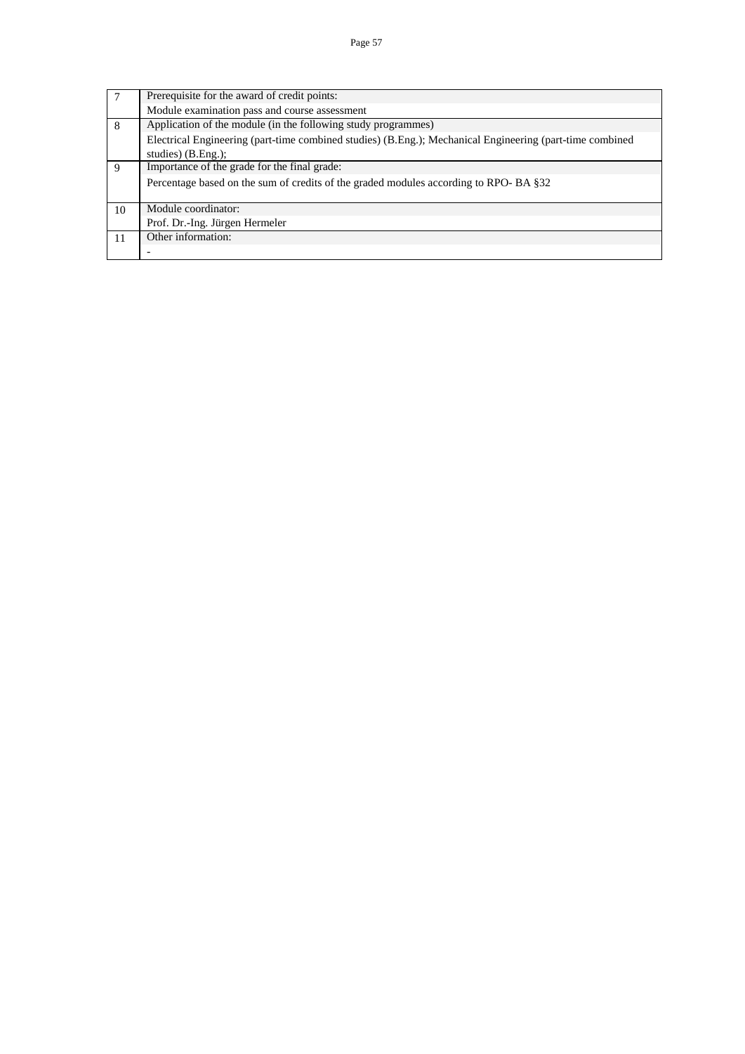|              | Prerequisite for the award of credit points:                                                             |  |  |  |  |  |  |  |  |
|--------------|----------------------------------------------------------------------------------------------------------|--|--|--|--|--|--|--|--|
|              | Module examination pass and course assessment                                                            |  |  |  |  |  |  |  |  |
| 8            | Application of the module (in the following study programmes)                                            |  |  |  |  |  |  |  |  |
|              | Electrical Engineering (part-time combined studies) (B.Eng.); Mechanical Engineering (part-time combined |  |  |  |  |  |  |  |  |
|              | studies) $(B.Eng.)$ ;                                                                                    |  |  |  |  |  |  |  |  |
| $\mathbf{Q}$ | Importance of the grade for the final grade:                                                             |  |  |  |  |  |  |  |  |
|              | Percentage based on the sum of credits of the graded modules according to RPO-BA §32                     |  |  |  |  |  |  |  |  |
|              |                                                                                                          |  |  |  |  |  |  |  |  |
| 10           | Module coordinator:                                                                                      |  |  |  |  |  |  |  |  |
|              | Prof. Dr.-Ing. Jürgen Hermeler                                                                           |  |  |  |  |  |  |  |  |
| -11          | Other information:                                                                                       |  |  |  |  |  |  |  |  |
|              |                                                                                                          |  |  |  |  |  |  |  |  |